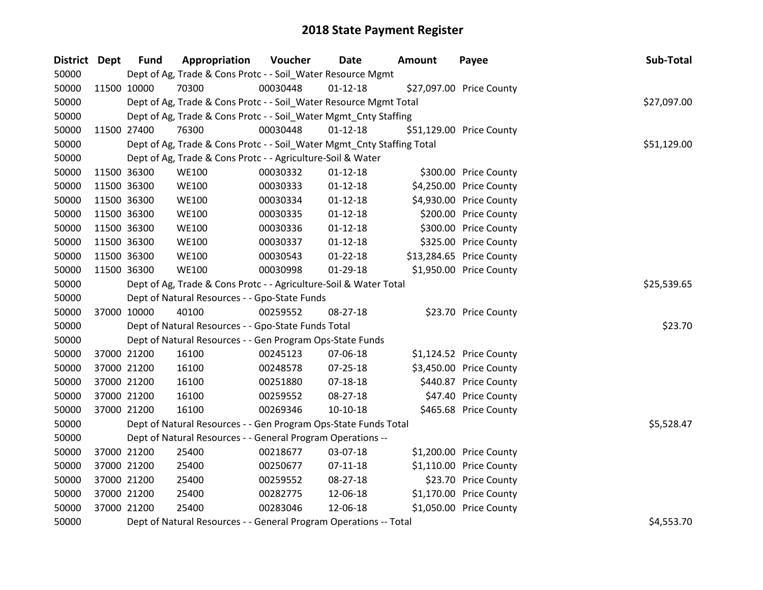| District Dept | <b>Fund</b> | Appropriation                                                          | Voucher  | Date           | <b>Amount</b> | Payee                    | Sub-Total   |  |  |
|---------------|-------------|------------------------------------------------------------------------|----------|----------------|---------------|--------------------------|-------------|--|--|
| 50000         |             | Dept of Ag, Trade & Cons Protc - - Soil_Water Resource Mgmt            |          |                |               |                          |             |  |  |
| 50000         | 11500 10000 | 70300                                                                  | 00030448 | $01 - 12 - 18$ |               | \$27,097.00 Price County |             |  |  |
| 50000         |             | Dept of Ag, Trade & Cons Protc - - Soil_Water Resource Mgmt Total      |          |                |               |                          | \$27,097.00 |  |  |
| 50000         |             | Dept of Ag, Trade & Cons Protc - - Soil_Water Mgmt_Cnty Staffing       |          |                |               |                          |             |  |  |
| 50000         | 11500 27400 | 76300                                                                  | 00030448 | $01 - 12 - 18$ |               | \$51,129.00 Price County |             |  |  |
| 50000         |             | Dept of Ag, Trade & Cons Protc - - Soil_Water Mgmt_Cnty Staffing Total |          |                |               |                          | \$51,129.00 |  |  |
| 50000         |             | Dept of Ag, Trade & Cons Protc - - Agriculture-Soil & Water            |          |                |               |                          |             |  |  |
| 50000         | 11500 36300 | <b>WE100</b>                                                           | 00030332 | $01 - 12 - 18$ |               | \$300.00 Price County    |             |  |  |
| 50000         | 11500 36300 | <b>WE100</b>                                                           | 00030333 | $01 - 12 - 18$ |               | \$4,250.00 Price County  |             |  |  |
| 50000         | 11500 36300 | <b>WE100</b>                                                           | 00030334 | $01 - 12 - 18$ |               | \$4,930.00 Price County  |             |  |  |
| 50000         | 11500 36300 | <b>WE100</b>                                                           | 00030335 | $01 - 12 - 18$ |               | \$200.00 Price County    |             |  |  |
| 50000         | 11500 36300 | <b>WE100</b>                                                           | 00030336 | $01 - 12 - 18$ |               | \$300.00 Price County    |             |  |  |
| 50000         | 11500 36300 | <b>WE100</b>                                                           | 00030337 | $01 - 12 - 18$ |               | \$325.00 Price County    |             |  |  |
| 50000         | 11500 36300 | <b>WE100</b>                                                           | 00030543 | $01 - 22 - 18$ |               | \$13,284.65 Price County |             |  |  |
| 50000         | 11500 36300 | <b>WE100</b>                                                           | 00030998 | 01-29-18       |               | \$1,950.00 Price County  |             |  |  |
| 50000         |             | Dept of Ag, Trade & Cons Protc - - Agriculture-Soil & Water Total      |          |                |               |                          |             |  |  |
| 50000         |             | Dept of Natural Resources - - Gpo-State Funds                          |          |                |               |                          |             |  |  |
| 50000         | 37000 10000 | 40100                                                                  | 00259552 | 08-27-18       |               | \$23.70 Price County     |             |  |  |
| 50000         |             | Dept of Natural Resources - - Gpo-State Funds Total                    |          |                |               |                          | \$23.70     |  |  |
| 50000         |             | Dept of Natural Resources - - Gen Program Ops-State Funds              |          |                |               |                          |             |  |  |
| 50000         | 37000 21200 | 16100                                                                  | 00245123 | 07-06-18       |               | \$1,124.52 Price County  |             |  |  |
| 50000         | 37000 21200 | 16100                                                                  | 00248578 | $07 - 25 - 18$ |               | \$3,450.00 Price County  |             |  |  |
| 50000         | 37000 21200 | 16100                                                                  | 00251880 | 07-18-18       |               | \$440.87 Price County    |             |  |  |
| 50000         | 37000 21200 | 16100                                                                  | 00259552 | 08-27-18       |               | \$47.40 Price County     |             |  |  |
| 50000         | 37000 21200 | 16100                                                                  | 00269346 | $10-10-18$     |               | \$465.68 Price County    |             |  |  |
| 50000         |             | Dept of Natural Resources - - Gen Program Ops-State Funds Total        |          |                |               |                          | \$5,528.47  |  |  |
| 50000         |             | Dept of Natural Resources - - General Program Operations --            |          |                |               |                          |             |  |  |
| 50000         | 37000 21200 | 25400                                                                  | 00218677 | 03-07-18       |               | \$1,200.00 Price County  |             |  |  |
| 50000         | 37000 21200 | 25400                                                                  | 00250677 | $07-11-18$     |               | \$1,110.00 Price County  |             |  |  |
| 50000         | 37000 21200 | 25400                                                                  | 00259552 | 08-27-18       |               | \$23.70 Price County     |             |  |  |
| 50000         | 37000 21200 | 25400                                                                  | 00282775 | 12-06-18       |               | \$1,170.00 Price County  |             |  |  |
| 50000         | 37000 21200 | 25400                                                                  | 00283046 | 12-06-18       |               | \$1,050.00 Price County  |             |  |  |
| 50000         |             | Dept of Natural Resources - - General Program Operations -- Total      |          |                |               |                          | \$4,553.70  |  |  |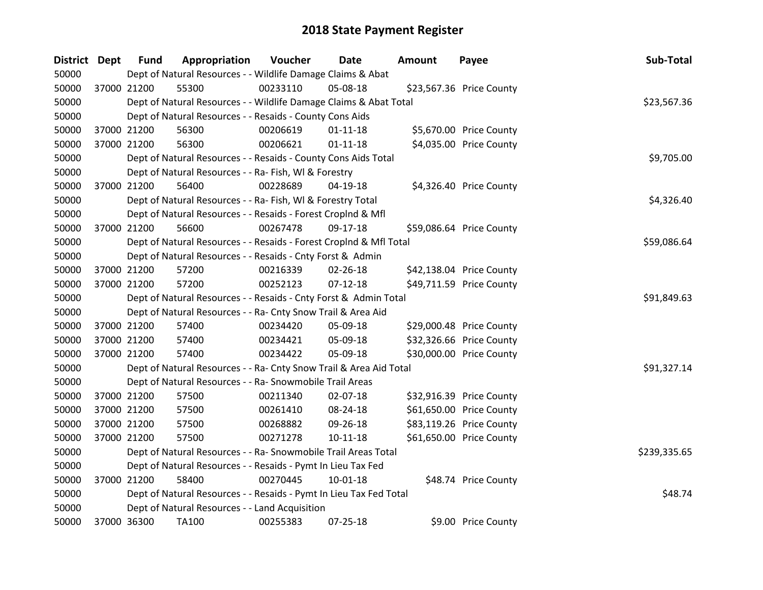| <b>District</b> | <b>Dept</b> | <b>Fund</b> | Appropriation                                                      | Voucher  | Date           | <b>Amount</b> | Payee                    | Sub-Total    |
|-----------------|-------------|-------------|--------------------------------------------------------------------|----------|----------------|---------------|--------------------------|--------------|
| 50000           |             |             | Dept of Natural Resources - - Wildlife Damage Claims & Abat        |          |                |               |                          |              |
| 50000           |             | 37000 21200 | 55300                                                              | 00233110 | 05-08-18       |               | \$23,567.36 Price County |              |
| 50000           |             |             | Dept of Natural Resources - - Wildlife Damage Claims & Abat Total  |          |                |               |                          | \$23,567.36  |
| 50000           |             |             | Dept of Natural Resources - - Resaids - County Cons Aids           |          |                |               |                          |              |
| 50000           |             | 37000 21200 | 56300                                                              | 00206619 | $01 - 11 - 18$ |               | \$5,670.00 Price County  |              |
| 50000           |             | 37000 21200 | 56300                                                              | 00206621 | $01 - 11 - 18$ |               | \$4,035.00 Price County  |              |
| 50000           |             |             | Dept of Natural Resources - - Resaids - County Cons Aids Total     |          |                |               |                          | \$9,705.00   |
| 50000           |             |             | Dept of Natural Resources - - Ra- Fish, WI & Forestry              |          |                |               |                          |              |
| 50000           |             | 37000 21200 | 56400                                                              | 00228689 | 04-19-18       |               | \$4,326.40 Price County  |              |
| 50000           |             |             | Dept of Natural Resources - - Ra- Fish, WI & Forestry Total        |          |                |               |                          | \$4,326.40   |
| 50000           |             |             | Dept of Natural Resources - - Resaids - Forest Croplnd & Mfl       |          |                |               |                          |              |
| 50000           |             | 37000 21200 | 56600                                                              | 00267478 | 09-17-18       |               | \$59,086.64 Price County |              |
| 50000           |             |             | Dept of Natural Resources - - Resaids - Forest CropInd & Mfl Total |          |                |               |                          | \$59,086.64  |
| 50000           |             |             | Dept of Natural Resources - - Resaids - Cnty Forst & Admin         |          |                |               |                          |              |
| 50000           |             | 37000 21200 | 57200                                                              | 00216339 | 02-26-18       |               | \$42,138.04 Price County |              |
| 50000           |             | 37000 21200 | 57200                                                              | 00252123 | $07 - 12 - 18$ |               | \$49,711.59 Price County |              |
| 50000           |             |             | Dept of Natural Resources - - Resaids - Cnty Forst & Admin Total   |          |                |               |                          | \$91,849.63  |
| 50000           |             |             | Dept of Natural Resources - - Ra- Cnty Snow Trail & Area Aid       |          |                |               |                          |              |
| 50000           |             | 37000 21200 | 57400                                                              | 00234420 | 05-09-18       |               | \$29,000.48 Price County |              |
| 50000           |             | 37000 21200 | 57400                                                              | 00234421 | 05-09-18       |               | \$32,326.66 Price County |              |
| 50000           |             | 37000 21200 | 57400                                                              | 00234422 | 05-09-18       |               | \$30,000.00 Price County |              |
| 50000           |             |             | Dept of Natural Resources - - Ra- Cnty Snow Trail & Area Aid Total |          |                |               |                          | \$91,327.14  |
| 50000           |             |             | Dept of Natural Resources - - Ra- Snowmobile Trail Areas           |          |                |               |                          |              |
| 50000           |             | 37000 21200 | 57500                                                              | 00211340 | 02-07-18       |               | \$32,916.39 Price County |              |
| 50000           |             | 37000 21200 | 57500                                                              | 00261410 | 08-24-18       |               | \$61,650.00 Price County |              |
| 50000           |             | 37000 21200 | 57500                                                              | 00268882 | 09-26-18       |               | \$83,119.26 Price County |              |
| 50000           |             | 37000 21200 | 57500                                                              | 00271278 | $10 - 11 - 18$ |               | \$61,650.00 Price County |              |
| 50000           |             |             | Dept of Natural Resources - - Ra- Snowmobile Trail Areas Total     |          |                |               |                          | \$239,335.65 |
| 50000           |             |             | Dept of Natural Resources - - Resaids - Pymt In Lieu Tax Fed       |          |                |               |                          |              |
| 50000           |             | 37000 21200 | 58400                                                              | 00270445 | $10 - 01 - 18$ |               | \$48.74 Price County     |              |
| 50000           |             |             | Dept of Natural Resources - - Resaids - Pymt In Lieu Tax Fed Total |          |                |               |                          | \$48.74      |
| 50000           |             |             | Dept of Natural Resources - - Land Acquisition                     |          |                |               |                          |              |
| 50000           |             | 37000 36300 | TA100                                                              | 00255383 | $07 - 25 - 18$ |               | \$9.00 Price County      |              |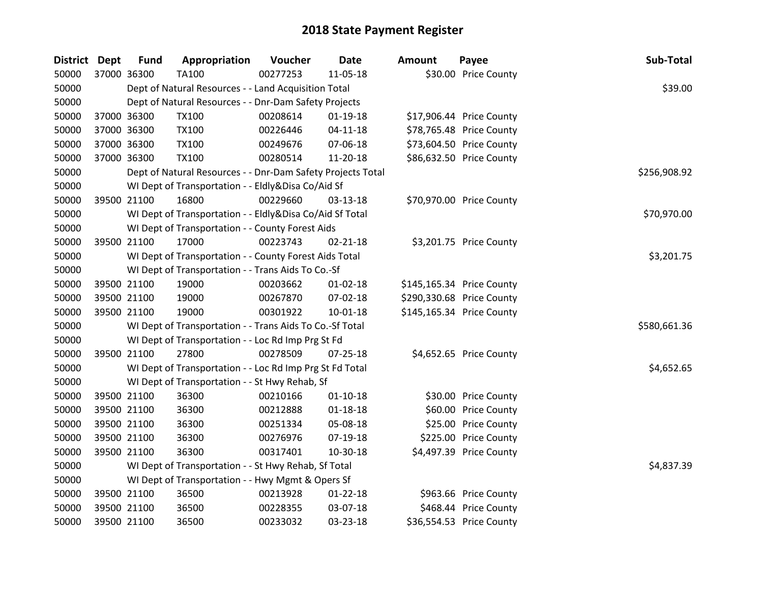| District Dept |             | <b>Fund</b> | Appropriation                                               | Voucher  | <b>Date</b>    | <b>Amount</b> | Payee                     | Sub-Total    |
|---------------|-------------|-------------|-------------------------------------------------------------|----------|----------------|---------------|---------------------------|--------------|
| 50000         | 37000 36300 |             | <b>TA100</b>                                                | 00277253 | 11-05-18       |               | \$30.00 Price County      |              |
| 50000         |             |             | Dept of Natural Resources - - Land Acquisition Total        |          |                |               |                           | \$39.00      |
| 50000         |             |             | Dept of Natural Resources - - Dnr-Dam Safety Projects       |          |                |               |                           |              |
| 50000         | 37000 36300 |             | <b>TX100</b>                                                | 00208614 | $01-19-18$     |               | \$17,906.44 Price County  |              |
| 50000         |             | 37000 36300 | <b>TX100</b>                                                | 00226446 | $04 - 11 - 18$ |               | \$78,765.48 Price County  |              |
| 50000         |             | 37000 36300 | <b>TX100</b>                                                | 00249676 | 07-06-18       |               | \$73,604.50 Price County  |              |
| 50000         | 37000 36300 |             | <b>TX100</b>                                                | 00280514 | 11-20-18       |               | \$86,632.50 Price County  |              |
| 50000         |             |             | Dept of Natural Resources - - Dnr-Dam Safety Projects Total |          |                |               |                           | \$256,908.92 |
| 50000         |             |             | WI Dept of Transportation - - Eldly&Disa Co/Aid Sf          |          |                |               |                           |              |
| 50000         | 39500 21100 |             | 16800                                                       | 00229660 | 03-13-18       |               | \$70,970.00 Price County  |              |
| 50000         |             |             | WI Dept of Transportation - - Eldly&Disa Co/Aid Sf Total    |          |                |               |                           | \$70,970.00  |
| 50000         |             |             | WI Dept of Transportation - - County Forest Aids            |          |                |               |                           |              |
| 50000         |             | 39500 21100 | 17000                                                       | 00223743 | $02 - 21 - 18$ |               | \$3,201.75 Price County   |              |
| 50000         |             |             | WI Dept of Transportation - - County Forest Aids Total      |          |                |               |                           | \$3,201.75   |
| 50000         |             |             | WI Dept of Transportation - - Trans Aids To Co.-Sf          |          |                |               |                           |              |
| 50000         |             | 39500 21100 | 19000                                                       | 00203662 | $01 - 02 - 18$ |               | \$145,165.34 Price County |              |
| 50000         |             | 39500 21100 | 19000                                                       | 00267870 | 07-02-18       |               | \$290,330.68 Price County |              |
| 50000         |             | 39500 21100 | 19000                                                       | 00301922 | $10 - 01 - 18$ |               | \$145,165.34 Price County |              |
| 50000         |             |             | WI Dept of Transportation - - Trans Aids To Co.-Sf Total    |          |                |               |                           | \$580,661.36 |
| 50000         |             |             | WI Dept of Transportation - - Loc Rd Imp Prg St Fd          |          |                |               |                           |              |
| 50000         | 39500 21100 |             | 27800                                                       | 00278509 | 07-25-18       |               | \$4,652.65 Price County   |              |
| 50000         |             |             | WI Dept of Transportation - - Loc Rd Imp Prg St Fd Total    |          |                |               |                           | \$4,652.65   |
| 50000         |             |             | WI Dept of Transportation - - St Hwy Rehab, Sf              |          |                |               |                           |              |
| 50000         |             | 39500 21100 | 36300                                                       | 00210166 | $01-10-18$     |               | \$30.00 Price County      |              |
| 50000         |             | 39500 21100 | 36300                                                       | 00212888 | $01 - 18 - 18$ |               | \$60.00 Price County      |              |
| 50000         |             | 39500 21100 | 36300                                                       | 00251334 | 05-08-18       |               | \$25.00 Price County      |              |
| 50000         | 39500 21100 |             | 36300                                                       | 00276976 | 07-19-18       |               | \$225.00 Price County     |              |
| 50000         |             | 39500 21100 | 36300                                                       | 00317401 | 10-30-18       |               | \$4,497.39 Price County   |              |
| 50000         |             |             | WI Dept of Transportation - - St Hwy Rehab, Sf Total        |          |                |               |                           | \$4,837.39   |
| 50000         |             |             | WI Dept of Transportation - - Hwy Mgmt & Opers Sf           |          |                |               |                           |              |
| 50000         |             | 39500 21100 | 36500                                                       | 00213928 | $01 - 22 - 18$ |               | \$963.66 Price County     |              |
| 50000         |             | 39500 21100 | 36500                                                       | 00228355 | 03-07-18       |               | \$468.44 Price County     |              |
| 50000         | 39500 21100 |             | 36500                                                       | 00233032 | 03-23-18       |               | \$36,554.53 Price County  |              |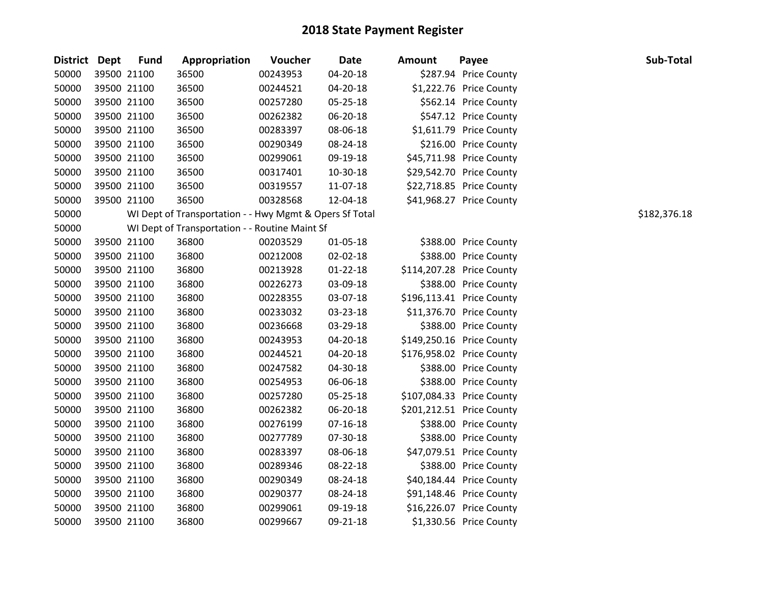| <b>District Dept</b> | <b>Fund</b> | Appropriation                                           | Voucher  | <b>Date</b>    | <b>Amount</b> | Payee                     | Sub-Total    |
|----------------------|-------------|---------------------------------------------------------|----------|----------------|---------------|---------------------------|--------------|
| 50000                | 39500 21100 | 36500                                                   | 00243953 | 04-20-18       |               | \$287.94 Price County     |              |
| 50000                | 39500 21100 | 36500                                                   | 00244521 | 04-20-18       |               | \$1,222.76 Price County   |              |
| 50000                | 39500 21100 | 36500                                                   | 00257280 | 05-25-18       |               | \$562.14 Price County     |              |
| 50000                | 39500 21100 | 36500                                                   | 00262382 | 06-20-18       |               | \$547.12 Price County     |              |
| 50000                | 39500 21100 | 36500                                                   | 00283397 | 08-06-18       |               | \$1,611.79 Price County   |              |
| 50000                | 39500 21100 | 36500                                                   | 00290349 | 08-24-18       |               | \$216.00 Price County     |              |
| 50000                | 39500 21100 | 36500                                                   | 00299061 | 09-19-18       |               | \$45,711.98 Price County  |              |
| 50000                | 39500 21100 | 36500                                                   | 00317401 | 10-30-18       |               | \$29,542.70 Price County  |              |
| 50000                | 39500 21100 | 36500                                                   | 00319557 | 11-07-18       |               | \$22,718.85 Price County  |              |
| 50000                | 39500 21100 | 36500                                                   | 00328568 | 12-04-18       |               | \$41,968.27 Price County  |              |
| 50000                |             | WI Dept of Transportation - - Hwy Mgmt & Opers Sf Total |          |                |               |                           | \$182,376.18 |
| 50000                |             | WI Dept of Transportation - - Routine Maint Sf          |          |                |               |                           |              |
| 50000                | 39500 21100 | 36800                                                   | 00203529 | 01-05-18       |               | \$388.00 Price County     |              |
| 50000                | 39500 21100 | 36800                                                   | 00212008 | 02-02-18       |               | \$388.00 Price County     |              |
| 50000                | 39500 21100 | 36800                                                   | 00213928 | $01 - 22 - 18$ |               | \$114,207.28 Price County |              |
| 50000                | 39500 21100 | 36800                                                   | 00226273 | 03-09-18       |               | \$388.00 Price County     |              |
| 50000                | 39500 21100 | 36800                                                   | 00228355 | 03-07-18       |               | \$196,113.41 Price County |              |
| 50000                | 39500 21100 | 36800                                                   | 00233032 | 03-23-18       |               | \$11,376.70 Price County  |              |
| 50000                | 39500 21100 | 36800                                                   | 00236668 | 03-29-18       |               | \$388.00 Price County     |              |
| 50000                | 39500 21100 | 36800                                                   | 00243953 | 04-20-18       |               | \$149,250.16 Price County |              |
| 50000                | 39500 21100 | 36800                                                   | 00244521 | 04-20-18       |               | \$176,958.02 Price County |              |
| 50000                | 39500 21100 | 36800                                                   | 00247582 | 04-30-18       |               | \$388.00 Price County     |              |
| 50000                | 39500 21100 | 36800                                                   | 00254953 | 06-06-18       |               | \$388.00 Price County     |              |
| 50000                | 39500 21100 | 36800                                                   | 00257280 | 05-25-18       |               | \$107,084.33 Price County |              |
| 50000                | 39500 21100 | 36800                                                   | 00262382 | 06-20-18       |               | \$201,212.51 Price County |              |
| 50000                | 39500 21100 | 36800                                                   | 00276199 | $07 - 16 - 18$ |               | \$388.00 Price County     |              |
| 50000                | 39500 21100 | 36800                                                   | 00277789 | 07-30-18       |               | \$388.00 Price County     |              |
| 50000                | 39500 21100 | 36800                                                   | 00283397 | 08-06-18       |               | \$47,079.51 Price County  |              |
| 50000                | 39500 21100 | 36800                                                   | 00289346 | 08-22-18       |               | \$388.00 Price County     |              |
| 50000                | 39500 21100 | 36800                                                   | 00290349 | 08-24-18       |               | \$40,184.44 Price County  |              |
| 50000                | 39500 21100 | 36800                                                   | 00290377 | 08-24-18       |               | \$91,148.46 Price County  |              |
| 50000                | 39500 21100 | 36800                                                   | 00299061 | 09-19-18       |               | \$16,226.07 Price County  |              |
| 50000                | 39500 21100 | 36800                                                   | 00299667 | 09-21-18       |               | \$1,330.56 Price County   |              |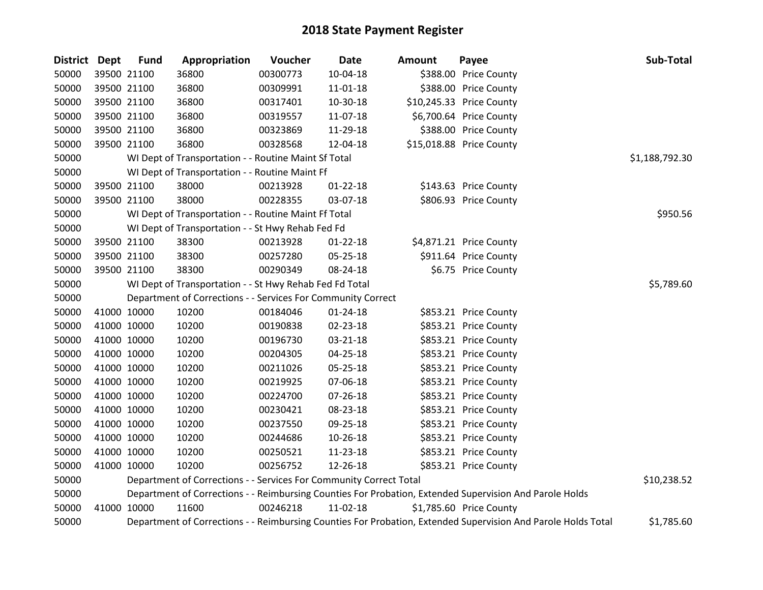| District Dept |             | <b>Fund</b> | Appropriation                                                      | Voucher  | Date           | <b>Amount</b> | Payee                                                                                                         | Sub-Total      |
|---------------|-------------|-------------|--------------------------------------------------------------------|----------|----------------|---------------|---------------------------------------------------------------------------------------------------------------|----------------|
| 50000         |             | 39500 21100 | 36800                                                              | 00300773 | $10-04-18$     |               | \$388.00 Price County                                                                                         |                |
| 50000         |             | 39500 21100 | 36800                                                              | 00309991 | 11-01-18       |               | \$388.00 Price County                                                                                         |                |
| 50000         |             | 39500 21100 | 36800                                                              | 00317401 | 10-30-18       |               | \$10,245.33 Price County                                                                                      |                |
| 50000         |             | 39500 21100 | 36800                                                              | 00319557 | 11-07-18       |               | \$6,700.64 Price County                                                                                       |                |
| 50000         |             | 39500 21100 | 36800                                                              | 00323869 | 11-29-18       |               | \$388.00 Price County                                                                                         |                |
| 50000         |             | 39500 21100 | 36800                                                              | 00328568 | 12-04-18       |               | \$15,018.88 Price County                                                                                      |                |
| 50000         |             |             | WI Dept of Transportation - - Routine Maint Sf Total               |          |                |               |                                                                                                               | \$1,188,792.30 |
| 50000         |             |             | WI Dept of Transportation - - Routine Maint Ff                     |          |                |               |                                                                                                               |                |
| 50000         |             | 39500 21100 | 38000                                                              | 00213928 | $01 - 22 - 18$ |               | \$143.63 Price County                                                                                         |                |
| 50000         |             | 39500 21100 | 38000                                                              | 00228355 | 03-07-18       |               | \$806.93 Price County                                                                                         |                |
| 50000         |             |             | WI Dept of Transportation - - Routine Maint Ff Total               |          |                |               |                                                                                                               | \$950.56       |
| 50000         |             |             | WI Dept of Transportation - - St Hwy Rehab Fed Fd                  |          |                |               |                                                                                                               |                |
| 50000         |             | 39500 21100 | 38300                                                              | 00213928 | $01 - 22 - 18$ |               | \$4,871.21 Price County                                                                                       |                |
| 50000         |             | 39500 21100 | 38300                                                              | 00257280 | 05-25-18       |               | \$911.64 Price County                                                                                         |                |
| 50000         |             | 39500 21100 | 38300                                                              | 00290349 | 08-24-18       |               | \$6.75 Price County                                                                                           |                |
| 50000         |             |             | WI Dept of Transportation - - St Hwy Rehab Fed Fd Total            |          |                |               |                                                                                                               | \$5,789.60     |
| 50000         |             |             | Department of Corrections - - Services For Community Correct       |          |                |               |                                                                                                               |                |
| 50000         |             | 41000 10000 | 10200                                                              | 00184046 | $01 - 24 - 18$ |               | \$853.21 Price County                                                                                         |                |
| 50000         |             | 41000 10000 | 10200                                                              | 00190838 | 02-23-18       |               | \$853.21 Price County                                                                                         |                |
| 50000         |             | 41000 10000 | 10200                                                              | 00196730 | $03 - 21 - 18$ |               | \$853.21 Price County                                                                                         |                |
| 50000         |             | 41000 10000 | 10200                                                              | 00204305 | 04-25-18       |               | \$853.21 Price County                                                                                         |                |
| 50000         |             | 41000 10000 | 10200                                                              | 00211026 | 05-25-18       |               | \$853.21 Price County                                                                                         |                |
| 50000         |             | 41000 10000 | 10200                                                              | 00219925 | 07-06-18       |               | \$853.21 Price County                                                                                         |                |
| 50000         |             | 41000 10000 | 10200                                                              | 00224700 | 07-26-18       |               | \$853.21 Price County                                                                                         |                |
| 50000         |             | 41000 10000 | 10200                                                              | 00230421 | 08-23-18       |               | \$853.21 Price County                                                                                         |                |
| 50000         |             | 41000 10000 | 10200                                                              | 00237550 | 09-25-18       |               | \$853.21 Price County                                                                                         |                |
| 50000         |             | 41000 10000 | 10200                                                              | 00244686 | 10-26-18       |               | \$853.21 Price County                                                                                         |                |
| 50000         |             | 41000 10000 | 10200                                                              | 00250521 | 11-23-18       |               | \$853.21 Price County                                                                                         |                |
| 50000         | 41000 10000 |             | 10200                                                              | 00256752 | 12-26-18       |               | \$853.21 Price County                                                                                         |                |
| 50000         |             |             | Department of Corrections - - Services For Community Correct Total |          |                |               |                                                                                                               | \$10,238.52    |
| 50000         |             |             |                                                                    |          |                |               | Department of Corrections - - Reimbursing Counties For Probation, Extended Supervision And Parole Holds       |                |
| 50000         |             | 41000 10000 | 11600                                                              | 00246218 | 11-02-18       |               | \$1,785.60 Price County                                                                                       |                |
| 50000         |             |             |                                                                    |          |                |               | Department of Corrections - - Reimbursing Counties For Probation, Extended Supervision And Parole Holds Total | \$1,785.60     |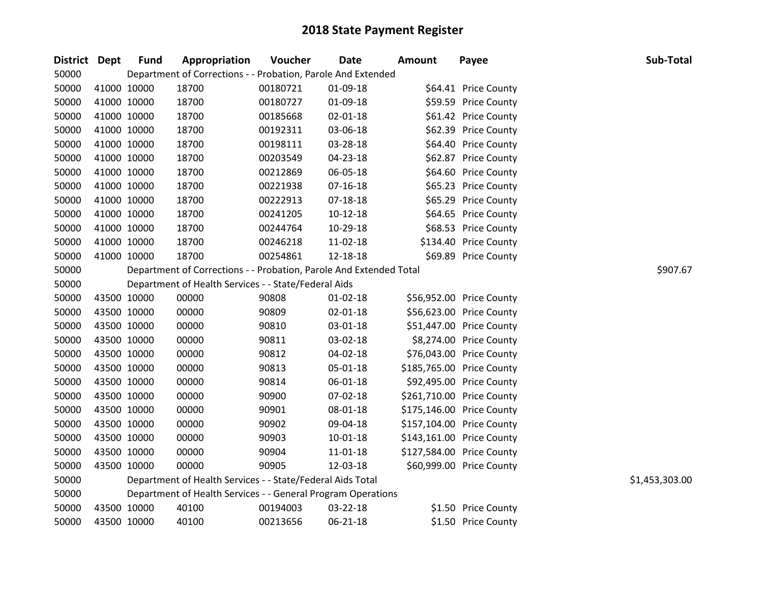| District Dept |             | <b>Fund</b> | Appropriation                                                      | Voucher  | <b>Date</b>    | <b>Amount</b> | Payee                     | Sub-Total      |
|---------------|-------------|-------------|--------------------------------------------------------------------|----------|----------------|---------------|---------------------------|----------------|
| 50000         |             |             | Department of Corrections - - Probation, Parole And Extended       |          |                |               |                           |                |
| 50000         |             | 41000 10000 | 18700                                                              | 00180721 | 01-09-18       |               | \$64.41 Price County      |                |
| 50000         | 41000 10000 |             | 18700                                                              | 00180727 | 01-09-18       |               | \$59.59 Price County      |                |
| 50000         | 41000 10000 |             | 18700                                                              | 00185668 | 02-01-18       |               | \$61.42 Price County      |                |
| 50000         | 41000 10000 |             | 18700                                                              | 00192311 | 03-06-18       |               | \$62.39 Price County      |                |
| 50000         |             | 41000 10000 | 18700                                                              | 00198111 | 03-28-18       |               | \$64.40 Price County      |                |
| 50000         |             | 41000 10000 | 18700                                                              | 00203549 | 04-23-18       |               | \$62.87 Price County      |                |
| 50000         |             | 41000 10000 | 18700                                                              | 00212869 | 06-05-18       |               | \$64.60 Price County      |                |
| 50000         | 41000 10000 |             | 18700                                                              | 00221938 | $07 - 16 - 18$ |               | \$65.23 Price County      |                |
| 50000         | 41000 10000 |             | 18700                                                              | 00222913 | $07 - 18 - 18$ |               | \$65.29 Price County      |                |
| 50000         |             | 41000 10000 | 18700                                                              | 00241205 | $10-12-18$     |               | \$64.65 Price County      |                |
| 50000         |             | 41000 10000 | 18700                                                              | 00244764 | 10-29-18       |               | \$68.53 Price County      |                |
| 50000         | 41000 10000 |             | 18700                                                              | 00246218 | 11-02-18       |               | \$134.40 Price County     |                |
| 50000         | 41000 10000 |             | 18700                                                              | 00254861 | 12-18-18       |               | \$69.89 Price County      |                |
| 50000         |             |             | Department of Corrections - - Probation, Parole And Extended Total |          |                |               |                           | \$907.67       |
| 50000         |             |             | Department of Health Services - - State/Federal Aids               |          |                |               |                           |                |
| 50000         |             | 43500 10000 | 00000                                                              | 90808    | $01 - 02 - 18$ |               | \$56,952.00 Price County  |                |
| 50000         | 43500 10000 |             | 00000                                                              | 90809    | 02-01-18       |               | \$56,623.00 Price County  |                |
| 50000         | 43500 10000 |             | 00000                                                              | 90810    | 03-01-18       |               | \$51,447.00 Price County  |                |
| 50000         |             | 43500 10000 | 00000                                                              | 90811    | 03-02-18       |               | \$8,274.00 Price County   |                |
| 50000         |             | 43500 10000 | 00000                                                              | 90812    | 04-02-18       |               | \$76,043.00 Price County  |                |
| 50000         |             | 43500 10000 | 00000                                                              | 90813    | 05-01-18       |               | \$185,765.00 Price County |                |
| 50000         | 43500 10000 |             | 00000                                                              | 90814    | 06-01-18       |               | \$92,495.00 Price County  |                |
| 50000         |             | 43500 10000 | 00000                                                              | 90900    | 07-02-18       |               | \$261,710.00 Price County |                |
| 50000         |             | 43500 10000 | 00000                                                              | 90901    | 08-01-18       |               | \$175,146.00 Price County |                |
| 50000         |             | 43500 10000 | 00000                                                              | 90902    | 09-04-18       |               | \$157,104.00 Price County |                |
| 50000         |             | 43500 10000 | 00000                                                              | 90903    | 10-01-18       |               | \$143,161.00 Price County |                |
| 50000         | 43500 10000 |             | 00000                                                              | 90904    | 11-01-18       |               | \$127,584.00 Price County |                |
| 50000         | 43500 10000 |             | 00000                                                              | 90905    | 12-03-18       |               | \$60,999.00 Price County  |                |
| 50000         |             |             | Department of Health Services - - State/Federal Aids Total         |          |                |               |                           | \$1,453,303.00 |
| 50000         |             |             | Department of Health Services - - General Program Operations       |          |                |               |                           |                |
| 50000         | 43500 10000 |             | 40100                                                              | 00194003 | 03-22-18       |               | \$1.50 Price County       |                |
| 50000         | 43500 10000 |             | 40100                                                              | 00213656 | 06-21-18       |               | \$1.50 Price County       |                |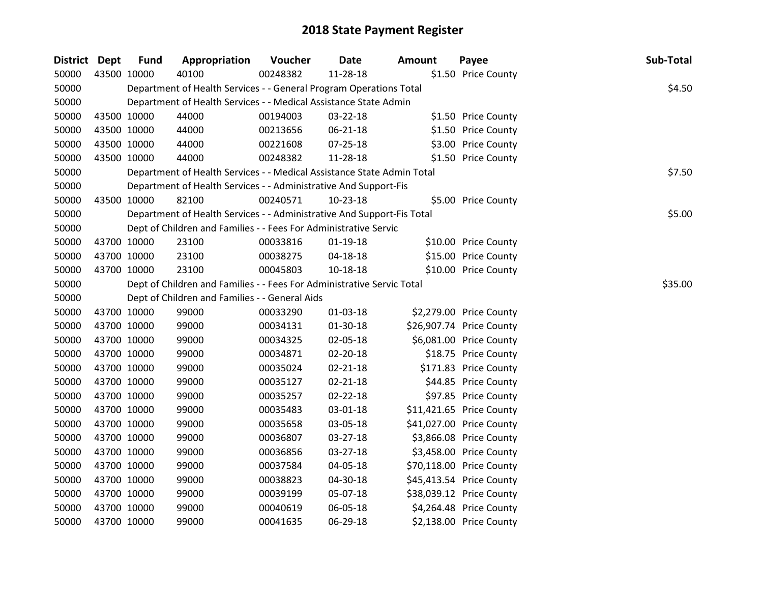| <b>District Dept</b> | <b>Fund</b> | Appropriation                                                          | Voucher  | <b>Date</b>    | <b>Amount</b> | Payee                    | Sub-Total |
|----------------------|-------------|------------------------------------------------------------------------|----------|----------------|---------------|--------------------------|-----------|
| 50000                | 43500 10000 | 40100                                                                  | 00248382 | 11-28-18       |               | \$1.50 Price County      |           |
| 50000                |             | Department of Health Services - - General Program Operations Total     |          |                |               |                          | \$4.50    |
| 50000                |             | Department of Health Services - - Medical Assistance State Admin       |          |                |               |                          |           |
| 50000                | 43500 10000 | 44000                                                                  | 00194003 | 03-22-18       |               | \$1.50 Price County      |           |
| 50000                | 43500 10000 | 44000                                                                  | 00213656 | 06-21-18       |               | \$1.50 Price County      |           |
| 50000                | 43500 10000 | 44000                                                                  | 00221608 | $07 - 25 - 18$ |               | \$3.00 Price County      |           |
| 50000                | 43500 10000 | 44000                                                                  | 00248382 | 11-28-18       |               | \$1.50 Price County      |           |
| 50000                |             | Department of Health Services - - Medical Assistance State Admin Total |          |                |               |                          | \$7.50    |
| 50000                |             | Department of Health Services - - Administrative And Support-Fis       |          |                |               |                          |           |
| 50000                | 43500 10000 | 82100                                                                  | 00240571 | $10-23-18$     |               | \$5.00 Price County      |           |
| 50000                |             | Department of Health Services - - Administrative And Support-Fis Total |          |                |               |                          | \$5.00    |
| 50000                |             | Dept of Children and Families - - Fees For Administrative Servic       |          |                |               |                          |           |
| 50000                | 43700 10000 | 23100                                                                  | 00033816 | $01-19-18$     |               | \$10.00 Price County     |           |
| 50000                | 43700 10000 | 23100                                                                  | 00038275 | 04-18-18       |               | \$15.00 Price County     |           |
| 50000                | 43700 10000 | 23100                                                                  | 00045803 | 10-18-18       |               | \$10.00 Price County     |           |
| 50000                |             | Dept of Children and Families - - Fees For Administrative Servic Total |          |                |               |                          | \$35.00   |
| 50000                |             | Dept of Children and Families - - General Aids                         |          |                |               |                          |           |
| 50000                | 43700 10000 | 99000                                                                  | 00033290 | $01-03-18$     |               | \$2,279.00 Price County  |           |
| 50000                | 43700 10000 | 99000                                                                  | 00034131 | 01-30-18       |               | \$26,907.74 Price County |           |
| 50000                | 43700 10000 | 99000                                                                  | 00034325 | 02-05-18       |               | \$6,081.00 Price County  |           |
| 50000                | 43700 10000 | 99000                                                                  | 00034871 | 02-20-18       |               | \$18.75 Price County     |           |
| 50000                | 43700 10000 | 99000                                                                  | 00035024 | 02-21-18       |               | \$171.83 Price County    |           |
| 50000                | 43700 10000 | 99000                                                                  | 00035127 | $02 - 21 - 18$ |               | \$44.85 Price County     |           |
| 50000                | 43700 10000 | 99000                                                                  | 00035257 | 02-22-18       |               | \$97.85 Price County     |           |
| 50000                | 43700 10000 | 99000                                                                  | 00035483 | 03-01-18       |               | \$11,421.65 Price County |           |
| 50000                | 43700 10000 | 99000                                                                  | 00035658 | 03-05-18       |               | \$41,027.00 Price County |           |
| 50000                | 43700 10000 | 99000                                                                  | 00036807 | 03-27-18       |               | \$3,866.08 Price County  |           |
| 50000                | 43700 10000 | 99000                                                                  | 00036856 | 03-27-18       |               | \$3,458.00 Price County  |           |
| 50000                | 43700 10000 | 99000                                                                  | 00037584 | 04-05-18       |               | \$70,118.00 Price County |           |
| 50000                | 43700 10000 | 99000                                                                  | 00038823 | 04-30-18       |               | \$45,413.54 Price County |           |
| 50000                | 43700 10000 | 99000                                                                  | 00039199 | 05-07-18       |               | \$38,039.12 Price County |           |
| 50000                | 43700 10000 | 99000                                                                  | 00040619 | 06-05-18       |               | \$4,264.48 Price County  |           |
| 50000                | 43700 10000 | 99000                                                                  | 00041635 | 06-29-18       |               | \$2,138.00 Price County  |           |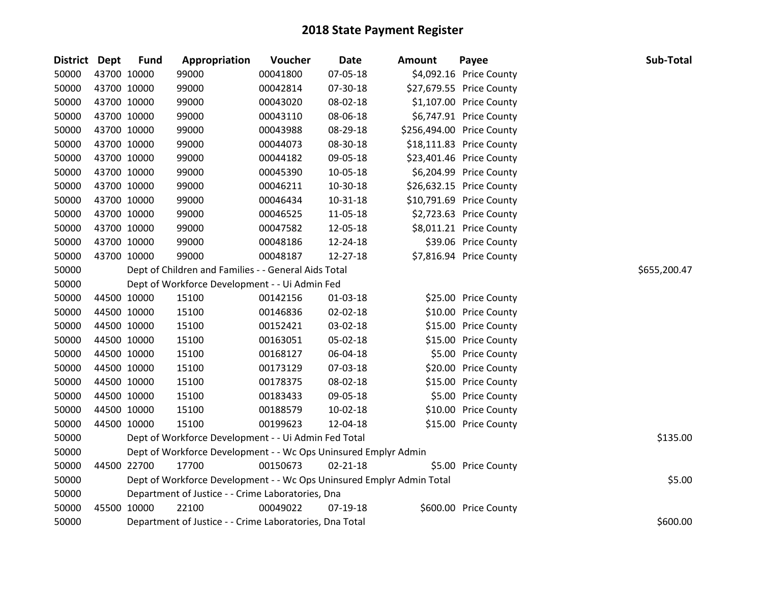| District Dept |             | <b>Fund</b> | Appropriation                                                         | Voucher  | Date           | Amount | Payee                     | Sub-Total    |
|---------------|-------------|-------------|-----------------------------------------------------------------------|----------|----------------|--------|---------------------------|--------------|
| 50000         |             | 43700 10000 | 99000                                                                 | 00041800 | 07-05-18       |        | \$4,092.16 Price County   |              |
| 50000         | 43700 10000 |             | 99000                                                                 | 00042814 | 07-30-18       |        | \$27,679.55 Price County  |              |
| 50000         | 43700 10000 |             | 99000                                                                 | 00043020 | 08-02-18       |        | \$1,107.00 Price County   |              |
| 50000         | 43700 10000 |             | 99000                                                                 | 00043110 | 08-06-18       |        | \$6,747.91 Price County   |              |
| 50000         | 43700 10000 |             | 99000                                                                 | 00043988 | 08-29-18       |        | \$256,494.00 Price County |              |
| 50000         |             | 43700 10000 | 99000                                                                 | 00044073 | 08-30-18       |        | \$18,111.83 Price County  |              |
| 50000         |             | 43700 10000 | 99000                                                                 | 00044182 | 09-05-18       |        | \$23,401.46 Price County  |              |
| 50000         | 43700 10000 |             | 99000                                                                 | 00045390 | 10-05-18       |        | \$6,204.99 Price County   |              |
| 50000         | 43700 10000 |             | 99000                                                                 | 00046211 | 10-30-18       |        | \$26,632.15 Price County  |              |
| 50000         | 43700 10000 |             | 99000                                                                 | 00046434 | $10 - 31 - 18$ |        | \$10,791.69 Price County  |              |
| 50000         |             | 43700 10000 | 99000                                                                 | 00046525 | 11-05-18       |        | \$2,723.63 Price County   |              |
| 50000         | 43700 10000 |             | 99000                                                                 | 00047582 | 12-05-18       |        | \$8,011.21 Price County   |              |
| 50000         | 43700 10000 |             | 99000                                                                 | 00048186 | 12-24-18       |        | \$39.06 Price County      |              |
| 50000         |             | 43700 10000 | 99000                                                                 | 00048187 | 12-27-18       |        | \$7,816.94 Price County   |              |
| 50000         |             |             | Dept of Children and Families - - General Aids Total                  |          |                |        |                           | \$655,200.47 |
| 50000         |             |             | Dept of Workforce Development - - Ui Admin Fed                        |          |                |        |                           |              |
| 50000         |             | 44500 10000 | 15100                                                                 | 00142156 | 01-03-18       |        | \$25.00 Price County      |              |
| 50000         | 44500 10000 |             | 15100                                                                 | 00146836 | 02-02-18       |        | \$10.00 Price County      |              |
| 50000         | 44500 10000 |             | 15100                                                                 | 00152421 | 03-02-18       |        | \$15.00 Price County      |              |
| 50000         | 44500 10000 |             | 15100                                                                 | 00163051 | 05-02-18       |        | \$15.00 Price County      |              |
| 50000         |             | 44500 10000 | 15100                                                                 | 00168127 | 06-04-18       |        | \$5.00 Price County       |              |
| 50000         | 44500 10000 |             | 15100                                                                 | 00173129 | 07-03-18       |        | \$20.00 Price County      |              |
| 50000         |             | 44500 10000 | 15100                                                                 | 00178375 | 08-02-18       |        | \$15.00 Price County      |              |
| 50000         |             | 44500 10000 | 15100                                                                 | 00183433 | 09-05-18       |        | \$5.00 Price County       |              |
| 50000         |             | 44500 10000 | 15100                                                                 | 00188579 | 10-02-18       |        | \$10.00 Price County      |              |
| 50000         |             | 44500 10000 | 15100                                                                 | 00199623 | 12-04-18       |        | \$15.00 Price County      |              |
| 50000         |             |             | Dept of Workforce Development - - Ui Admin Fed Total                  |          |                |        |                           | \$135.00     |
| 50000         |             |             | Dept of Workforce Development - - Wc Ops Uninsured Emplyr Admin       |          |                |        |                           |              |
| 50000         |             | 44500 22700 | 17700                                                                 | 00150673 | $02 - 21 - 18$ |        | \$5.00 Price County       |              |
| 50000         |             |             | Dept of Workforce Development - - Wc Ops Uninsured Emplyr Admin Total |          |                |        |                           | \$5.00       |
| 50000         |             |             | Department of Justice - - Crime Laboratories, Dna                     |          |                |        |                           |              |
| 50000         | 45500 10000 |             | 22100                                                                 | 00049022 | 07-19-18       |        | \$600.00 Price County     |              |
| 50000         |             |             | Department of Justice - - Crime Laboratories, Dna Total               |          |                |        |                           | \$600.00     |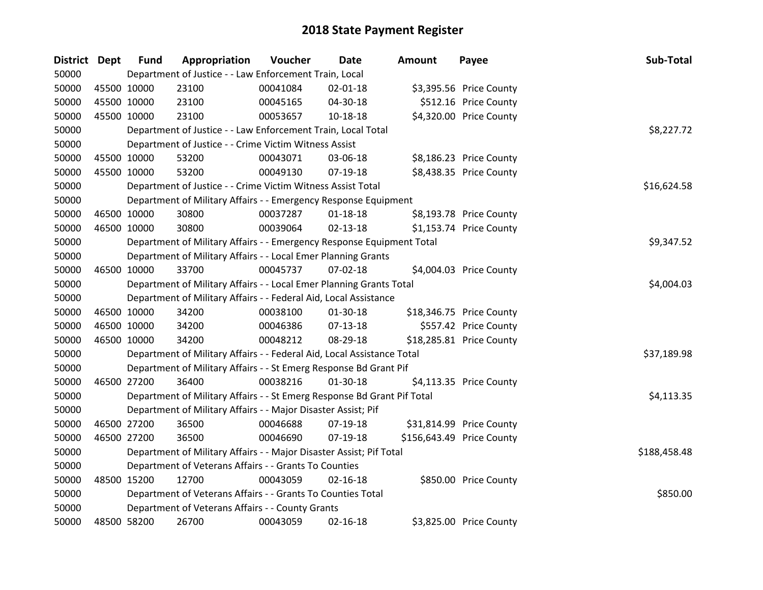| District Dept |             | <b>Fund</b> | Appropriation                                                           | Voucher  | <b>Date</b>    | <b>Amount</b> | Payee                     | Sub-Total    |
|---------------|-------------|-------------|-------------------------------------------------------------------------|----------|----------------|---------------|---------------------------|--------------|
| 50000         |             |             | Department of Justice - - Law Enforcement Train, Local                  |          |                |               |                           |              |
| 50000         |             | 45500 10000 | 23100                                                                   | 00041084 | 02-01-18       |               | \$3,395.56 Price County   |              |
| 50000         |             | 45500 10000 | 23100                                                                   | 00045165 | 04-30-18       |               | \$512.16 Price County     |              |
| 50000         | 45500 10000 |             | 23100                                                                   | 00053657 | 10-18-18       |               | \$4,320.00 Price County   |              |
| 50000         |             |             | Department of Justice - - Law Enforcement Train, Local Total            |          |                |               |                           | \$8,227.72   |
| 50000         |             |             | Department of Justice - - Crime Victim Witness Assist                   |          |                |               |                           |              |
| 50000         |             | 45500 10000 | 53200                                                                   | 00043071 | 03-06-18       |               | \$8,186.23 Price County   |              |
| 50000         |             | 45500 10000 | 53200                                                                   | 00049130 | 07-19-18       |               | \$8,438.35 Price County   |              |
| 50000         |             |             | Department of Justice - - Crime Victim Witness Assist Total             |          | \$16,624.58    |               |                           |              |
| 50000         |             |             | Department of Military Affairs - - Emergency Response Equipment         |          |                |               |                           |              |
| 50000         |             | 46500 10000 | 30800                                                                   | 00037287 | $01 - 18 - 18$ |               | \$8,193.78 Price County   |              |
| 50000         | 46500 10000 |             | 30800                                                                   | 00039064 | $02 - 13 - 18$ |               | \$1,153.74 Price County   |              |
| 50000         |             |             | Department of Military Affairs - - Emergency Response Equipment Total   |          |                |               |                           | \$9,347.52   |
| 50000         |             |             | Department of Military Affairs - - Local Emer Planning Grants           |          |                |               |                           |              |
| 50000         | 46500 10000 |             | 33700                                                                   | 00045737 | 07-02-18       |               | \$4,004.03 Price County   |              |
| 50000         |             |             | Department of Military Affairs - - Local Emer Planning Grants Total     |          |                |               |                           | \$4,004.03   |
| 50000         |             |             | Department of Military Affairs - - Federal Aid, Local Assistance        |          |                |               |                           |              |
| 50000         |             | 46500 10000 | 34200                                                                   | 00038100 | $01-30-18$     |               | \$18,346.75 Price County  |              |
| 50000         |             | 46500 10000 | 34200                                                                   | 00046386 | 07-13-18       |               | \$557.42 Price County     |              |
| 50000         | 46500 10000 |             | 34200                                                                   | 00048212 | 08-29-18       |               | \$18,285.81 Price County  |              |
| 50000         |             |             | Department of Military Affairs - - Federal Aid, Local Assistance Total  |          |                |               |                           | \$37,189.98  |
| 50000         |             |             | Department of Military Affairs - - St Emerg Response Bd Grant Pif       |          |                |               |                           |              |
| 50000         |             | 46500 27200 | 36400                                                                   | 00038216 | $01-30-18$     |               | \$4,113.35 Price County   |              |
| 50000         |             |             | Department of Military Affairs - - St Emerg Response Bd Grant Pif Total |          |                |               |                           | \$4,113.35   |
| 50000         |             |             | Department of Military Affairs - - Major Disaster Assist; Pif           |          |                |               |                           |              |
| 50000         |             | 46500 27200 | 36500                                                                   | 00046688 | 07-19-18       |               | \$31,814.99 Price County  |              |
| 50000         |             | 46500 27200 | 36500                                                                   | 00046690 | 07-19-18       |               | \$156,643.49 Price County |              |
| 50000         |             |             | Department of Military Affairs - - Major Disaster Assist; Pif Total     |          |                |               |                           | \$188,458.48 |
| 50000         |             |             | Department of Veterans Affairs - - Grants To Counties                   |          |                |               |                           |              |
| 50000         | 48500 15200 |             | 12700                                                                   | 00043059 | $02 - 16 - 18$ |               | \$850.00 Price County     |              |
| 50000         |             |             | Department of Veterans Affairs - - Grants To Counties Total             |          |                |               |                           | \$850.00     |
| 50000         |             |             | Department of Veterans Affairs - - County Grants                        |          |                |               |                           |              |
| 50000         | 48500 58200 |             | 26700                                                                   | 00043059 | $02 - 16 - 18$ |               | \$3,825.00 Price County   |              |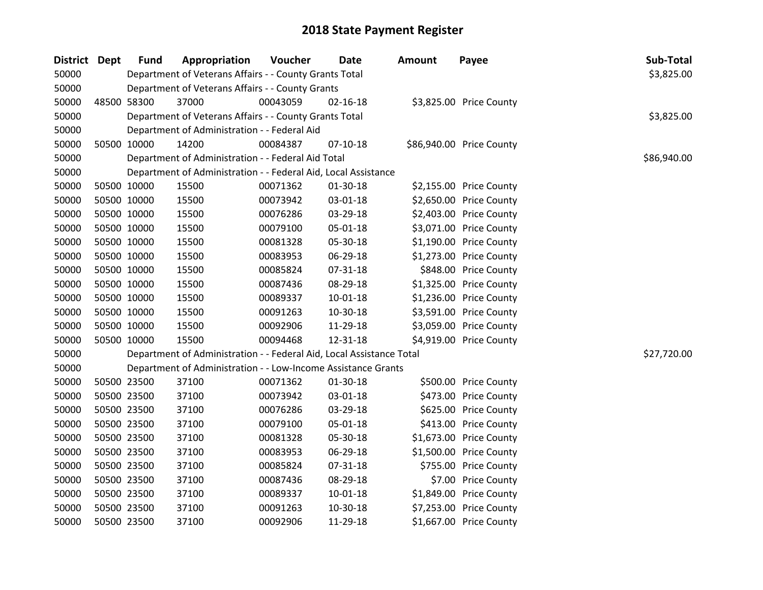| District Dept | <b>Fund</b> | Appropriation                                                        | Voucher  | Date           | Amount | Payee                    | Sub-Total   |
|---------------|-------------|----------------------------------------------------------------------|----------|----------------|--------|--------------------------|-------------|
| 50000         |             | Department of Veterans Affairs - - County Grants Total               |          |                |        |                          | \$3,825.00  |
| 50000         |             | Department of Veterans Affairs - - County Grants                     |          |                |        |                          |             |
| 50000         | 48500 58300 | 37000                                                                | 00043059 | 02-16-18       |        | \$3,825.00 Price County  |             |
| 50000         |             | Department of Veterans Affairs - - County Grants Total               |          |                |        |                          | \$3,825.00  |
| 50000         |             | Department of Administration - - Federal Aid                         |          |                |        |                          |             |
| 50000         | 50500 10000 | 14200                                                                | 00084387 | $07-10-18$     |        | \$86,940.00 Price County |             |
| 50000         |             | Department of Administration - - Federal Aid Total                   |          |                |        |                          | \$86,940.00 |
| 50000         |             | Department of Administration - - Federal Aid, Local Assistance       |          |                |        |                          |             |
| 50000         | 50500 10000 | 15500                                                                | 00071362 | $01-30-18$     |        | \$2,155.00 Price County  |             |
| 50000         | 50500 10000 | 15500                                                                | 00073942 | 03-01-18       |        | \$2,650.00 Price County  |             |
| 50000         | 50500 10000 | 15500                                                                | 00076286 | 03-29-18       |        | \$2,403.00 Price County  |             |
| 50000         | 50500 10000 | 15500                                                                | 00079100 | 05-01-18       |        | \$3,071.00 Price County  |             |
| 50000         | 50500 10000 | 15500                                                                | 00081328 | 05-30-18       |        | \$1,190.00 Price County  |             |
| 50000         | 50500 10000 | 15500                                                                | 00083953 | 06-29-18       |        | \$1,273.00 Price County  |             |
| 50000         | 50500 10000 | 15500                                                                | 00085824 | 07-31-18       |        | \$848.00 Price County    |             |
| 50000         | 50500 10000 | 15500                                                                | 00087436 | 08-29-18       |        | \$1,325.00 Price County  |             |
| 50000         | 50500 10000 | 15500                                                                | 00089337 | $10 - 01 - 18$ |        | \$1,236.00 Price County  |             |
| 50000         | 50500 10000 | 15500                                                                | 00091263 | 10-30-18       |        | \$3,591.00 Price County  |             |
| 50000         | 50500 10000 | 15500                                                                | 00092906 | 11-29-18       |        | \$3,059.00 Price County  |             |
| 50000         | 50500 10000 | 15500                                                                | 00094468 | 12-31-18       |        | \$4,919.00 Price County  |             |
| 50000         |             | Department of Administration - - Federal Aid, Local Assistance Total |          |                |        |                          | \$27,720.00 |
| 50000         |             | Department of Administration - - Low-Income Assistance Grants        |          |                |        |                          |             |
| 50000         | 50500 23500 | 37100                                                                | 00071362 | 01-30-18       |        | \$500.00 Price County    |             |
| 50000         | 50500 23500 | 37100                                                                | 00073942 | 03-01-18       |        | \$473.00 Price County    |             |
| 50000         | 50500 23500 | 37100                                                                | 00076286 | 03-29-18       |        | \$625.00 Price County    |             |
| 50000         | 50500 23500 | 37100                                                                | 00079100 | 05-01-18       |        | \$413.00 Price County    |             |
| 50000         | 50500 23500 | 37100                                                                | 00081328 | 05-30-18       |        | \$1,673.00 Price County  |             |
| 50000         | 50500 23500 | 37100                                                                | 00083953 | 06-29-18       |        | \$1,500.00 Price County  |             |
| 50000         | 50500 23500 | 37100                                                                | 00085824 | 07-31-18       |        | \$755.00 Price County    |             |
| 50000         | 50500 23500 | 37100                                                                | 00087436 | 08-29-18       |        | \$7.00 Price County      |             |
| 50000         | 50500 23500 | 37100                                                                | 00089337 | 10-01-18       |        | \$1,849.00 Price County  |             |
| 50000         | 50500 23500 | 37100                                                                | 00091263 | 10-30-18       |        | \$7,253.00 Price County  |             |
| 50000         | 50500 23500 | 37100                                                                | 00092906 | 11-29-18       |        | \$1,667.00 Price County  |             |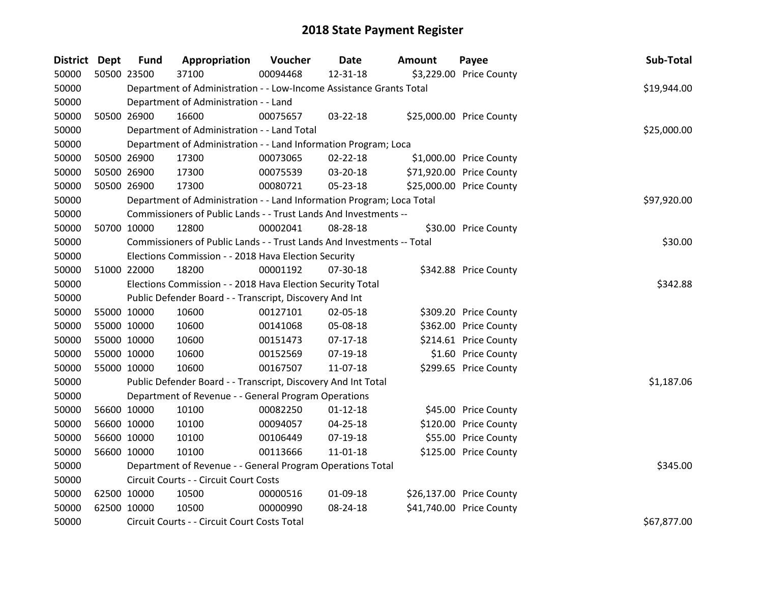| District Dept |             | <b>Fund</b> | Appropriation                                                          | Voucher  | Date           | <b>Amount</b> | Payee                    | Sub-Total   |
|---------------|-------------|-------------|------------------------------------------------------------------------|----------|----------------|---------------|--------------------------|-------------|
| 50000         | 50500 23500 |             | 37100                                                                  | 00094468 | 12-31-18       |               | \$3,229.00 Price County  |             |
| 50000         |             |             | Department of Administration - - Low-Income Assistance Grants Total    |          |                |               |                          | \$19,944.00 |
| 50000         |             |             | Department of Administration - - Land                                  |          |                |               |                          |             |
| 50000         |             | 50500 26900 | 16600                                                                  | 00075657 | 03-22-18       |               | \$25,000.00 Price County |             |
| 50000         |             |             | Department of Administration - - Land Total                            |          |                |               |                          | \$25,000.00 |
| 50000         |             |             | Department of Administration - - Land Information Program; Loca        |          |                |               |                          |             |
| 50000         | 50500 26900 |             | 17300                                                                  | 00073065 | $02 - 22 - 18$ |               | \$1,000.00 Price County  |             |
| 50000         | 50500 26900 |             | 17300                                                                  | 00075539 | 03-20-18       |               | \$71,920.00 Price County |             |
| 50000         | 50500 26900 |             | 17300                                                                  | 00080721 | 05-23-18       |               | \$25,000.00 Price County |             |
| 50000         |             |             | Department of Administration - - Land Information Program; Loca Total  |          |                |               |                          | \$97,920.00 |
| 50000         |             |             | Commissioners of Public Lands - - Trust Lands And Investments --       |          |                |               |                          |             |
| 50000         | 50700 10000 |             | 12800                                                                  | 00002041 | 08-28-18       |               | \$30.00 Price County     |             |
| 50000         |             |             | Commissioners of Public Lands - - Trust Lands And Investments -- Total |          |                |               |                          | \$30.00     |
| 50000         |             |             | Elections Commission - - 2018 Hava Election Security                   |          |                |               |                          |             |
| 50000         | 51000 22000 |             | 18200                                                                  | 00001192 | 07-30-18       |               | \$342.88 Price County    |             |
| 50000         |             |             | Elections Commission - - 2018 Hava Election Security Total             |          |                |               |                          | \$342.88    |
| 50000         |             |             | Public Defender Board - - Transcript, Discovery And Int                |          |                |               |                          |             |
| 50000         |             | 55000 10000 | 10600                                                                  | 00127101 | 02-05-18       |               | \$309.20 Price County    |             |
| 50000         | 55000 10000 |             | 10600                                                                  | 00141068 | 05-08-18       |               | \$362.00 Price County    |             |
| 50000         | 55000 10000 |             | 10600                                                                  | 00151473 | $07-17-18$     |               | \$214.61 Price County    |             |
| 50000         | 55000 10000 |             | 10600                                                                  | 00152569 | $07-19-18$     |               | \$1.60 Price County      |             |
| 50000         | 55000 10000 |             | 10600                                                                  | 00167507 | 11-07-18       |               | \$299.65 Price County    |             |
| 50000         |             |             | Public Defender Board - - Transcript, Discovery And Int Total          |          |                |               |                          | \$1,187.06  |
| 50000         |             |             | Department of Revenue - - General Program Operations                   |          |                |               |                          |             |
| 50000         | 56600 10000 |             | 10100                                                                  | 00082250 | $01 - 12 - 18$ |               | \$45.00 Price County     |             |
| 50000         | 56600 10000 |             | 10100                                                                  | 00094057 | 04-25-18       |               | \$120.00 Price County    |             |
| 50000         | 56600 10000 |             | 10100                                                                  | 00106449 | 07-19-18       |               | \$55.00 Price County     |             |
| 50000         |             | 56600 10000 | 10100                                                                  | 00113666 | $11 - 01 - 18$ |               | \$125.00 Price County    |             |
| 50000         |             |             | Department of Revenue - - General Program Operations Total             |          |                |               |                          | \$345.00    |
| 50000         |             |             | Circuit Courts - - Circuit Court Costs                                 |          |                |               |                          |             |
| 50000         | 62500 10000 |             | 10500                                                                  | 00000516 | 01-09-18       |               | \$26,137.00 Price County |             |
| 50000         | 62500 10000 |             | 10500                                                                  | 00000990 | 08-24-18       |               | \$41,740.00 Price County |             |
| 50000         |             |             | Circuit Courts - - Circuit Court Costs Total                           |          |                |               |                          | \$67,877.00 |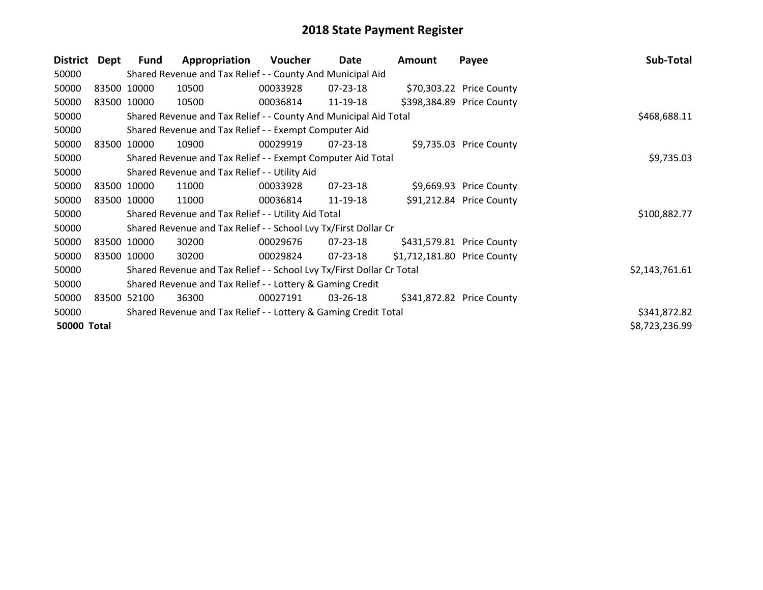| <b>District</b>    | Dept        | Fund        | Appropriation                                                         | <b>Voucher</b> | Date           | Amount                      | Payee                     | Sub-Total      |
|--------------------|-------------|-------------|-----------------------------------------------------------------------|----------------|----------------|-----------------------------|---------------------------|----------------|
| 50000              |             |             | Shared Revenue and Tax Relief - - County And Municipal Aid            |                |                |                             |                           |                |
| 50000              |             | 83500 10000 | 10500                                                                 | 00033928       | 07-23-18       |                             | \$70,303.22 Price County  |                |
| 50000              | 83500 10000 |             | 10500                                                                 | 00036814       | 11-19-18       |                             | \$398,384.89 Price County |                |
| 50000              |             |             | Shared Revenue and Tax Relief - - County And Municipal Aid Total      |                |                |                             |                           | \$468,688.11   |
| 50000              |             |             | Shared Revenue and Tax Relief - - Exempt Computer Aid                 |                |                |                             |                           |                |
| 50000              | 83500 10000 |             | 10900                                                                 | 00029919       | $07 - 23 - 18$ |                             | \$9,735.03 Price County   |                |
| 50000              |             |             | Shared Revenue and Tax Relief - - Exempt Computer Aid Total           |                |                |                             |                           | \$9,735.03     |
| 50000              |             |             | Shared Revenue and Tax Relief - - Utility Aid                         |                |                |                             |                           |                |
| 50000              |             | 83500 10000 | 11000                                                                 | 00033928       | $07 - 23 - 18$ |                             | \$9,669.93 Price County   |                |
| 50000              | 83500 10000 |             | 11000                                                                 | 00036814       | 11-19-18       |                             | \$91,212.84 Price County  |                |
| 50000              |             |             | Shared Revenue and Tax Relief - - Utility Aid Total                   |                |                |                             |                           | \$100,882.77   |
| 50000              |             |             | Shared Revenue and Tax Relief - - School Lvy Tx/First Dollar Cr       |                |                |                             |                           |                |
| 50000              |             | 83500 10000 | 30200                                                                 | 00029676       | 07-23-18       |                             | \$431,579.81 Price County |                |
| 50000              | 83500 10000 |             | 30200                                                                 | 00029824       | $07 - 23 - 18$ | \$1,712,181.80 Price County |                           |                |
| 50000              |             |             | Shared Revenue and Tax Relief - - School Lvy Tx/First Dollar Cr Total |                |                |                             |                           | \$2,143,761.61 |
| 50000              |             |             | Shared Revenue and Tax Relief - - Lottery & Gaming Credit             |                |                |                             |                           |                |
| 50000              | 83500 52100 |             | 36300                                                                 | 00027191       | $03 - 26 - 18$ |                             | \$341,872.82 Price County |                |
| 50000              |             |             | Shared Revenue and Tax Relief - - Lottery & Gaming Credit Total       |                |                |                             |                           | \$341,872.82   |
| <b>50000 Total</b> |             |             |                                                                       |                |                |                             |                           | \$8,723,236.99 |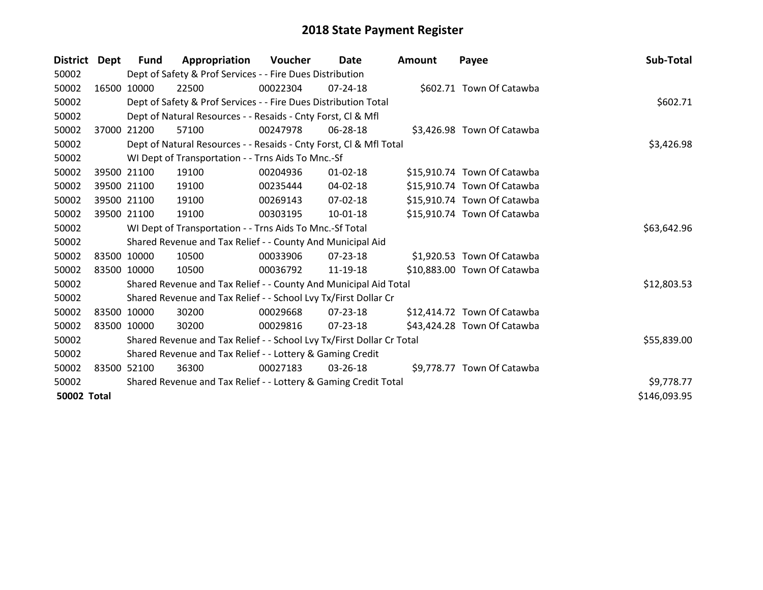| District Dept      |       | <b>Fund</b> | Appropriation                                                         | Voucher  | Date           | <b>Amount</b> | Payee                       | Sub-Total    |
|--------------------|-------|-------------|-----------------------------------------------------------------------|----------|----------------|---------------|-----------------------------|--------------|
| 50002              |       |             | Dept of Safety & Prof Services - - Fire Dues Distribution             |          |                |               |                             |              |
| 50002              |       | 16500 10000 | 22500                                                                 | 00022304 | $07 - 24 - 18$ |               | \$602.71 Town Of Catawba    |              |
| 50002              |       |             | Dept of Safety & Prof Services - - Fire Dues Distribution Total       |          | \$602.71       |               |                             |              |
| 50002              |       |             | Dept of Natural Resources - - Resaids - Cnty Forst, CI & Mfl          |          |                |               |                             |              |
| 50002              | 37000 | 21200       | 57100                                                                 | 00247978 | 06-28-18       |               | \$3,426.98 Town Of Catawba  |              |
| 50002              |       |             | Dept of Natural Resources - - Resaids - Cnty Forst, Cl & Mfl Total    |          | \$3,426.98     |               |                             |              |
| 50002              |       |             | WI Dept of Transportation - - Trns Aids To Mnc.-Sf                    |          |                |               |                             |              |
| 50002              |       | 39500 21100 | 19100                                                                 | 00204936 | $01 - 02 - 18$ |               | \$15,910.74 Town Of Catawba |              |
| 50002              |       | 39500 21100 | 19100                                                                 | 00235444 | 04-02-18       |               | \$15,910.74 Town Of Catawba |              |
| 50002              |       | 39500 21100 | 19100                                                                 | 00269143 | 07-02-18       |               | \$15,910.74 Town Of Catawba |              |
| 50002              |       | 39500 21100 | 19100                                                                 | 00303195 | 10-01-18       |               | \$15,910.74 Town Of Catawba |              |
| 50002              |       |             | WI Dept of Transportation - - Trns Aids To Mnc.-Sf Total              |          |                |               |                             | \$63,642.96  |
| 50002              |       |             | Shared Revenue and Tax Relief - - County And Municipal Aid            |          |                |               |                             |              |
| 50002              |       | 83500 10000 | 10500                                                                 | 00033906 | 07-23-18       |               | \$1,920.53 Town Of Catawba  |              |
| 50002              |       | 83500 10000 | 10500                                                                 | 00036792 | 11-19-18       |               | \$10,883.00 Town Of Catawba |              |
| 50002              |       |             | Shared Revenue and Tax Relief - - County And Municipal Aid Total      |          |                |               |                             | \$12,803.53  |
| 50002              |       |             | Shared Revenue and Tax Relief - - School Lvy Tx/First Dollar Cr       |          |                |               |                             |              |
| 50002              |       | 83500 10000 | 30200                                                                 | 00029668 | 07-23-18       |               | \$12,414.72 Town Of Catawba |              |
| 50002              |       | 83500 10000 | 30200                                                                 | 00029816 | 07-23-18       |               | \$43,424.28 Town Of Catawba |              |
| 50002              |       |             | Shared Revenue and Tax Relief - - School Lvy Tx/First Dollar Cr Total |          |                |               |                             | \$55,839.00  |
| 50002              |       |             | Shared Revenue and Tax Relief - - Lottery & Gaming Credit             |          |                |               |                             |              |
| 50002              |       | 83500 52100 | 36300                                                                 | 00027183 | $03 - 26 - 18$ |               | \$9,778.77 Town Of Catawba  |              |
| 50002              |       |             | Shared Revenue and Tax Relief - - Lottery & Gaming Credit Total       |          |                |               |                             | \$9,778.77   |
| <b>50002 Total</b> |       |             |                                                                       |          |                |               |                             | \$146,093.95 |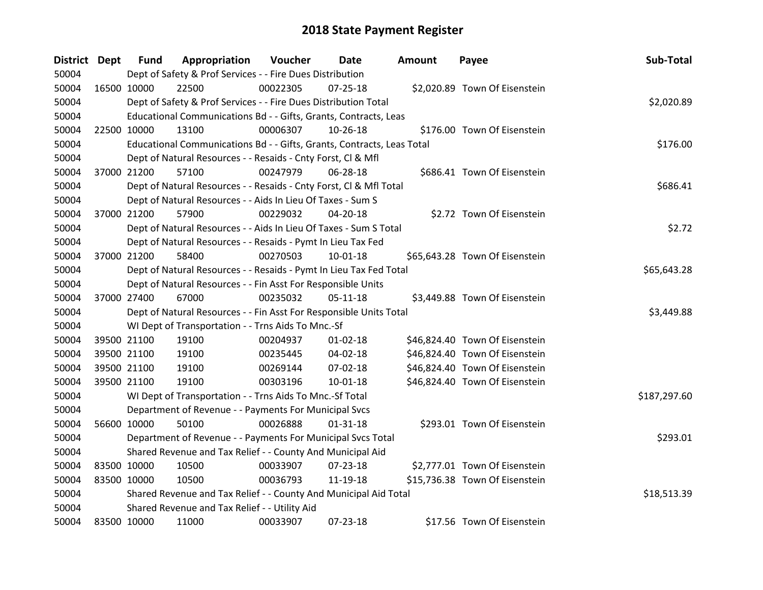| <b>District</b> | Dept        | <b>Fund</b> | Appropriation                                                          | Voucher  | Date           | Amount | Payee                          | Sub-Total    |  |  |
|-----------------|-------------|-------------|------------------------------------------------------------------------|----------|----------------|--------|--------------------------------|--------------|--|--|
| 50004           |             |             | Dept of Safety & Prof Services - - Fire Dues Distribution              |          |                |        |                                |              |  |  |
| 50004           | 16500 10000 |             | 22500                                                                  | 00022305 | 07-25-18       |        | \$2,020.89 Town Of Eisenstein  |              |  |  |
| 50004           |             |             | Dept of Safety & Prof Services - - Fire Dues Distribution Total        |          |                |        |                                | \$2,020.89   |  |  |
| 50004           |             |             | Educational Communications Bd - - Gifts, Grants, Contracts, Leas       |          |                |        |                                |              |  |  |
| 50004           | 22500 10000 |             | 13100                                                                  | 00006307 | 10-26-18       |        | \$176.00 Town Of Eisenstein    |              |  |  |
| 50004           |             |             | Educational Communications Bd - - Gifts, Grants, Contracts, Leas Total |          |                |        |                                | \$176.00     |  |  |
| 50004           |             |             | Dept of Natural Resources - - Resaids - Cnty Forst, Cl & Mfl           |          |                |        |                                |              |  |  |
| 50004           | 37000 21200 |             | 57100                                                                  | 00247979 | 06-28-18       |        | \$686.41 Town Of Eisenstein    |              |  |  |
| 50004           |             |             | Dept of Natural Resources - - Resaids - Cnty Forst, Cl & Mfl Total     |          |                |        |                                | \$686.41     |  |  |
| 50004           |             |             | Dept of Natural Resources - - Aids In Lieu Of Taxes - Sum S            |          |                |        |                                |              |  |  |
| 50004           | 37000 21200 |             | 57900                                                                  | 00229032 | 04-20-18       |        | \$2.72 Town Of Eisenstein      |              |  |  |
| 50004           |             |             | Dept of Natural Resources - - Aids In Lieu Of Taxes - Sum S Total      |          |                |        |                                | \$2.72       |  |  |
| 50004           |             |             | Dept of Natural Resources - - Resaids - Pymt In Lieu Tax Fed           |          |                |        |                                |              |  |  |
| 50004           | 37000 21200 |             | 58400                                                                  | 00270503 | $10 - 01 - 18$ |        | \$65,643.28 Town Of Eisenstein |              |  |  |
| 50004           |             |             | Dept of Natural Resources - - Resaids - Pymt In Lieu Tax Fed Total     |          |                |        |                                | \$65,643.28  |  |  |
| 50004           |             |             | Dept of Natural Resources - - Fin Asst For Responsible Units           |          |                |        |                                |              |  |  |
| 50004           | 37000 27400 |             | 67000                                                                  | 00235032 | 05-11-18       |        | \$3,449.88 Town Of Eisenstein  |              |  |  |
| 50004           |             |             | Dept of Natural Resources - - Fin Asst For Responsible Units Total     |          |                |        |                                | \$3,449.88   |  |  |
| 50004           |             |             | WI Dept of Transportation - - Trns Aids To Mnc.-Sf                     |          |                |        |                                |              |  |  |
| 50004           |             | 39500 21100 | 19100                                                                  | 00204937 | $01 - 02 - 18$ |        | \$46,824.40 Town Of Eisenstein |              |  |  |
| 50004           |             | 39500 21100 | 19100                                                                  | 00235445 | 04-02-18       |        | \$46,824.40 Town Of Eisenstein |              |  |  |
| 50004           |             | 39500 21100 | 19100                                                                  | 00269144 | 07-02-18       |        | \$46,824.40 Town Of Eisenstein |              |  |  |
| 50004           | 39500 21100 |             | 19100                                                                  | 00303196 | $10 - 01 - 18$ |        | \$46,824.40 Town Of Eisenstein |              |  |  |
| 50004           |             |             | WI Dept of Transportation - - Trns Aids To Mnc.-Sf Total               |          |                |        |                                | \$187,297.60 |  |  |
| 50004           |             |             | Department of Revenue - - Payments For Municipal Svcs                  |          |                |        |                                |              |  |  |
| 50004           | 56600 10000 |             | 50100                                                                  | 00026888 | $01 - 31 - 18$ |        | \$293.01 Town Of Eisenstein    |              |  |  |
| 50004           |             |             | Department of Revenue - - Payments For Municipal Svcs Total            |          |                |        |                                | \$293.01     |  |  |
| 50004           |             |             | Shared Revenue and Tax Relief - - County And Municipal Aid             |          |                |        |                                |              |  |  |
| 50004           | 83500 10000 |             | 10500                                                                  | 00033907 | $07 - 23 - 18$ |        | \$2,777.01 Town Of Eisenstein  |              |  |  |
| 50004           | 83500 10000 |             | 10500                                                                  | 00036793 | 11-19-18       |        | \$15,736.38 Town Of Eisenstein |              |  |  |
| 50004           |             |             | Shared Revenue and Tax Relief - - County And Municipal Aid Total       |          |                |        |                                | \$18,513.39  |  |  |
| 50004           |             |             | Shared Revenue and Tax Relief - - Utility Aid                          |          |                |        |                                |              |  |  |
| 50004           | 83500 10000 |             | 11000                                                                  | 00033907 | 07-23-18       |        | \$17.56 Town Of Eisenstein     |              |  |  |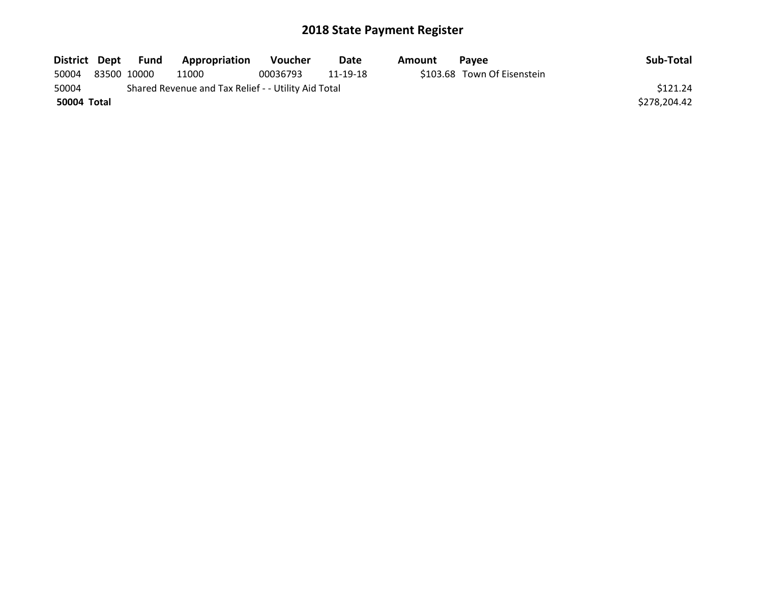| District Dept |             | Fund | Appropriation                                       | <b>Voucher</b> | Date     | Amount | <b>Pavee</b>                | Sub-Total    |
|---------------|-------------|------|-----------------------------------------------------|----------------|----------|--------|-----------------------------|--------------|
| 50004         | 83500 10000 |      | 11000                                               | 00036793       | 11-19-18 |        | \$103.68 Town Of Eisenstein |              |
| 50004         |             |      | Shared Revenue and Tax Relief - - Utility Aid Total |                |          |        |                             | \$121.24     |
| 50004 Total   |             |      |                                                     |                |          |        |                             | \$278,204.42 |
|               |             |      |                                                     |                |          |        |                             |              |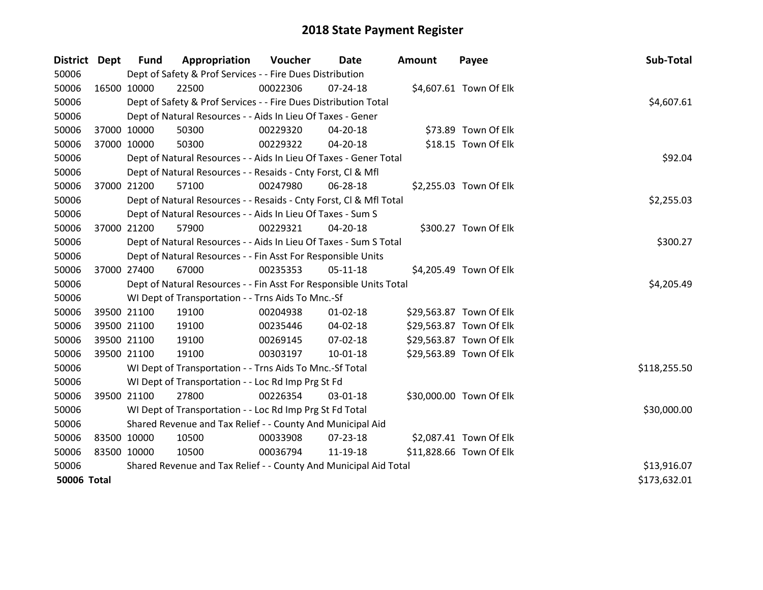| District Dept      |             | <b>Fund</b> | Appropriation                                                      | Voucher  | Date           | Amount | Sub-Total<br>Payee      |  |
|--------------------|-------------|-------------|--------------------------------------------------------------------|----------|----------------|--------|-------------------------|--|
| 50006              |             |             | Dept of Safety & Prof Services - - Fire Dues Distribution          |          |                |        |                         |  |
| 50006              | 16500 10000 |             | 22500                                                              | 00022306 | $07 - 24 - 18$ |        | \$4,607.61 Town Of Elk  |  |
| 50006              |             |             | Dept of Safety & Prof Services - - Fire Dues Distribution Total    |          |                |        | \$4,607.61              |  |
| 50006              |             |             | Dept of Natural Resources - - Aids In Lieu Of Taxes - Gener        |          |                |        |                         |  |
| 50006              | 37000 10000 |             | 50300                                                              | 00229320 | 04-20-18       |        | \$73.89 Town Of Elk     |  |
| 50006              | 37000 10000 |             | 50300                                                              | 00229322 | 04-20-18       |        | \$18.15 Town Of Elk     |  |
| 50006              |             |             | Dept of Natural Resources - - Aids In Lieu Of Taxes - Gener Total  |          | \$92.04        |        |                         |  |
| 50006              |             |             | Dept of Natural Resources - - Resaids - Cnty Forst, CI & Mfl       |          |                |        |                         |  |
| 50006              | 37000 21200 |             | 57100                                                              | 00247980 | 06-28-18       |        | \$2,255.03 Town Of Elk  |  |
| 50006              |             |             | Dept of Natural Resources - - Resaids - Cnty Forst, Cl & Mfl Total |          |                |        | \$2,255.03              |  |
| 50006              |             |             | Dept of Natural Resources - - Aids In Lieu Of Taxes - Sum S        |          |                |        |                         |  |
| 50006              | 37000 21200 |             | 57900                                                              | 00229321 | $04 - 20 - 18$ |        | \$300.27 Town Of Elk    |  |
| 50006              |             |             | Dept of Natural Resources - - Aids In Lieu Of Taxes - Sum S Total  |          |                |        | \$300.27                |  |
| 50006              |             |             | Dept of Natural Resources - - Fin Asst For Responsible Units       |          |                |        |                         |  |
| 50006              | 37000 27400 |             | 67000                                                              | 00235353 | $05-11-18$     |        | \$4,205.49 Town Of Elk  |  |
| 50006              |             |             | Dept of Natural Resources - - Fin Asst For Responsible Units Total |          |                |        | \$4,205.49              |  |
| 50006              |             |             | WI Dept of Transportation - - Trns Aids To Mnc.-Sf                 |          |                |        |                         |  |
| 50006              | 39500 21100 |             | 19100                                                              | 00204938 | $01 - 02 - 18$ |        | \$29,563.87 Town Of Elk |  |
| 50006              | 39500 21100 |             | 19100                                                              | 00235446 | 04-02-18       |        | \$29,563.87 Town Of Elk |  |
| 50006              | 39500 21100 |             | 19100                                                              | 00269145 | 07-02-18       |        | \$29,563.87 Town Of Elk |  |
| 50006              | 39500 21100 |             | 19100                                                              | 00303197 | 10-01-18       |        | \$29,563.89 Town Of Elk |  |
| 50006              |             |             | WI Dept of Transportation - - Trns Aids To Mnc.-Sf Total           |          |                |        | \$118,255.50            |  |
| 50006              |             |             | WI Dept of Transportation - - Loc Rd Imp Prg St Fd                 |          |                |        |                         |  |
| 50006              | 39500 21100 |             | 27800                                                              | 00226354 | 03-01-18       |        | \$30,000.00 Town Of Elk |  |
| 50006              |             |             | WI Dept of Transportation - - Loc Rd Imp Prg St Fd Total           |          |                |        | \$30,000.00             |  |
| 50006              |             |             | Shared Revenue and Tax Relief - - County And Municipal Aid         |          |                |        |                         |  |
| 50006              | 83500 10000 |             | 10500                                                              | 00033908 | 07-23-18       |        | \$2,087.41 Town Of Elk  |  |
| 50006              | 83500 10000 |             | 10500                                                              | 00036794 | 11-19-18       |        | \$11,828.66 Town Of Elk |  |
| 50006              |             |             | Shared Revenue and Tax Relief - - County And Municipal Aid Total   |          |                |        | \$13,916.07             |  |
| <b>50006 Total</b> |             |             |                                                                    |          |                |        | \$173,632.01            |  |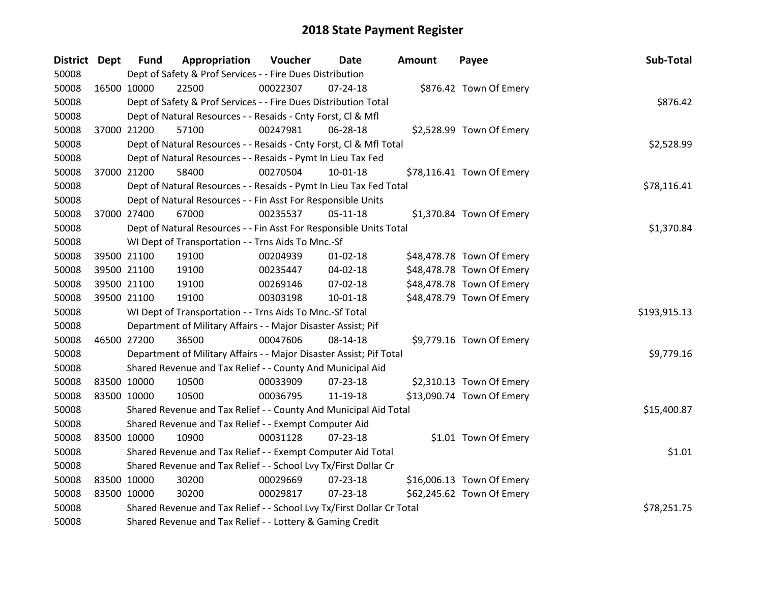| District Dept |             | <b>Fund</b>                                                     | Appropriation                                                         | Voucher  | Date           | Amount | Payee                     | Sub-Total    |
|---------------|-------------|-----------------------------------------------------------------|-----------------------------------------------------------------------|----------|----------------|--------|---------------------------|--------------|
| 50008         |             |                                                                 | Dept of Safety & Prof Services - - Fire Dues Distribution             |          |                |        |                           |              |
| 50008         | 16500 10000 |                                                                 | 22500                                                                 | 00022307 | $07 - 24 - 18$ |        | \$876.42 Town Of Emery    |              |
| 50008         |             |                                                                 | Dept of Safety & Prof Services - - Fire Dues Distribution Total       |          |                |        |                           | \$876.42     |
| 50008         |             |                                                                 | Dept of Natural Resources - - Resaids - Cnty Forst, CI & Mfl          |          |                |        |                           |              |
| 50008         | 37000 21200 |                                                                 | 57100                                                                 | 00247981 | 06-28-18       |        | \$2,528.99 Town Of Emery  |              |
| 50008         |             |                                                                 | Dept of Natural Resources - - Resaids - Cnty Forst, Cl & Mfl Total    |          |                |        |                           | \$2,528.99   |
| 50008         |             |                                                                 | Dept of Natural Resources - - Resaids - Pymt In Lieu Tax Fed          |          |                |        |                           |              |
| 50008         | 37000 21200 |                                                                 | 58400                                                                 | 00270504 | $10-01-18$     |        | \$78,116.41 Town Of Emery |              |
| 50008         |             |                                                                 | Dept of Natural Resources - - Resaids - Pymt In Lieu Tax Fed Total    |          |                |        |                           | \$78,116.41  |
| 50008         |             |                                                                 | Dept of Natural Resources - - Fin Asst For Responsible Units          |          |                |        |                           |              |
| 50008         | 37000 27400 |                                                                 | 67000                                                                 | 00235537 | $05-11-18$     |        | \$1,370.84 Town Of Emery  |              |
| 50008         |             |                                                                 | Dept of Natural Resources - - Fin Asst For Responsible Units Total    |          |                |        |                           | \$1,370.84   |
| 50008         |             |                                                                 | WI Dept of Transportation - - Trns Aids To Mnc.-Sf                    |          |                |        |                           |              |
| 50008         |             | 39500 21100                                                     | 19100                                                                 | 00204939 | $01 - 02 - 18$ |        | \$48,478.78 Town Of Emery |              |
| 50008         |             | 39500 21100                                                     | 19100                                                                 | 00235447 | 04-02-18       |        | \$48,478.78 Town Of Emery |              |
| 50008         |             | 39500 21100                                                     | 19100                                                                 | 00269146 | 07-02-18       |        | \$48,478.78 Town Of Emery |              |
| 50008         | 39500 21100 |                                                                 | 19100                                                                 | 00303198 | $10 - 01 - 18$ |        | \$48,478.79 Town Of Emery |              |
| 50008         |             |                                                                 | WI Dept of Transportation - - Trns Aids To Mnc.-Sf Total              |          |                |        |                           | \$193,915.13 |
| 50008         |             |                                                                 | Department of Military Affairs - - Major Disaster Assist; Pif         |          |                |        |                           |              |
| 50008         | 46500 27200 |                                                                 | 36500                                                                 | 00047606 | 08-14-18       |        | \$9,779.16 Town Of Emery  |              |
| 50008         |             |                                                                 | Department of Military Affairs - - Major Disaster Assist; Pif Total   |          |                |        |                           | \$9,779.16   |
| 50008         |             |                                                                 | Shared Revenue and Tax Relief - - County And Municipal Aid            |          |                |        |                           |              |
| 50008         | 83500 10000 |                                                                 | 10500                                                                 | 00033909 | 07-23-18       |        | \$2,310.13 Town Of Emery  |              |
| 50008         | 83500 10000 |                                                                 | 10500                                                                 | 00036795 | 11-19-18       |        | \$13,090.74 Town Of Emery |              |
| 50008         |             |                                                                 | Shared Revenue and Tax Relief - - County And Municipal Aid Total      |          |                |        |                           | \$15,400.87  |
| 50008         |             |                                                                 | Shared Revenue and Tax Relief - - Exempt Computer Aid                 |          |                |        |                           |              |
| 50008         | 83500 10000 |                                                                 | 10900                                                                 | 00031128 | $07 - 23 - 18$ |        | \$1.01 Town Of Emery      |              |
| 50008         |             |                                                                 | Shared Revenue and Tax Relief - - Exempt Computer Aid Total           |          |                |        |                           | \$1.01       |
| 50008         |             | Shared Revenue and Tax Relief - - School Lvy Tx/First Dollar Cr |                                                                       |          |                |        |                           |              |
| 50008         | 83500 10000 |                                                                 | 30200                                                                 | 00029669 | 07-23-18       |        | \$16,006.13 Town Of Emery |              |
| 50008         | 83500 10000 |                                                                 | 30200                                                                 | 00029817 | 07-23-18       |        | \$62,245.62 Town Of Emery |              |
| 50008         |             |                                                                 | Shared Revenue and Tax Relief - - School Lvy Tx/First Dollar Cr Total |          |                |        |                           | \$78,251.75  |
| 50008         |             |                                                                 | Shared Revenue and Tax Relief - - Lottery & Gaming Credit             |          |                |        |                           |              |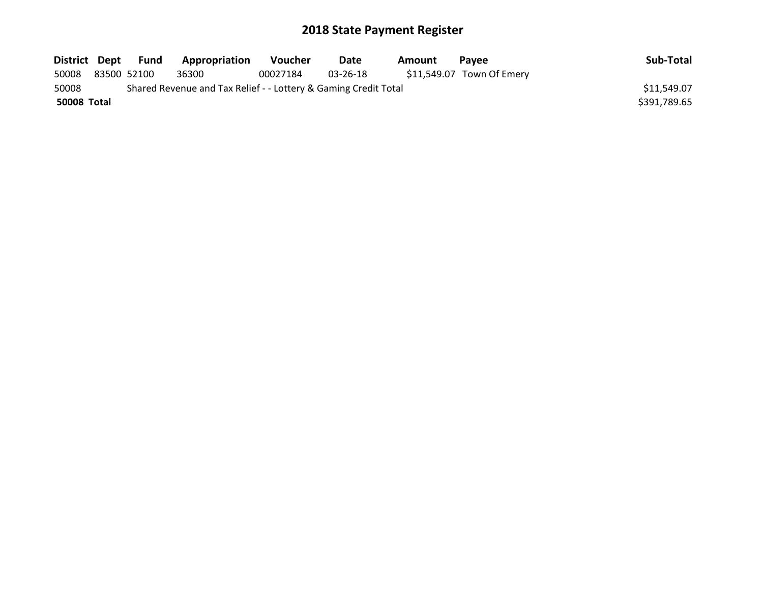| District Dept      |             | Fund | Appropriation                                                   | <b>Voucher</b> | <b>Date</b> | Amount | <b>Pavee</b>              | Sub-Total    |
|--------------------|-------------|------|-----------------------------------------------------------------|----------------|-------------|--------|---------------------------|--------------|
| 50008              | 83500 52100 |      | 36300                                                           | 00027184       | 03-26-18    |        | \$11,549.07 Town Of Emery |              |
| 50008              |             |      | Shared Revenue and Tax Relief - - Lottery & Gaming Credit Total |                |             |        |                           | \$11,549.07  |
| <b>50008 Total</b> |             |      |                                                                 |                |             |        |                           | \$391,789.65 |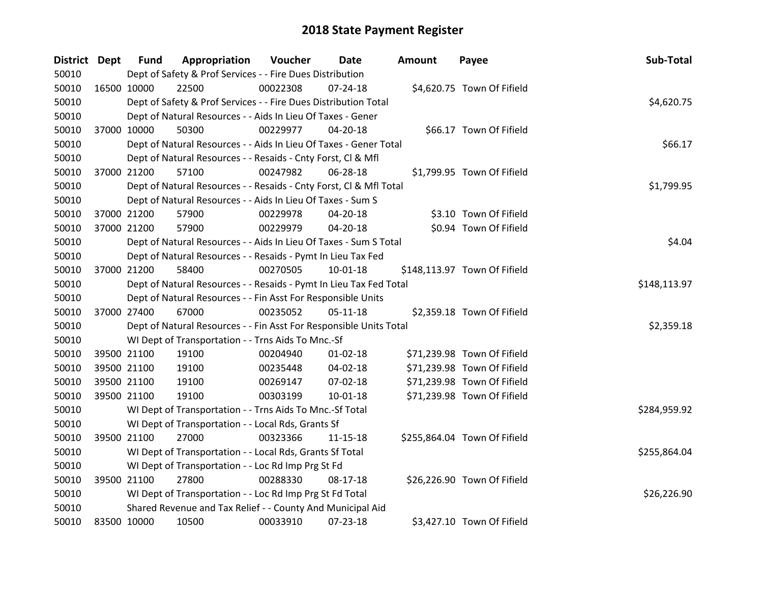| <b>District Dept</b> |             | <b>Fund</b> | Appropriation                                                      | Voucher  | Date           | Amount | Payee                        | Sub-Total    |
|----------------------|-------------|-------------|--------------------------------------------------------------------|----------|----------------|--------|------------------------------|--------------|
| 50010                |             |             | Dept of Safety & Prof Services - - Fire Dues Distribution          |          |                |        |                              |              |
| 50010                | 16500 10000 |             | 22500                                                              | 00022308 | $07 - 24 - 18$ |        | \$4,620.75 Town Of Fifield   |              |
| 50010                |             |             | Dept of Safety & Prof Services - - Fire Dues Distribution Total    |          |                |        |                              | \$4,620.75   |
| 50010                |             |             | Dept of Natural Resources - - Aids In Lieu Of Taxes - Gener        |          |                |        |                              |              |
| 50010                | 37000 10000 |             | 50300                                                              | 00229977 | $04 - 20 - 18$ |        | \$66.17 Town Of Fifield      |              |
| 50010                |             |             | Dept of Natural Resources - - Aids In Lieu Of Taxes - Gener Total  |          |                |        |                              | \$66.17      |
| 50010                |             |             | Dept of Natural Resources - - Resaids - Cnty Forst, Cl & Mfl       |          |                |        |                              |              |
| 50010                |             | 37000 21200 | 57100                                                              | 00247982 | 06-28-18       |        | \$1,799.95 Town Of Fifield   |              |
| 50010                |             |             | Dept of Natural Resources - - Resaids - Cnty Forst, CI & Mfl Total |          |                |        |                              | \$1,799.95   |
| 50010                |             |             | Dept of Natural Resources - - Aids In Lieu Of Taxes - Sum S        |          |                |        |                              |              |
| 50010                |             | 37000 21200 | 57900                                                              | 00229978 | 04-20-18       |        | \$3.10 Town Of Fifield       |              |
| 50010                |             | 37000 21200 | 57900                                                              | 00229979 | $04 - 20 - 18$ |        | \$0.94 Town Of Fifield       |              |
| 50010                |             |             | Dept of Natural Resources - - Aids In Lieu Of Taxes - Sum S Total  |          |                |        |                              | \$4.04       |
| 50010                |             |             | Dept of Natural Resources - - Resaids - Pymt In Lieu Tax Fed       |          |                |        |                              |              |
| 50010                | 37000 21200 |             | 58400                                                              | 00270505 | $10 - 01 - 18$ |        | \$148,113.97 Town Of Fifield |              |
| 50010                |             |             | Dept of Natural Resources - - Resaids - Pymt In Lieu Tax Fed Total |          |                |        |                              | \$148,113.97 |
| 50010                |             |             | Dept of Natural Resources - - Fin Asst For Responsible Units       |          |                |        |                              |              |
| 50010                |             | 37000 27400 | 67000                                                              | 00235052 | 05-11-18       |        | \$2,359.18 Town Of Fifield   |              |
| 50010                |             |             | Dept of Natural Resources - - Fin Asst For Responsible Units Total |          |                |        |                              | \$2,359.18   |
| 50010                |             |             | WI Dept of Transportation - - Trns Aids To Mnc.-Sf                 |          |                |        |                              |              |
| 50010                |             | 39500 21100 | 19100                                                              | 00204940 | $01 - 02 - 18$ |        | \$71,239.98 Town Of Fifield  |              |
| 50010                |             | 39500 21100 | 19100                                                              | 00235448 | 04-02-18       |        | \$71,239.98 Town Of Fifield  |              |
| 50010                | 39500 21100 |             | 19100                                                              | 00269147 | 07-02-18       |        | \$71,239.98 Town Of Fifield  |              |
| 50010                |             | 39500 21100 | 19100                                                              | 00303199 | 10-01-18       |        | \$71,239.98 Town Of Fifield  |              |
| 50010                |             |             | WI Dept of Transportation - - Trns Aids To Mnc.-Sf Total           |          |                |        |                              | \$284,959.92 |
| 50010                |             |             | WI Dept of Transportation - - Local Rds, Grants Sf                 |          |                |        |                              |              |
| 50010                |             | 39500 21100 | 27000                                                              | 00323366 | 11-15-18       |        | \$255,864.04 Town Of Fifield |              |
| 50010                |             |             | WI Dept of Transportation - - Local Rds, Grants Sf Total           |          |                |        |                              | \$255,864.04 |
| 50010                |             |             | WI Dept of Transportation - - Loc Rd Imp Prg St Fd                 |          |                |        |                              |              |
| 50010                | 39500 21100 |             | 27800                                                              | 00288330 | 08-17-18       |        | \$26,226.90 Town Of Fifield  |              |
| 50010                |             |             | WI Dept of Transportation - - Loc Rd Imp Prg St Fd Total           |          |                |        |                              | \$26,226.90  |
| 50010                |             |             | Shared Revenue and Tax Relief - - County And Municipal Aid         |          |                |        |                              |              |
| 50010                | 83500 10000 |             | 10500                                                              | 00033910 | 07-23-18       |        | \$3,427.10 Town Of Fifield   |              |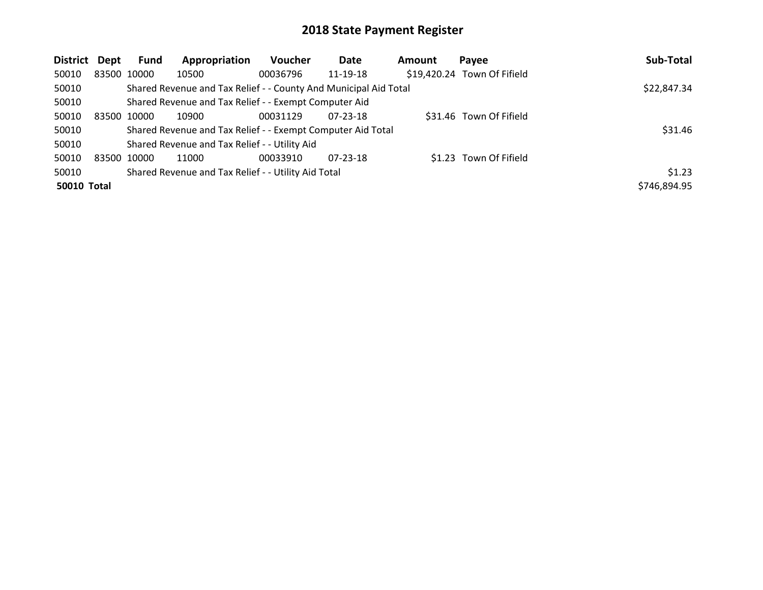| District Dept      | Fund        | Appropriation                                                    | <b>Voucher</b> | Date           | <b>Amount</b> | Payee                       | Sub-Total    |
|--------------------|-------------|------------------------------------------------------------------|----------------|----------------|---------------|-----------------------------|--------------|
| 50010              | 83500 10000 | 10500                                                            | 00036796       | 11-19-18       |               | \$19,420.24 Town Of Fifield |              |
| 50010              |             | Shared Revenue and Tax Relief - - County And Municipal Aid Total |                |                |               |                             | \$22,847.34  |
| 50010              |             | Shared Revenue and Tax Relief - - Exempt Computer Aid            |                |                |               |                             |              |
| 50010              | 83500 10000 | 10900                                                            | 00031129       | $07 - 23 - 18$ |               | \$31.46 Town Of Fifield     |              |
| 50010              |             | Shared Revenue and Tax Relief - - Exempt Computer Aid Total      |                |                |               |                             | \$31.46      |
| 50010              |             | Shared Revenue and Tax Relief - - Utility Aid                    |                |                |               |                             |              |
| 50010              | 83500 10000 | 11000                                                            | 00033910       | $07 - 23 - 18$ |               | \$1.23 Town Of Fifield      |              |
| 50010              |             | Shared Revenue and Tax Relief - - Utility Aid Total              |                |                |               |                             | \$1.23       |
| <b>50010 Total</b> |             |                                                                  |                |                |               |                             | \$746,894.95 |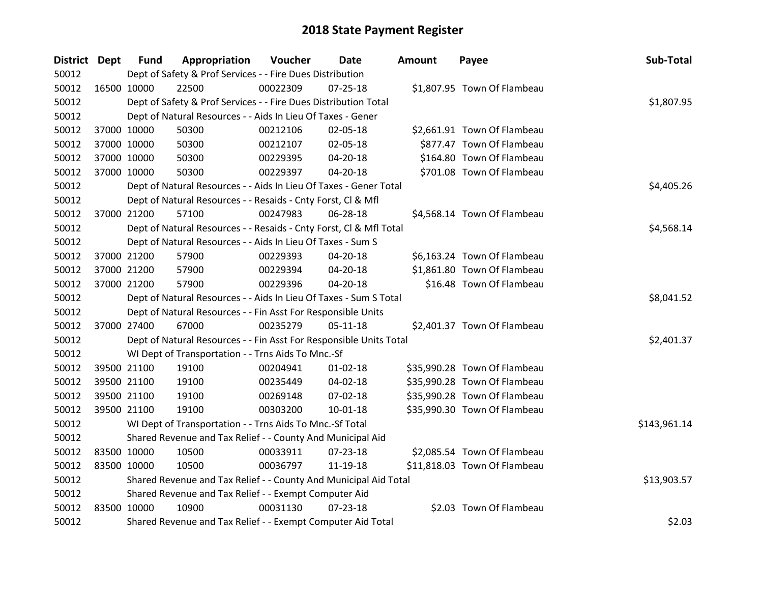| District Dept |             | <b>Fund</b> | Appropriation                                                      | Voucher  | Date           | <b>Amount</b> | Payee                        | Sub-Total    |
|---------------|-------------|-------------|--------------------------------------------------------------------|----------|----------------|---------------|------------------------------|--------------|
| 50012         |             |             | Dept of Safety & Prof Services - - Fire Dues Distribution          |          |                |               |                              |              |
| 50012         | 16500 10000 |             | 22500                                                              | 00022309 | $07 - 25 - 18$ |               | \$1,807.95 Town Of Flambeau  |              |
| 50012         |             |             | Dept of Safety & Prof Services - - Fire Dues Distribution Total    |          |                |               |                              | \$1,807.95   |
| 50012         |             |             | Dept of Natural Resources - - Aids In Lieu Of Taxes - Gener        |          |                |               |                              |              |
| 50012         |             | 37000 10000 | 50300                                                              | 00212106 | 02-05-18       |               | \$2,661.91 Town Of Flambeau  |              |
| 50012         |             | 37000 10000 | 50300                                                              | 00212107 | 02-05-18       |               | \$877.47 Town Of Flambeau    |              |
| 50012         |             | 37000 10000 | 50300                                                              | 00229395 | 04-20-18       |               | \$164.80 Town Of Flambeau    |              |
| 50012         | 37000 10000 |             | 50300                                                              | 00229397 | 04-20-18       |               | \$701.08 Town Of Flambeau    |              |
| 50012         |             |             | Dept of Natural Resources - - Aids In Lieu Of Taxes - Gener Total  |          | \$4,405.26     |               |                              |              |
| 50012         |             |             | Dept of Natural Resources - - Resaids - Cnty Forst, Cl & Mfl       |          |                |               |                              |              |
| 50012         | 37000 21200 |             | 57100                                                              | 00247983 | 06-28-18       |               | \$4,568.14 Town Of Flambeau  |              |
| 50012         |             |             | Dept of Natural Resources - - Resaids - Cnty Forst, CI & Mfl Total |          |                |               |                              | \$4,568.14   |
| 50012         |             |             | Dept of Natural Resources - - Aids In Lieu Of Taxes - Sum S        |          |                |               |                              |              |
| 50012         |             | 37000 21200 | 57900                                                              | 00229393 | 04-20-18       |               | \$6,163.24 Town Of Flambeau  |              |
| 50012         |             | 37000 21200 | 57900                                                              | 00229394 | 04-20-18       |               | \$1,861.80 Town Of Flambeau  |              |
| 50012         |             | 37000 21200 | 57900                                                              | 00229396 | $04 - 20 - 18$ |               | \$16.48 Town Of Flambeau     |              |
| 50012         |             |             | Dept of Natural Resources - - Aids In Lieu Of Taxes - Sum S Total  |          |                |               |                              | \$8,041.52   |
| 50012         |             |             | Dept of Natural Resources - - Fin Asst For Responsible Units       |          |                |               |                              |              |
| 50012         | 37000 27400 |             | 67000                                                              | 00235279 | 05-11-18       |               | \$2,401.37 Town Of Flambeau  |              |
| 50012         |             |             | Dept of Natural Resources - - Fin Asst For Responsible Units Total |          |                |               |                              | \$2,401.37   |
| 50012         |             |             | WI Dept of Transportation - - Trns Aids To Mnc.-Sf                 |          |                |               |                              |              |
| 50012         |             | 39500 21100 | 19100                                                              | 00204941 | $01 - 02 - 18$ |               | \$35,990.28 Town Of Flambeau |              |
| 50012         |             | 39500 21100 | 19100                                                              | 00235449 | 04-02-18       |               | \$35,990.28 Town Of Flambeau |              |
| 50012         |             | 39500 21100 | 19100                                                              | 00269148 | 07-02-18       |               | \$35,990.28 Town Of Flambeau |              |
| 50012         |             | 39500 21100 | 19100                                                              | 00303200 | $10 - 01 - 18$ |               | \$35,990.30 Town Of Flambeau |              |
| 50012         |             |             | WI Dept of Transportation - - Trns Aids To Mnc.-Sf Total           |          |                |               |                              | \$143,961.14 |
| 50012         |             |             | Shared Revenue and Tax Relief - - County And Municipal Aid         |          |                |               |                              |              |
| 50012         | 83500 10000 |             | 10500                                                              | 00033911 | 07-23-18       |               | \$2,085.54 Town Of Flambeau  |              |
| 50012         | 83500 10000 |             | 10500                                                              | 00036797 | 11-19-18       |               | \$11,818.03 Town Of Flambeau |              |
| 50012         |             |             | Shared Revenue and Tax Relief - - County And Municipal Aid Total   |          |                |               |                              | \$13,903.57  |
| 50012         |             |             | Shared Revenue and Tax Relief - - Exempt Computer Aid              |          |                |               |                              |              |
| 50012         | 83500 10000 |             | 10900                                                              | 00031130 | 07-23-18       |               | \$2.03 Town Of Flambeau      |              |
| 50012         |             |             | Shared Revenue and Tax Relief - - Exempt Computer Aid Total        |          |                |               |                              | \$2.03       |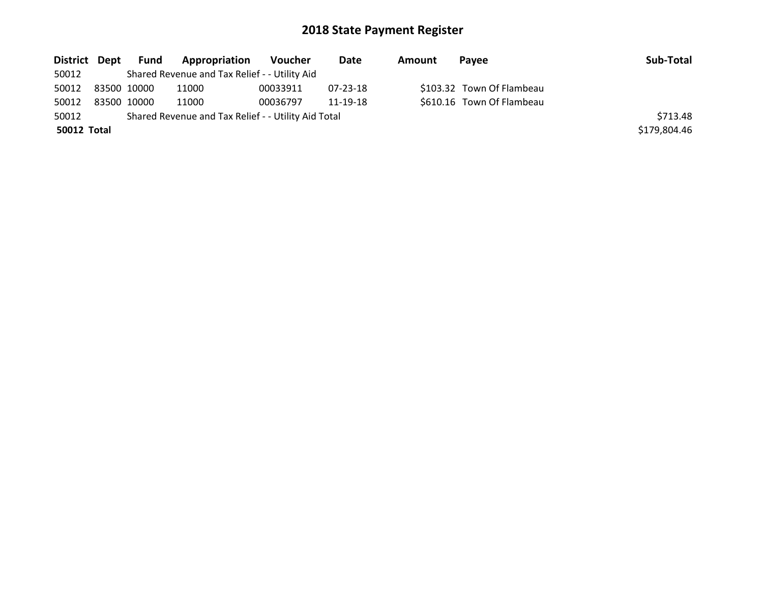| District Dept | Fund        | <b>Appropriation</b>                                | Voucher  | Date     | Amount | Pavee                     | Sub-Total    |
|---------------|-------------|-----------------------------------------------------|----------|----------|--------|---------------------------|--------------|
| 50012         |             | Shared Revenue and Tax Relief - - Utility Aid       |          |          |        |                           |              |
| 50012         | 83500 10000 | 11000                                               | 00033911 | 07-23-18 |        | \$103.32 Town Of Flambeau |              |
| 50012         | 83500 10000 | 11000                                               | 00036797 | 11-19-18 |        | \$610.16 Town Of Flambeau |              |
| 50012         |             | Shared Revenue and Tax Relief - - Utility Aid Total |          |          |        |                           | \$713.48     |
| 50012 Total   |             |                                                     |          |          |        |                           | \$179,804.46 |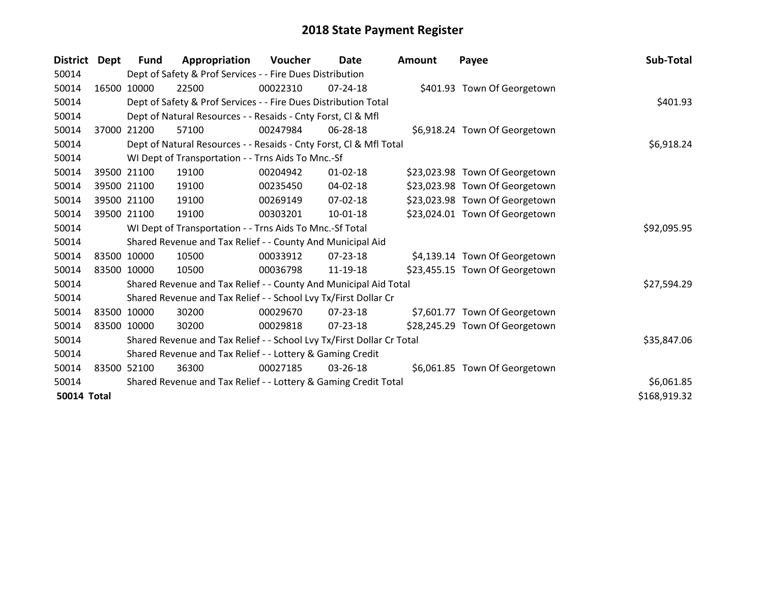| <b>District</b>    | Dept        | <b>Fund</b> | Appropriation                                                         | Voucher  | <b>Date</b>    | Amount | Payee                          | Sub-Total    |
|--------------------|-------------|-------------|-----------------------------------------------------------------------|----------|----------------|--------|--------------------------------|--------------|
| 50014              |             |             | Dept of Safety & Prof Services - - Fire Dues Distribution             |          |                |        |                                |              |
| 50014              |             | 16500 10000 | 22500                                                                 | 00022310 | $07 - 24 - 18$ |        | \$401.93 Town Of Georgetown    |              |
| 50014              |             |             | Dept of Safety & Prof Services - - Fire Dues Distribution Total       |          |                |        |                                | \$401.93     |
| 50014              |             |             | Dept of Natural Resources - - Resaids - Cnty Forst, Cl & Mfl          |          |                |        |                                |              |
| 50014              | 37000       | 21200       | 57100                                                                 | 00247984 | 06-28-18       |        | \$6,918.24 Town Of Georgetown  |              |
| 50014              |             |             | Dept of Natural Resources - - Resaids - Cnty Forst, CI & Mfl Total    |          |                |        |                                | \$6,918.24   |
| 50014              |             |             | WI Dept of Transportation - - Trns Aids To Mnc.-Sf                    |          |                |        |                                |              |
| 50014              |             | 39500 21100 | 19100                                                                 | 00204942 | $01 - 02 - 18$ |        | \$23,023.98 Town Of Georgetown |              |
| 50014              |             | 39500 21100 | 19100                                                                 | 00235450 | 04-02-18       |        | \$23,023.98 Town Of Georgetown |              |
| 50014              |             | 39500 21100 | 19100                                                                 | 00269149 | $07 - 02 - 18$ |        | \$23,023.98 Town Of Georgetown |              |
| 50014              |             | 39500 21100 | 19100                                                                 | 00303201 | 10-01-18       |        | \$23,024.01 Town Of Georgetown |              |
| 50014              |             |             | WI Dept of Transportation - - Trns Aids To Mnc.-Sf Total              |          |                |        |                                | \$92,095.95  |
| 50014              |             |             | Shared Revenue and Tax Relief - - County And Municipal Aid            |          |                |        |                                |              |
| 50014              |             | 83500 10000 | 10500                                                                 | 00033912 | $07 - 23 - 18$ |        | \$4,139.14 Town Of Georgetown  |              |
| 50014              |             | 83500 10000 | 10500                                                                 | 00036798 | 11-19-18       |        | \$23,455.15 Town Of Georgetown |              |
| 50014              |             |             | Shared Revenue and Tax Relief - - County And Municipal Aid Total      |          |                |        |                                | \$27,594.29  |
| 50014              |             |             | Shared Revenue and Tax Relief - - School Lvy Tx/First Dollar Cr       |          |                |        |                                |              |
| 50014              | 83500 10000 |             | 30200                                                                 | 00029670 | $07 - 23 - 18$ |        | \$7,601.77 Town Of Georgetown  |              |
| 50014              |             | 83500 10000 | 30200                                                                 | 00029818 | 07-23-18       |        | \$28,245.29 Town Of Georgetown |              |
| 50014              |             |             | Shared Revenue and Tax Relief - - School Lvy Tx/First Dollar Cr Total |          |                |        |                                | \$35,847.06  |
| 50014              |             |             | Shared Revenue and Tax Relief - - Lottery & Gaming Credit             |          |                |        |                                |              |
| 50014              | 83500 52100 |             | 36300                                                                 | 00027185 | 03-26-18       |        | \$6,061.85 Town Of Georgetown  |              |
| 50014              |             |             | Shared Revenue and Tax Relief - - Lottery & Gaming Credit Total       |          |                |        |                                | \$6,061.85   |
| <b>50014 Total</b> |             |             |                                                                       |          |                |        |                                | \$168,919.32 |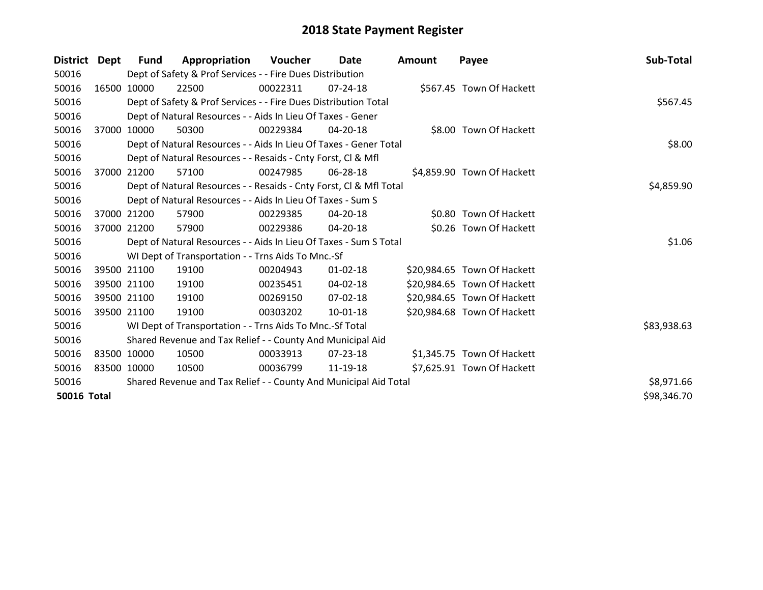| District Dept      |             | Fund        | Appropriation                                                      | Voucher  | Date           | <b>Amount</b> | Payee                       | Sub-Total   |
|--------------------|-------------|-------------|--------------------------------------------------------------------|----------|----------------|---------------|-----------------------------|-------------|
| 50016              |             |             | Dept of Safety & Prof Services - - Fire Dues Distribution          |          |                |               |                             |             |
| 50016              |             | 16500 10000 | 22500                                                              | 00022311 | $07 - 24 - 18$ |               | \$567.45 Town Of Hackett    |             |
| 50016              |             |             | Dept of Safety & Prof Services - - Fire Dues Distribution Total    |          |                |               |                             | \$567.45    |
| 50016              |             |             | Dept of Natural Resources - - Aids In Lieu Of Taxes - Gener        |          |                |               |                             |             |
| 50016              | 37000       | 10000       | 50300                                                              | 00229384 | 04-20-18       |               | \$8.00 Town Of Hackett      |             |
| 50016              |             |             | Dept of Natural Resources - - Aids In Lieu Of Taxes - Gener Total  |          |                |               |                             | \$8.00      |
| 50016              |             |             | Dept of Natural Resources - - Resaids - Cnty Forst, CI & Mfl       |          |                |               |                             |             |
| 50016              |             | 37000 21200 | 57100                                                              | 00247985 | 06-28-18       |               | \$4,859.90 Town Of Hackett  |             |
| 50016              |             |             | Dept of Natural Resources - - Resaids - Cnty Forst, CI & Mfl Total |          |                |               |                             | \$4,859.90  |
| 50016              |             |             | Dept of Natural Resources - - Aids In Lieu Of Taxes - Sum S        |          |                |               |                             |             |
| 50016              |             | 37000 21200 | 57900                                                              | 00229385 | 04-20-18       |               | \$0.80 Town Of Hackett      |             |
| 50016              |             | 37000 21200 | 57900                                                              | 00229386 | 04-20-18       |               | \$0.26 Town Of Hackett      |             |
| 50016              |             |             | Dept of Natural Resources - - Aids In Lieu Of Taxes - Sum S Total  |          |                |               |                             | \$1.06      |
| 50016              |             |             | WI Dept of Transportation - - Trns Aids To Mnc.-Sf                 |          |                |               |                             |             |
| 50016              |             | 39500 21100 | 19100                                                              | 00204943 | $01 - 02 - 18$ |               | \$20,984.65 Town Of Hackett |             |
| 50016              |             | 39500 21100 | 19100                                                              | 00235451 | 04-02-18       |               | \$20,984.65 Town Of Hackett |             |
| 50016              |             | 39500 21100 | 19100                                                              | 00269150 | 07-02-18       |               | \$20,984.65 Town Of Hackett |             |
| 50016              |             | 39500 21100 | 19100                                                              | 00303202 | 10-01-18       |               | \$20,984.68 Town Of Hackett |             |
| 50016              |             |             | WI Dept of Transportation - - Trns Aids To Mnc.-Sf Total           |          |                |               |                             | \$83,938.63 |
| 50016              |             |             | Shared Revenue and Tax Relief - - County And Municipal Aid         |          |                |               |                             |             |
| 50016              | 83500 10000 |             | 10500                                                              | 00033913 | 07-23-18       |               | \$1,345.75 Town Of Hackett  |             |
| 50016              | 83500 10000 |             | 10500                                                              | 00036799 | 11-19-18       |               | \$7,625.91 Town Of Hackett  |             |
| 50016              |             |             | Shared Revenue and Tax Relief - - County And Municipal Aid Total   |          |                |               |                             | \$8,971.66  |
| <b>50016 Total</b> |             |             |                                                                    |          |                |               |                             | \$98,346.70 |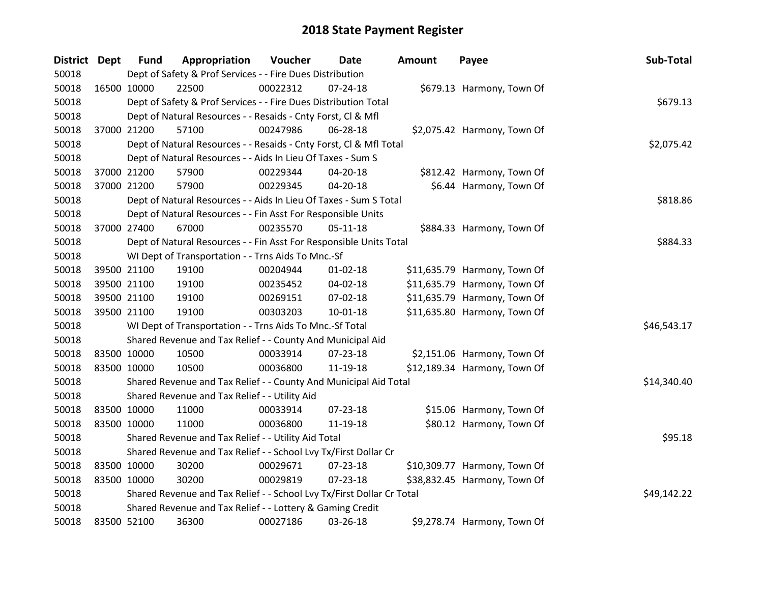| District Dept |             | <b>Fund</b> | Appropriation                                                         | Voucher  | Date           | Amount | Payee                        | Sub-Total   |
|---------------|-------------|-------------|-----------------------------------------------------------------------|----------|----------------|--------|------------------------------|-------------|
| 50018         |             |             | Dept of Safety & Prof Services - - Fire Dues Distribution             |          |                |        |                              |             |
| 50018         |             | 16500 10000 | 22500                                                                 | 00022312 | $07 - 24 - 18$ |        | \$679.13 Harmony, Town Of    |             |
| 50018         |             |             | Dept of Safety & Prof Services - - Fire Dues Distribution Total       |          |                |        |                              | \$679.13    |
| 50018         |             |             | Dept of Natural Resources - - Resaids - Cnty Forst, Cl & Mfl          |          |                |        |                              |             |
| 50018         |             | 37000 21200 | 57100                                                                 | 00247986 | 06-28-18       |        | \$2,075.42 Harmony, Town Of  |             |
| 50018         |             |             | Dept of Natural Resources - - Resaids - Cnty Forst, CI & Mfl Total    |          |                |        |                              | \$2,075.42  |
| 50018         |             |             | Dept of Natural Resources - - Aids In Lieu Of Taxes - Sum S           |          |                |        |                              |             |
| 50018         |             | 37000 21200 | 57900                                                                 | 00229344 | $04 - 20 - 18$ |        | \$812.42 Harmony, Town Of    |             |
| 50018         |             | 37000 21200 | 57900                                                                 | 00229345 | 04-20-18       |        | \$6.44 Harmony, Town Of      |             |
| 50018         |             |             | Dept of Natural Resources - - Aids In Lieu Of Taxes - Sum S Total     |          |                |        |                              | \$818.86    |
| 50018         |             |             | Dept of Natural Resources - - Fin Asst For Responsible Units          |          |                |        |                              |             |
| 50018         |             | 37000 27400 | 67000                                                                 | 00235570 | $05-11-18$     |        | \$884.33 Harmony, Town Of    |             |
| 50018         |             |             | Dept of Natural Resources - - Fin Asst For Responsible Units Total    |          |                |        |                              | \$884.33    |
| 50018         |             |             | WI Dept of Transportation - - Trns Aids To Mnc.-Sf                    |          |                |        |                              |             |
| 50018         |             | 39500 21100 | 19100                                                                 | 00204944 | 01-02-18       |        | \$11,635.79 Harmony, Town Of |             |
| 50018         |             | 39500 21100 | 19100                                                                 | 00235452 | 04-02-18       |        | \$11,635.79 Harmony, Town Of |             |
| 50018         |             | 39500 21100 | 19100                                                                 | 00269151 | 07-02-18       |        | \$11,635.79 Harmony, Town Of |             |
| 50018         |             | 39500 21100 | 19100                                                                 | 00303203 | 10-01-18       |        | \$11,635.80 Harmony, Town Of |             |
| 50018         |             |             | WI Dept of Transportation - - Trns Aids To Mnc.-Sf Total              |          |                |        |                              | \$46,543.17 |
| 50018         |             |             | Shared Revenue and Tax Relief - - County And Municipal Aid            |          |                |        |                              |             |
| 50018         | 83500 10000 |             | 10500                                                                 | 00033914 | $07 - 23 - 18$ |        | \$2,151.06 Harmony, Town Of  |             |
| 50018         |             | 83500 10000 | 10500                                                                 | 00036800 | 11-19-18       |        | \$12,189.34 Harmony, Town Of |             |
| 50018         |             |             | Shared Revenue and Tax Relief - - County And Municipal Aid Total      |          |                |        |                              | \$14,340.40 |
| 50018         |             |             | Shared Revenue and Tax Relief - - Utility Aid                         |          |                |        |                              |             |
| 50018         |             | 83500 10000 | 11000                                                                 | 00033914 | 07-23-18       |        | \$15.06 Harmony, Town Of     |             |
| 50018         |             | 83500 10000 | 11000                                                                 | 00036800 | 11-19-18       |        | \$80.12 Harmony, Town Of     |             |
| 50018         |             |             | Shared Revenue and Tax Relief - - Utility Aid Total                   |          |                |        |                              | \$95.18     |
| 50018         |             |             | Shared Revenue and Tax Relief - - School Lvy Tx/First Dollar Cr       |          |                |        |                              |             |
| 50018         |             | 83500 10000 | 30200                                                                 | 00029671 | 07-23-18       |        | \$10,309.77 Harmony, Town Of |             |
| 50018         |             | 83500 10000 | 30200                                                                 | 00029819 | 07-23-18       |        | \$38,832.45 Harmony, Town Of |             |
| 50018         |             |             | Shared Revenue and Tax Relief - - School Lvy Tx/First Dollar Cr Total |          |                |        |                              | \$49,142.22 |
| 50018         |             |             | Shared Revenue and Tax Relief - - Lottery & Gaming Credit             |          |                |        |                              |             |
| 50018         |             | 83500 52100 | 36300                                                                 | 00027186 | 03-26-18       |        | \$9,278.74 Harmony, Town Of  |             |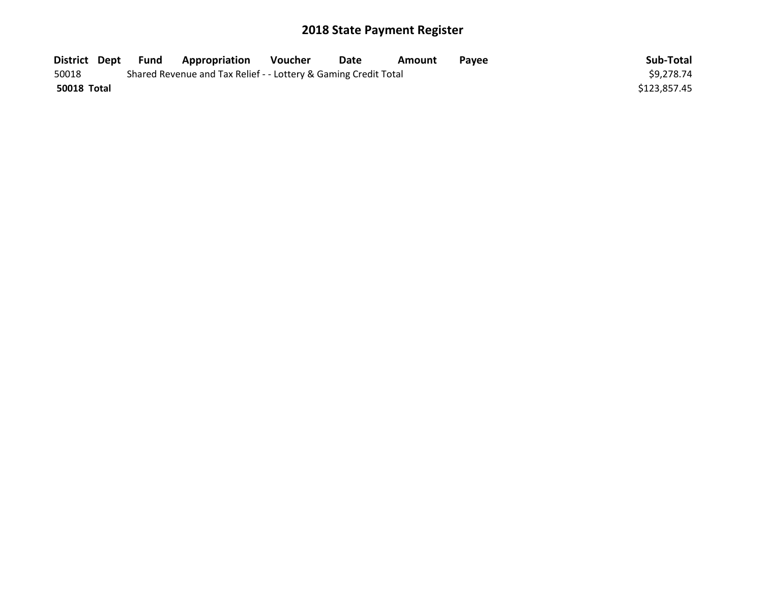| District Dept | Fund | <b>Appropriation</b>                                            | Voucher | <b>Date</b> | Amount | Pavee | Sub-Total    |
|---------------|------|-----------------------------------------------------------------|---------|-------------|--------|-------|--------------|
| 50018         |      | Shared Revenue and Tax Relief - - Lottery & Gaming Credit Total |         |             |        |       | \$9,278.74   |
| 50018 Total   |      |                                                                 |         |             |        |       | \$123,857.45 |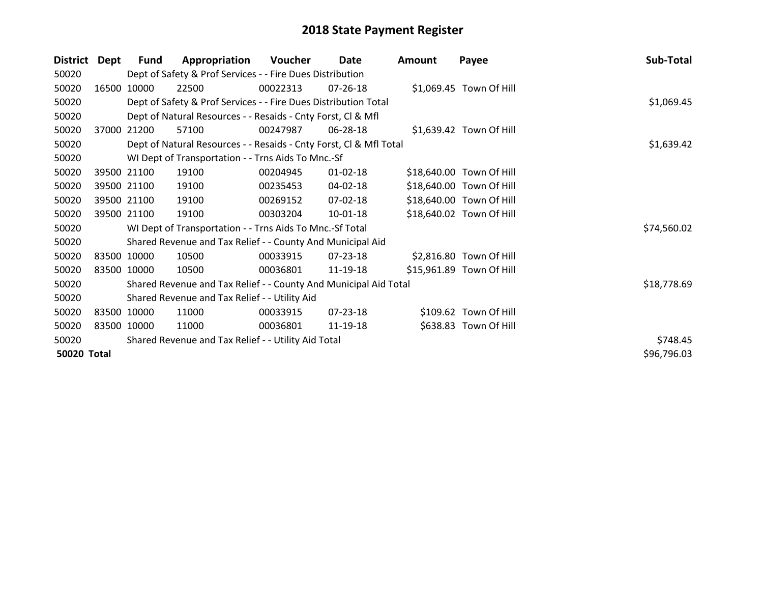| <b>District</b>    | <b>Dept</b> | <b>Fund</b> | Appropriation                                                      | Voucher  | Date           | <b>Amount</b> | Payee                    | Sub-Total   |
|--------------------|-------------|-------------|--------------------------------------------------------------------|----------|----------------|---------------|--------------------------|-------------|
| 50020              |             |             | Dept of Safety & Prof Services - - Fire Dues Distribution          |          |                |               |                          |             |
| 50020              | 16500       | 10000       | 22500                                                              | 00022313 | $07 - 26 - 18$ |               | \$1,069.45 Town Of Hill  |             |
| 50020              |             |             | Dept of Safety & Prof Services - - Fire Dues Distribution Total    |          |                |               |                          | \$1,069.45  |
| 50020              |             |             | Dept of Natural Resources - - Resaids - Cnty Forst, CI & Mfl       |          |                |               |                          |             |
| 50020              | 37000       | 21200       | 57100                                                              | 00247987 | 06-28-18       |               | \$1,639.42 Town Of Hill  |             |
| 50020              |             |             | Dept of Natural Resources - - Resaids - Cnty Forst, Cl & Mfl Total |          |                |               |                          | \$1,639.42  |
| 50020              |             |             | WI Dept of Transportation - - Trns Aids To Mnc.-Sf                 |          |                |               |                          |             |
| 50020              |             | 39500 21100 | 19100                                                              | 00204945 | $01 - 02 - 18$ |               | \$18,640.00 Town Of Hill |             |
| 50020              |             | 39500 21100 | 19100                                                              | 00235453 | 04-02-18       |               | \$18,640.00 Town Of Hill |             |
| 50020              |             | 39500 21100 | 19100                                                              | 00269152 | 07-02-18       |               | \$18,640.00 Town Of Hill |             |
| 50020              |             | 39500 21100 | 19100                                                              | 00303204 | 10-01-18       |               | \$18,640.02 Town Of Hill |             |
| 50020              |             |             | WI Dept of Transportation - - Trns Aids To Mnc.-Sf Total           |          |                |               |                          | \$74,560.02 |
| 50020              |             |             | Shared Revenue and Tax Relief - - County And Municipal Aid         |          |                |               |                          |             |
| 50020              |             | 83500 10000 | 10500                                                              | 00033915 | 07-23-18       |               | \$2,816.80 Town Of Hill  |             |
| 50020              |             | 83500 10000 | 10500                                                              | 00036801 | 11-19-18       |               | \$15,961.89 Town Of Hill |             |
| 50020              |             |             | Shared Revenue and Tax Relief - - County And Municipal Aid Total   |          |                |               |                          | \$18,778.69 |
| 50020              |             |             | Shared Revenue and Tax Relief - - Utility Aid                      |          |                |               |                          |             |
| 50020              |             | 83500 10000 | 11000                                                              | 00033915 | 07-23-18       |               | \$109.62 Town Of Hill    |             |
| 50020              |             | 83500 10000 | 11000                                                              | 00036801 | 11-19-18       |               | \$638.83 Town Of Hill    |             |
| 50020              |             |             | Shared Revenue and Tax Relief - - Utility Aid Total                |          |                |               |                          | \$748.45    |
| <b>50020 Total</b> |             |             |                                                                    |          |                |               |                          | \$96,796.03 |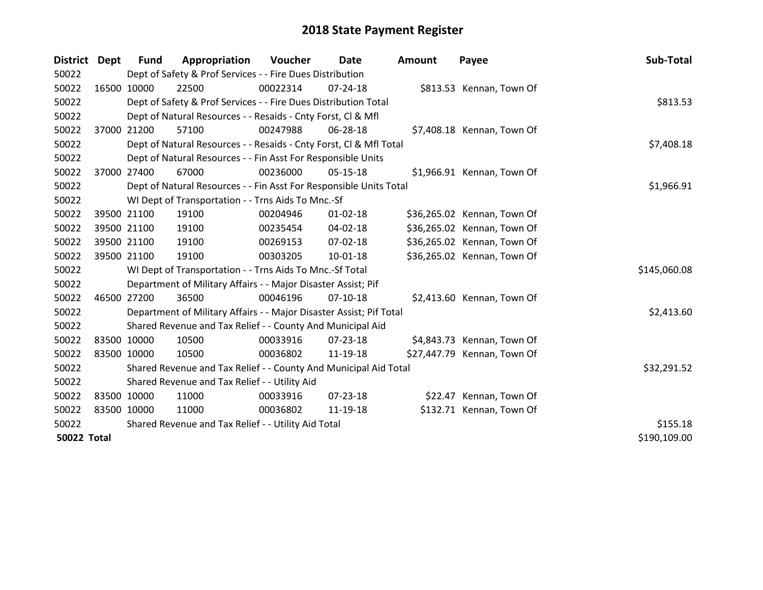| District Dept      | <b>Fund</b>                                         | Appropriation                                                       | Voucher    | Date           | <b>Amount</b> | Payee                       | Sub-Total    |
|--------------------|-----------------------------------------------------|---------------------------------------------------------------------|------------|----------------|---------------|-----------------------------|--------------|
| 50022              |                                                     | Dept of Safety & Prof Services - - Fire Dues Distribution           |            |                |               |                             |              |
| 50022              | 16500 10000                                         | 22500                                                               | 00022314   | $07 - 24 - 18$ |               | \$813.53 Kennan, Town Of    |              |
| 50022              |                                                     | Dept of Safety & Prof Services - - Fire Dues Distribution Total     |            |                |               |                             | \$813.53     |
| 50022              |                                                     | Dept of Natural Resources - - Resaids - Cnty Forst, CI & Mfl        |            |                |               |                             |              |
| 50022              | 37000 21200                                         | 57100                                                               | 00247988   | 06-28-18       |               | \$7,408.18 Kennan, Town Of  |              |
| 50022              |                                                     | Dept of Natural Resources - - Resaids - Cnty Forst, Cl & Mfl Total  | \$7,408.18 |                |               |                             |              |
| 50022              |                                                     | Dept of Natural Resources - - Fin Asst For Responsible Units        |            |                |               |                             |              |
| 50022              | 37000 27400                                         | 67000                                                               | 00236000   | $05 - 15 - 18$ |               | \$1,966.91 Kennan, Town Of  |              |
| 50022              |                                                     | Dept of Natural Resources - - Fin Asst For Responsible Units Total  |            |                |               |                             | \$1,966.91   |
| 50022              |                                                     | WI Dept of Transportation - - Trns Aids To Mnc.-Sf                  |            |                |               |                             |              |
| 50022              | 39500 21100                                         | 19100                                                               | 00204946   | $01 - 02 - 18$ |               | \$36,265.02 Kennan, Town Of |              |
| 50022              | 39500 21100                                         | 19100                                                               | 00235454   | $04 - 02 - 18$ |               | \$36,265.02 Kennan, Town Of |              |
| 50022              | 39500 21100                                         | 19100                                                               | 00269153   | 07-02-18       |               | \$36,265.02 Kennan, Town Of |              |
| 50022              | 39500 21100                                         | 19100                                                               | 00303205   | $10 - 01 - 18$ |               | \$36,265.02 Kennan, Town Of |              |
| 50022              |                                                     | WI Dept of Transportation - - Trns Aids To Mnc.-Sf Total            |            |                |               |                             | \$145,060.08 |
| 50022              |                                                     | Department of Military Affairs - - Major Disaster Assist; Pif       |            |                |               |                             |              |
| 50022              | 46500 27200                                         | 36500                                                               | 00046196   | $07-10-18$     |               | \$2,413.60 Kennan, Town Of  |              |
| 50022              |                                                     | Department of Military Affairs - - Major Disaster Assist; Pif Total |            |                |               |                             | \$2,413.60   |
| 50022              |                                                     | Shared Revenue and Tax Relief - - County And Municipal Aid          |            |                |               |                             |              |
| 50022              | 83500 10000                                         | 10500                                                               | 00033916   | $07 - 23 - 18$ |               | \$4,843.73 Kennan, Town Of  |              |
| 50022              | 83500 10000                                         | 10500                                                               | 00036802   | 11-19-18       |               | \$27,447.79 Kennan, Town Of |              |
| 50022              |                                                     | Shared Revenue and Tax Relief - - County And Municipal Aid Total    |            |                |               |                             | \$32,291.52  |
| 50022              |                                                     | Shared Revenue and Tax Relief - - Utility Aid                       |            |                |               |                             |              |
| 50022              | 83500 10000                                         | 11000                                                               | 00033916   | $07 - 23 - 18$ |               | \$22.47 Kennan, Town Of     |              |
| 50022              | 83500 10000                                         | 11000                                                               | 00036802   | 11-19-18       |               | \$132.71 Kennan, Town Of    |              |
| 50022              | Shared Revenue and Tax Relief - - Utility Aid Total | \$155.18                                                            |            |                |               |                             |              |
| <b>50022 Total</b> |                                                     |                                                                     |            |                |               |                             | \$190,109.00 |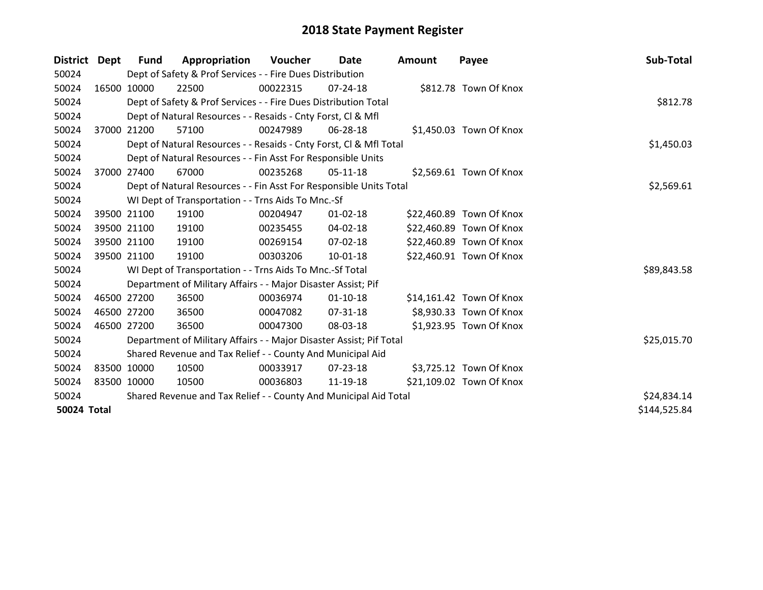| District Dept      |             | Fund        | Appropriation                                                       | Voucher  | Date           | <b>Amount</b> | Payee                    | Sub-Total    |
|--------------------|-------------|-------------|---------------------------------------------------------------------|----------|----------------|---------------|--------------------------|--------------|
| 50024              |             |             | Dept of Safety & Prof Services - - Fire Dues Distribution           |          |                |               |                          |              |
| 50024              | 16500 10000 |             | 22500                                                               | 00022315 | 07-24-18       |               | \$812.78 Town Of Knox    |              |
| 50024              |             |             | Dept of Safety & Prof Services - - Fire Dues Distribution Total     |          |                |               |                          | \$812.78     |
| 50024              |             |             | Dept of Natural Resources - - Resaids - Cnty Forst, CI & Mfl        |          |                |               |                          |              |
| 50024              |             | 37000 21200 | 57100                                                               | 00247989 | 06-28-18       |               | \$1,450.03 Town Of Knox  |              |
| 50024              |             |             | Dept of Natural Resources - - Resaids - Cnty Forst, CI & Mfl Total  |          |                |               |                          | \$1,450.03   |
| 50024              |             |             | Dept of Natural Resources - - Fin Asst For Responsible Units        |          |                |               |                          |              |
| 50024              | 37000       | 27400       | 67000                                                               | 00235268 | $05-11-18$     |               | \$2,569.61 Town Of Knox  |              |
| 50024              |             |             | Dept of Natural Resources - - Fin Asst For Responsible Units Total  |          |                |               |                          | \$2,569.61   |
| 50024              |             |             | WI Dept of Transportation - - Trns Aids To Mnc.-Sf                  |          |                |               |                          |              |
| 50024              | 39500 21100 |             | 19100                                                               | 00204947 | $01 - 02 - 18$ |               | \$22,460.89 Town Of Knox |              |
| 50024              | 39500 21100 |             | 19100                                                               | 00235455 | 04-02-18       |               | \$22,460.89 Town Of Knox |              |
| 50024              |             | 39500 21100 | 19100                                                               | 00269154 | 07-02-18       |               | \$22,460.89 Town Of Knox |              |
| 50024              | 39500 21100 |             | 19100                                                               | 00303206 | $10 - 01 - 18$ |               | \$22,460.91 Town Of Knox |              |
| 50024              |             |             | WI Dept of Transportation - - Trns Aids To Mnc.-Sf Total            |          |                |               |                          | \$89,843.58  |
| 50024              |             |             | Department of Military Affairs - - Major Disaster Assist; Pif       |          |                |               |                          |              |
| 50024              | 46500 27200 |             | 36500                                                               | 00036974 | $01 - 10 - 18$ |               | \$14,161.42 Town Of Knox |              |
| 50024              | 46500 27200 |             | 36500                                                               | 00047082 | $07 - 31 - 18$ |               | \$8,930.33 Town Of Knox  |              |
| 50024              | 46500 27200 |             | 36500                                                               | 00047300 | 08-03-18       |               | \$1,923.95 Town Of Knox  |              |
| 50024              |             |             | Department of Military Affairs - - Major Disaster Assist; Pif Total |          |                |               |                          | \$25,015.70  |
| 50024              |             |             | Shared Revenue and Tax Relief - - County And Municipal Aid          |          |                |               |                          |              |
| 50024              | 83500 10000 |             | 10500                                                               | 00033917 | 07-23-18       |               | \$3,725.12 Town Of Knox  |              |
| 50024              | 83500 10000 |             | 10500                                                               | 00036803 | 11-19-18       |               | \$21,109.02 Town Of Knox |              |
| 50024              |             |             | Shared Revenue and Tax Relief - - County And Municipal Aid Total    |          |                |               |                          | \$24,834.14  |
| <b>50024 Total</b> |             |             |                                                                     |          |                |               |                          | \$144,525.84 |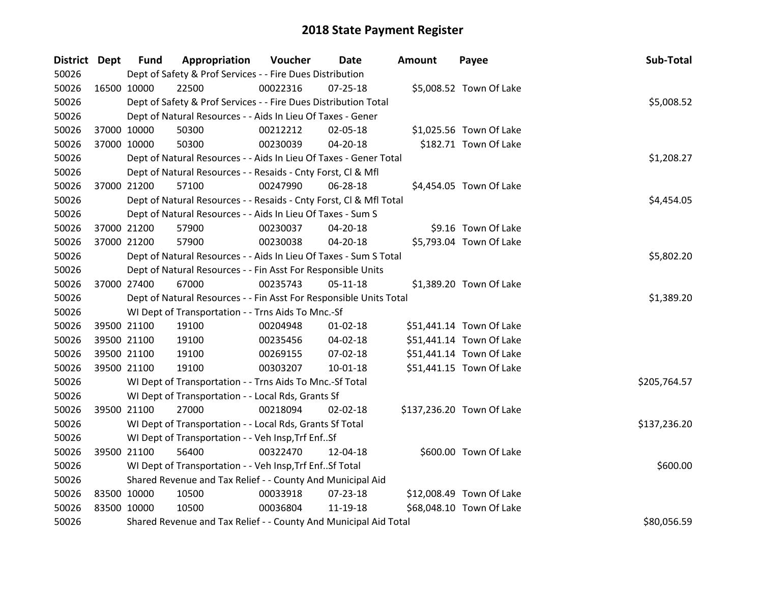| District Dept |             | <b>Fund</b> | Appropriation                                                      | Voucher  | Date           | <b>Amount</b> | Payee                     | Sub-Total    |
|---------------|-------------|-------------|--------------------------------------------------------------------|----------|----------------|---------------|---------------------------|--------------|
| 50026         |             |             | Dept of Safety & Prof Services - - Fire Dues Distribution          |          |                |               |                           |              |
| 50026         | 16500 10000 |             | 22500                                                              | 00022316 | $07 - 25 - 18$ |               | \$5,008.52 Town Of Lake   |              |
| 50026         |             |             | Dept of Safety & Prof Services - - Fire Dues Distribution Total    |          |                |               |                           | \$5,008.52   |
| 50026         |             |             | Dept of Natural Resources - - Aids In Lieu Of Taxes - Gener        |          |                |               |                           |              |
| 50026         |             | 37000 10000 | 50300                                                              | 00212212 | 02-05-18       |               | \$1,025.56 Town Of Lake   |              |
| 50026         | 37000 10000 |             | 50300                                                              | 00230039 | 04-20-18       |               | \$182.71 Town Of Lake     |              |
| 50026         |             |             | Dept of Natural Resources - - Aids In Lieu Of Taxes - Gener Total  |          |                |               |                           | \$1,208.27   |
| 50026         |             |             | Dept of Natural Resources - - Resaids - Cnty Forst, Cl & Mfl       |          |                |               |                           |              |
| 50026         |             | 37000 21200 | 57100                                                              | 00247990 | 06-28-18       |               | \$4,454.05 Town Of Lake   |              |
| 50026         |             |             | Dept of Natural Resources - - Resaids - Cnty Forst, Cl & Mfl Total |          |                |               |                           | \$4,454.05   |
| 50026         |             |             | Dept of Natural Resources - - Aids In Lieu Of Taxes - Sum S        |          |                |               |                           |              |
| 50026         | 37000 21200 |             | 57900                                                              | 00230037 | 04-20-18       |               | \$9.16 Town Of Lake       |              |
| 50026         |             | 37000 21200 | 57900                                                              | 00230038 | 04-20-18       |               | \$5,793.04 Town Of Lake   |              |
| 50026         |             |             | Dept of Natural Resources - - Aids In Lieu Of Taxes - Sum S Total  |          |                |               |                           | \$5,802.20   |
| 50026         |             |             | Dept of Natural Resources - - Fin Asst For Responsible Units       |          |                |               |                           |              |
| 50026         | 37000 27400 |             | 67000                                                              | 00235743 | 05-11-18       |               | \$1,389.20 Town Of Lake   |              |
| 50026         |             |             | Dept of Natural Resources - - Fin Asst For Responsible Units Total |          |                |               |                           | \$1,389.20   |
| 50026         |             |             | WI Dept of Transportation - - Trns Aids To Mnc.-Sf                 |          |                |               |                           |              |
| 50026         | 39500 21100 |             | 19100                                                              | 00204948 | $01 - 02 - 18$ |               | \$51,441.14 Town Of Lake  |              |
| 50026         | 39500 21100 |             | 19100                                                              | 00235456 | 04-02-18       |               | \$51,441.14 Town Of Lake  |              |
| 50026         |             | 39500 21100 | 19100                                                              | 00269155 | 07-02-18       |               | \$51,441.14 Town Of Lake  |              |
| 50026         | 39500 21100 |             | 19100                                                              | 00303207 | 10-01-18       |               | \$51,441.15 Town Of Lake  |              |
| 50026         |             |             | WI Dept of Transportation - - Trns Aids To Mnc.-Sf Total           |          |                |               |                           | \$205,764.57 |
| 50026         |             |             | WI Dept of Transportation - - Local Rds, Grants Sf                 |          |                |               |                           |              |
| 50026         |             | 39500 21100 | 27000                                                              | 00218094 | 02-02-18       |               | \$137,236.20 Town Of Lake |              |
| 50026         |             |             | WI Dept of Transportation - - Local Rds, Grants Sf Total           |          |                |               |                           | \$137,236.20 |
| 50026         |             |             | WI Dept of Transportation - - Veh Insp, Trf EnfSf                  |          |                |               |                           |              |
| 50026         | 39500 21100 |             | 56400                                                              | 00322470 | 12-04-18       |               | \$600.00 Town Of Lake     |              |
| 50026         |             |             | WI Dept of Transportation - - Veh Insp, Trf Enf Sf Total           |          |                |               |                           | \$600.00     |
| 50026         |             |             | Shared Revenue and Tax Relief - - County And Municipal Aid         |          |                |               |                           |              |
| 50026         | 83500 10000 |             | 10500                                                              | 00033918 | 07-23-18       |               | \$12,008.49 Town Of Lake  |              |
| 50026         | 83500 10000 |             | 10500                                                              | 00036804 | 11-19-18       |               | \$68,048.10 Town Of Lake  |              |
| 50026         |             |             | Shared Revenue and Tax Relief - - County And Municipal Aid Total   |          |                |               |                           | \$80,056.59  |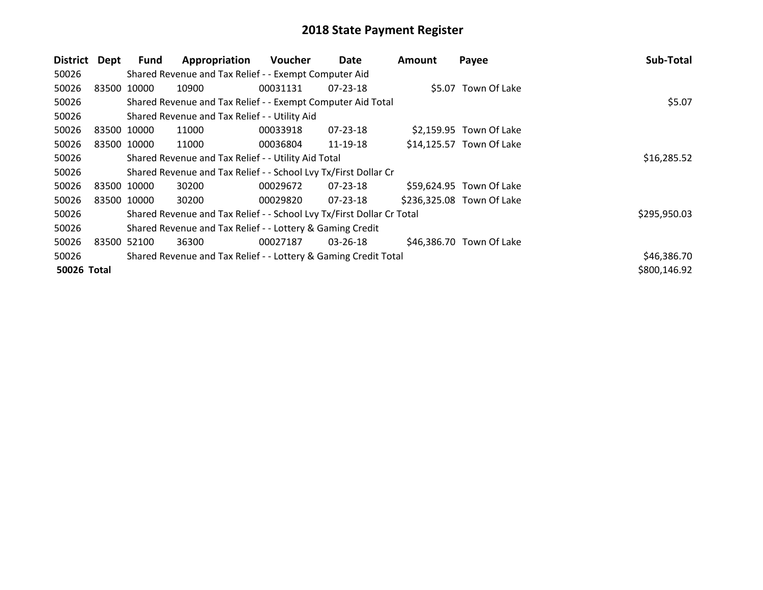| <b>District</b> | Dept        | <b>Fund</b> | Appropriation                                                         | <b>Voucher</b> | Date           | Amount | Payee                     | Sub-Total    |
|-----------------|-------------|-------------|-----------------------------------------------------------------------|----------------|----------------|--------|---------------------------|--------------|
| 50026           |             |             | Shared Revenue and Tax Relief - - Exempt Computer Aid                 |                |                |        |                           |              |
| 50026           | 83500 10000 |             | 10900                                                                 | 00031131       | $07 - 23 - 18$ |        | \$5.07 Town Of Lake       |              |
| 50026           |             |             | Shared Revenue and Tax Relief - - Exempt Computer Aid Total           |                |                |        |                           | \$5.07       |
| 50026           |             |             | Shared Revenue and Tax Relief - - Utility Aid                         |                |                |        |                           |              |
| 50026           | 83500 10000 |             | 11000                                                                 | 00033918       | 07-23-18       |        | \$2,159.95 Town Of Lake   |              |
| 50026           | 83500 10000 |             | 11000                                                                 | 00036804       | 11-19-18       |        | \$14,125.57 Town Of Lake  |              |
| 50026           |             |             | Shared Revenue and Tax Relief - - Utility Aid Total                   |                | \$16,285.52    |        |                           |              |
| 50026           |             |             | Shared Revenue and Tax Relief - - School Lvy Tx/First Dollar Cr       |                |                |        |                           |              |
| 50026           | 83500 10000 |             | 30200                                                                 | 00029672       | $07 - 23 - 18$ |        | \$59,624.95 Town Of Lake  |              |
| 50026           | 83500 10000 |             | 30200                                                                 | 00029820       | 07-23-18       |        | \$236,325.08 Town Of Lake |              |
| 50026           |             |             | Shared Revenue and Tax Relief - - School Lvy Tx/First Dollar Cr Total |                |                |        |                           | \$295,950.03 |
| 50026           |             |             | Shared Revenue and Tax Relief - - Lottery & Gaming Credit             |                |                |        |                           |              |
| 50026           | 83500 52100 |             | 36300                                                                 | 00027187       | 03-26-18       |        | \$46,386.70 Town Of Lake  |              |
| 50026           |             |             | Shared Revenue and Tax Relief - - Lottery & Gaming Credit Total       |                |                |        |                           | \$46,386.70  |
| 50026 Total     |             |             |                                                                       |                |                |        |                           | \$800,146.92 |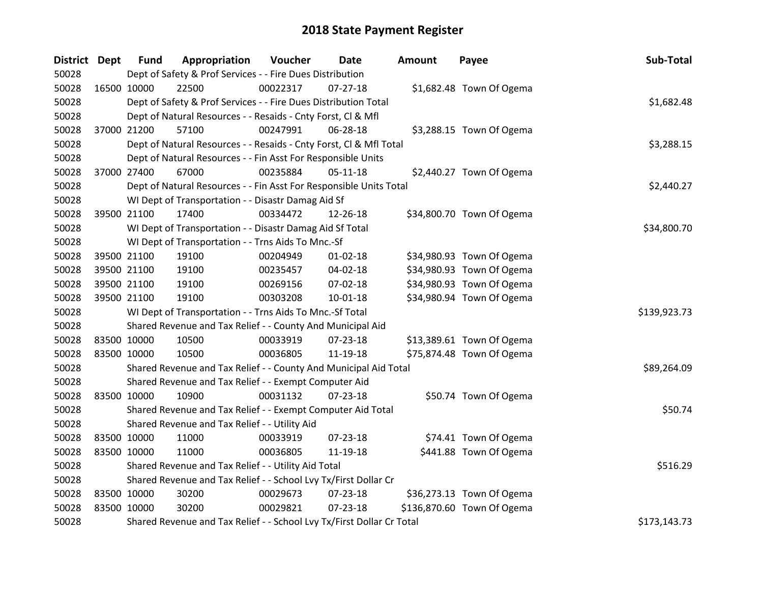| District Dept |             | <b>Fund</b> | Appropriation                                                         | Voucher  | Date           | <b>Amount</b> | Payee                      | Sub-Total    |
|---------------|-------------|-------------|-----------------------------------------------------------------------|----------|----------------|---------------|----------------------------|--------------|
| 50028         |             |             | Dept of Safety & Prof Services - - Fire Dues Distribution             |          |                |               |                            |              |
| 50028         | 16500 10000 |             | 22500                                                                 | 00022317 | $07 - 27 - 18$ |               | \$1,682.48 Town Of Ogema   |              |
| 50028         |             |             | Dept of Safety & Prof Services - - Fire Dues Distribution Total       |          |                |               |                            | \$1,682.48   |
| 50028         |             |             | Dept of Natural Resources - - Resaids - Cnty Forst, Cl & Mfl          |          |                |               |                            |              |
| 50028         |             | 37000 21200 | 57100                                                                 | 00247991 | 06-28-18       |               | \$3,288.15 Town Of Ogema   |              |
| 50028         |             |             | Dept of Natural Resources - - Resaids - Cnty Forst, Cl & Mfl Total    |          |                |               |                            | \$3,288.15   |
| 50028         |             |             | Dept of Natural Resources - - Fin Asst For Responsible Units          |          |                |               |                            |              |
| 50028         | 37000 27400 |             | 67000                                                                 | 00235884 | $05 - 11 - 18$ |               | \$2,440.27 Town Of Ogema   |              |
| 50028         |             |             | Dept of Natural Resources - - Fin Asst For Responsible Units Total    |          |                |               |                            | \$2,440.27   |
| 50028         |             |             | WI Dept of Transportation - - Disastr Damag Aid Sf                    |          |                |               |                            |              |
| 50028         | 39500 21100 |             | 17400                                                                 | 00334472 | 12-26-18       |               | \$34,800.70 Town Of Ogema  |              |
| 50028         |             |             | WI Dept of Transportation - - Disastr Damag Aid Sf Total              |          |                |               |                            | \$34,800.70  |
| 50028         |             |             | WI Dept of Transportation - - Trns Aids To Mnc.-Sf                    |          |                |               |                            |              |
| 50028         | 39500 21100 |             | 19100                                                                 | 00204949 | $01 - 02 - 18$ |               | \$34,980.93 Town Of Ogema  |              |
| 50028         |             | 39500 21100 | 19100                                                                 | 00235457 | 04-02-18       |               | \$34,980.93 Town Of Ogema  |              |
| 50028         |             | 39500 21100 | 19100                                                                 | 00269156 | 07-02-18       |               | \$34,980.93 Town Of Ogema  |              |
| 50028         |             | 39500 21100 | 19100                                                                 | 00303208 | $10 - 01 - 18$ |               | \$34,980.94 Town Of Ogema  |              |
| 50028         |             |             | WI Dept of Transportation - - Trns Aids To Mnc.-Sf Total              |          |                |               |                            | \$139,923.73 |
| 50028         |             |             | Shared Revenue and Tax Relief - - County And Municipal Aid            |          |                |               |                            |              |
| 50028         | 83500 10000 |             | 10500                                                                 | 00033919 | $07 - 23 - 18$ |               | \$13,389.61 Town Of Ogema  |              |
| 50028         | 83500 10000 |             | 10500                                                                 | 00036805 | 11-19-18       |               | \$75,874.48 Town Of Ogema  |              |
| 50028         |             |             | Shared Revenue and Tax Relief - - County And Municipal Aid Total      |          |                |               |                            | \$89,264.09  |
| 50028         |             |             | Shared Revenue and Tax Relief - - Exempt Computer Aid                 |          |                |               |                            |              |
| 50028         | 83500 10000 |             | 10900                                                                 | 00031132 | 07-23-18       |               | \$50.74 Town Of Ogema      |              |
| 50028         |             |             | Shared Revenue and Tax Relief - - Exempt Computer Aid Total           |          |                |               |                            | \$50.74      |
| 50028         |             |             | Shared Revenue and Tax Relief - - Utility Aid                         |          |                |               |                            |              |
| 50028         | 83500 10000 |             | 11000                                                                 | 00033919 | 07-23-18       |               | \$74.41 Town Of Ogema      |              |
| 50028         | 83500 10000 |             | 11000                                                                 | 00036805 | 11-19-18       |               | \$441.88 Town Of Ogema     |              |
| 50028         |             |             | Shared Revenue and Tax Relief - - Utility Aid Total                   |          |                |               |                            | \$516.29     |
| 50028         |             |             | Shared Revenue and Tax Relief - - School Lvy Tx/First Dollar Cr       |          |                |               |                            |              |
| 50028         | 83500 10000 |             | 30200                                                                 | 00029673 | 07-23-18       |               | \$36,273.13 Town Of Ogema  |              |
| 50028         | 83500 10000 |             | 30200                                                                 | 00029821 | 07-23-18       |               | \$136,870.60 Town Of Ogema |              |
| 50028         |             |             | Shared Revenue and Tax Relief - - School Lvy Tx/First Dollar Cr Total |          |                |               |                            | \$173,143.73 |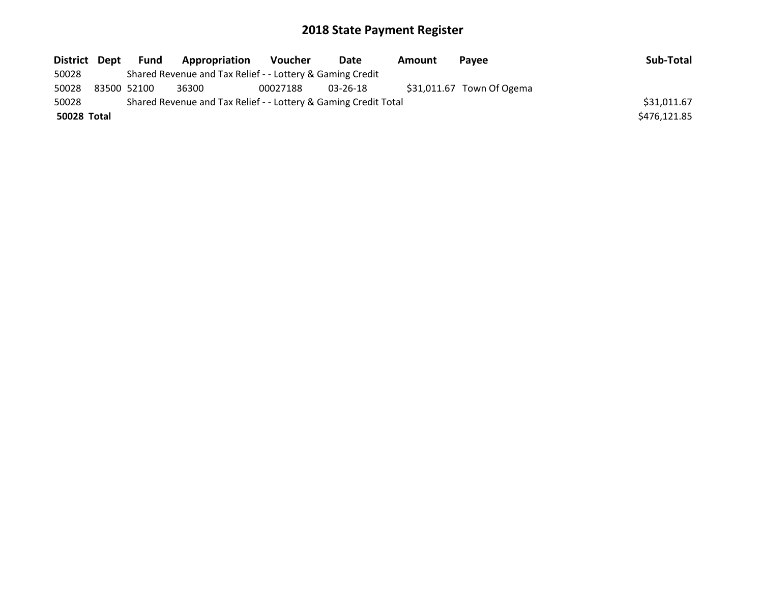| District Dept | Fund        | Appropriation                                                   | <b>Voucher</b> | Date     | Amount | <b>Pavee</b>               | Sub-Total    |
|---------------|-------------|-----------------------------------------------------------------|----------------|----------|--------|----------------------------|--------------|
| 50028         |             | Shared Revenue and Tax Relief - - Lottery & Gaming Credit       |                |          |        |                            |              |
| 50028         | 83500 52100 | 36300                                                           | 00027188       | 03-26-18 |        | $$31,011.67$ Town Of Ogema |              |
| 50028         |             | Shared Revenue and Tax Relief - - Lottery & Gaming Credit Total |                |          |        |                            | \$31,011.67  |
| 50028 Total   |             |                                                                 |                |          |        |                            | \$476,121.85 |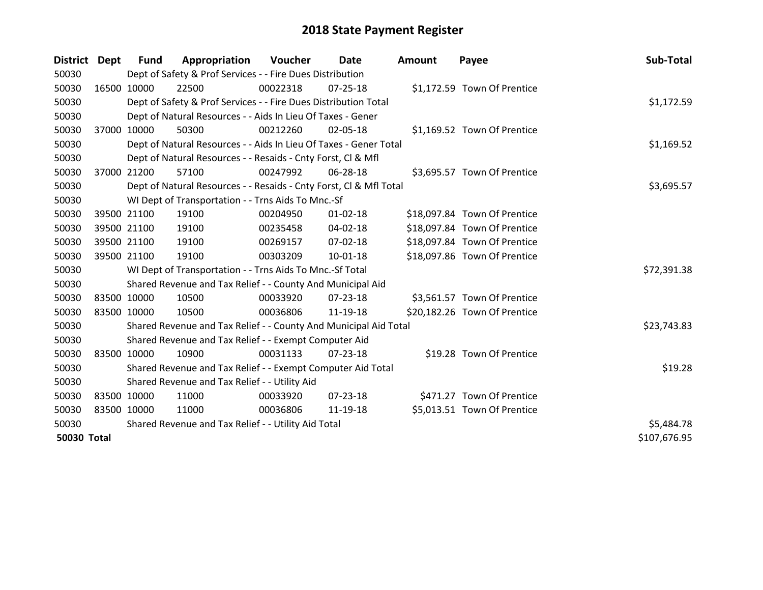| District Dept      |             | <b>Fund</b>                                         | Appropriation                                                      | Voucher  | Date           | <b>Amount</b> | Payee                        | Sub-Total    |
|--------------------|-------------|-----------------------------------------------------|--------------------------------------------------------------------|----------|----------------|---------------|------------------------------|--------------|
| 50030              |             |                                                     | Dept of Safety & Prof Services - - Fire Dues Distribution          |          |                |               |                              |              |
| 50030              |             | 16500 10000                                         | 22500                                                              | 00022318 | $07 - 25 - 18$ |               | \$1,172.59 Town Of Prentice  |              |
| 50030              |             |                                                     | Dept of Safety & Prof Services - - Fire Dues Distribution Total    |          |                |               |                              | \$1,172.59   |
| 50030              |             |                                                     | Dept of Natural Resources - - Aids In Lieu Of Taxes - Gener        |          |                |               |                              |              |
| 50030              |             | 37000 10000                                         | 50300                                                              | 00212260 | 02-05-18       |               | \$1,169.52 Town Of Prentice  |              |
| 50030              |             |                                                     | Dept of Natural Resources - - Aids In Lieu Of Taxes - Gener Total  |          |                |               |                              | \$1,169.52   |
| 50030              |             |                                                     | Dept of Natural Resources - - Resaids - Cnty Forst, CI & Mfl       |          |                |               |                              |              |
| 50030              |             | 37000 21200                                         | 57100                                                              | 00247992 | 06-28-18       |               | \$3,695.57 Town Of Prentice  |              |
| 50030              |             |                                                     | Dept of Natural Resources - - Resaids - Cnty Forst, Cl & Mfl Total |          |                |               |                              | \$3,695.57   |
| 50030              |             |                                                     | WI Dept of Transportation - - Trns Aids To Mnc.-Sf                 |          |                |               |                              |              |
| 50030              |             | 39500 21100                                         | 19100                                                              | 00204950 | $01 - 02 - 18$ |               | \$18,097.84 Town Of Prentice |              |
| 50030              |             | 39500 21100                                         | 19100                                                              | 00235458 | 04-02-18       |               | \$18,097.84 Town Of Prentice |              |
| 50030              |             | 39500 21100                                         | 19100                                                              | 00269157 | 07-02-18       |               | \$18,097.84 Town Of Prentice |              |
| 50030              |             | 39500 21100                                         | 19100                                                              | 00303209 | $10 - 01 - 18$ |               | \$18,097.86 Town Of Prentice |              |
| 50030              |             |                                                     | WI Dept of Transportation - - Trns Aids To Mnc.-Sf Total           |          |                |               |                              | \$72,391.38  |
| 50030              |             |                                                     | Shared Revenue and Tax Relief - - County And Municipal Aid         |          |                |               |                              |              |
| 50030              |             | 83500 10000                                         | 10500                                                              | 00033920 | 07-23-18       |               | \$3,561.57 Town Of Prentice  |              |
| 50030              |             | 83500 10000                                         | 10500                                                              | 00036806 | 11-19-18       |               | \$20,182.26 Town Of Prentice |              |
| 50030              |             |                                                     | Shared Revenue and Tax Relief - - County And Municipal Aid Total   |          |                |               |                              | \$23,743.83  |
| 50030              |             |                                                     | Shared Revenue and Tax Relief - - Exempt Computer Aid              |          |                |               |                              |              |
| 50030              |             | 83500 10000                                         | 10900                                                              | 00031133 | 07-23-18       |               | \$19.28 Town Of Prentice     |              |
| 50030              |             |                                                     | Shared Revenue and Tax Relief - - Exempt Computer Aid Total        |          |                |               |                              | \$19.28      |
| 50030              |             |                                                     | Shared Revenue and Tax Relief - - Utility Aid                      |          |                |               |                              |              |
| 50030              |             | 83500 10000                                         | 11000                                                              | 00033920 | $07 - 23 - 18$ |               | \$471.27 Town Of Prentice    |              |
| 50030              | 83500 10000 |                                                     | 11000                                                              | 00036806 | 11-19-18       |               | \$5,013.51 Town Of Prentice  |              |
| 50030              |             | Shared Revenue and Tax Relief - - Utility Aid Total | \$5,484.78                                                         |          |                |               |                              |              |
| <b>50030 Total</b> |             |                                                     |                                                                    |          |                |               |                              | \$107,676.95 |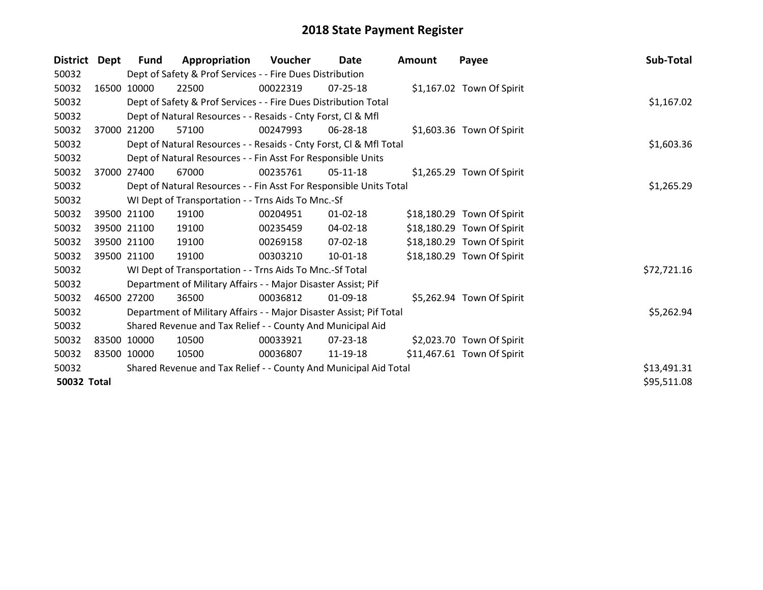| <b>District</b> | Dept        | <b>Fund</b> | Appropriation                                                       | Voucher  | Date           | <b>Amount</b> | Payee                      | Sub-Total   |
|-----------------|-------------|-------------|---------------------------------------------------------------------|----------|----------------|---------------|----------------------------|-------------|
| 50032           |             |             | Dept of Safety & Prof Services - - Fire Dues Distribution           |          |                |               |                            |             |
| 50032           |             | 16500 10000 | 22500                                                               | 00022319 | $07 - 25 - 18$ |               | \$1,167.02 Town Of Spirit  |             |
| 50032           |             |             | Dept of Safety & Prof Services - - Fire Dues Distribution Total     |          |                |               |                            | \$1,167.02  |
| 50032           |             |             | Dept of Natural Resources - - Resaids - Cnty Forst, CI & Mfl        |          |                |               |                            |             |
| 50032           | 37000       | 21200       | 57100                                                               | 00247993 | 06-28-18       |               | \$1,603.36 Town Of Spirit  |             |
| 50032           |             |             | Dept of Natural Resources - - Resaids - Cnty Forst, Cl & Mfl Total  |          |                |               |                            | \$1,603.36  |
| 50032           |             |             | Dept of Natural Resources - - Fin Asst For Responsible Units        |          |                |               |                            |             |
| 50032           | 37000       | 27400       | 67000                                                               | 00235761 | 05-11-18       |               | \$1,265.29 Town Of Spirit  |             |
| 50032           |             |             | Dept of Natural Resources - - Fin Asst For Responsible Units Total  |          |                |               |                            | \$1,265.29  |
| 50032           |             |             | WI Dept of Transportation - - Trns Aids To Mnc.-Sf                  |          |                |               |                            |             |
| 50032           |             | 39500 21100 | 19100                                                               | 00204951 | $01 - 02 - 18$ |               | \$18,180.29 Town Of Spirit |             |
| 50032           |             | 39500 21100 | 19100                                                               | 00235459 | 04-02-18       |               | \$18,180.29 Town Of Spirit |             |
| 50032           |             | 39500 21100 | 19100                                                               | 00269158 | 07-02-18       |               | \$18,180.29 Town Of Spirit |             |
| 50032           |             | 39500 21100 | 19100                                                               | 00303210 | $10 - 01 - 18$ |               | \$18,180.29 Town Of Spirit |             |
| 50032           |             |             | WI Dept of Transportation - - Trns Aids To Mnc.-Sf Total            |          |                |               |                            | \$72,721.16 |
| 50032           |             |             | Department of Military Affairs - - Major Disaster Assist; Pif       |          |                |               |                            |             |
| 50032           | 46500       | 27200       | 36500                                                               | 00036812 | 01-09-18       |               | \$5,262.94 Town Of Spirit  |             |
| 50032           |             |             | Department of Military Affairs - - Major Disaster Assist; Pif Total |          |                |               |                            | \$5,262.94  |
| 50032           |             |             | Shared Revenue and Tax Relief - - County And Municipal Aid          |          |                |               |                            |             |
| 50032           |             | 83500 10000 | 10500                                                               | 00033921 | 07-23-18       |               | \$2,023.70 Town Of Spirit  |             |
| 50032           | 83500 10000 |             | 10500                                                               | 00036807 | 11-19-18       |               | \$11,467.61 Town Of Spirit |             |
| 50032           |             |             | Shared Revenue and Tax Relief - - County And Municipal Aid Total    |          |                |               |                            | \$13,491.31 |
| 50032 Total     |             |             |                                                                     |          |                |               |                            | \$95,511.08 |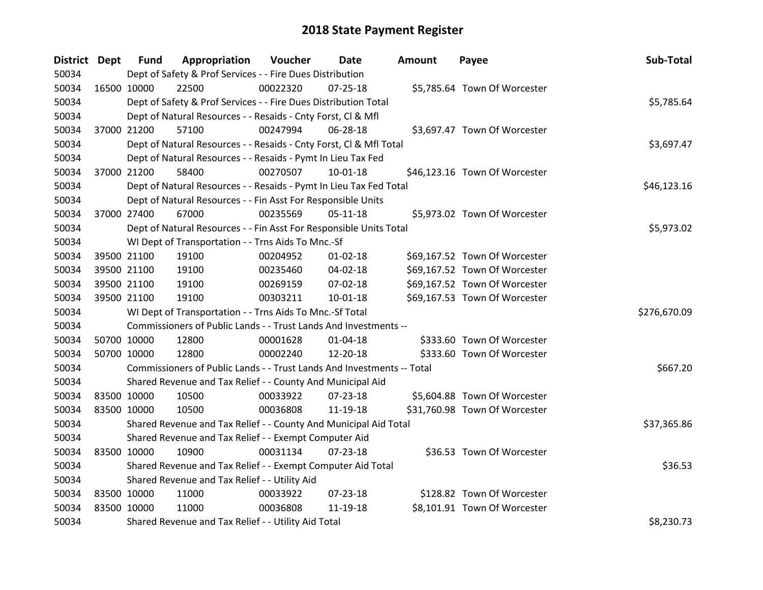| District Dept |             | <b>Fund</b> | Appropriation                                                          | Voucher  | <b>Date</b>    | <b>Amount</b> | Payee                         | Sub-Total    |
|---------------|-------------|-------------|------------------------------------------------------------------------|----------|----------------|---------------|-------------------------------|--------------|
| 50034         |             |             | Dept of Safety & Prof Services - - Fire Dues Distribution              |          |                |               |                               |              |
| 50034         | 16500 10000 |             | 22500                                                                  | 00022320 | $07 - 25 - 18$ |               | \$5,785.64 Town Of Worcester  |              |
| 50034         |             |             | Dept of Safety & Prof Services - - Fire Dues Distribution Total        |          |                |               |                               | \$5,785.64   |
| 50034         |             |             | Dept of Natural Resources - - Resaids - Cnty Forst, Cl & Mfl           |          |                |               |                               |              |
| 50034         |             | 37000 21200 | 57100                                                                  | 00247994 | 06-28-18       |               | \$3,697.47 Town Of Worcester  |              |
| 50034         |             |             | Dept of Natural Resources - - Resaids - Cnty Forst, CI & Mfl Total     |          |                |               |                               | \$3,697.47   |
| 50034         |             |             | Dept of Natural Resources - - Resaids - Pymt In Lieu Tax Fed           |          |                |               |                               |              |
| 50034         |             | 37000 21200 | 58400                                                                  | 00270507 | $10 - 01 - 18$ |               | \$46,123.16 Town Of Worcester |              |
| 50034         |             |             | Dept of Natural Resources - - Resaids - Pymt In Lieu Tax Fed Total     |          |                |               |                               | \$46,123.16  |
| 50034         |             |             | Dept of Natural Resources - - Fin Asst For Responsible Units           |          |                |               |                               |              |
| 50034         |             | 37000 27400 | 67000                                                                  | 00235569 | $05-11-18$     |               | \$5,973.02 Town Of Worcester  |              |
| 50034         |             |             | Dept of Natural Resources - - Fin Asst For Responsible Units Total     |          |                |               |                               | \$5,973.02   |
| 50034         |             |             | WI Dept of Transportation - - Trns Aids To Mnc.-Sf                     |          |                |               |                               |              |
| 50034         |             | 39500 21100 | 19100                                                                  | 00204952 | $01 - 02 - 18$ |               | \$69,167.52 Town Of Worcester |              |
| 50034         |             | 39500 21100 | 19100                                                                  | 00235460 | 04-02-18       |               | \$69,167.52 Town Of Worcester |              |
| 50034         |             | 39500 21100 | 19100                                                                  | 00269159 | 07-02-18       |               | \$69,167.52 Town Of Worcester |              |
| 50034         |             | 39500 21100 | 19100                                                                  | 00303211 | $10 - 01 - 18$ |               | \$69,167.53 Town Of Worcester |              |
| 50034         |             |             | WI Dept of Transportation - - Trns Aids To Mnc.-Sf Total               |          |                |               |                               | \$276,670.09 |
| 50034         |             |             | Commissioners of Public Lands - - Trust Lands And Investments --       |          |                |               |                               |              |
| 50034         |             | 50700 10000 | 12800                                                                  | 00001628 | $01 - 04 - 18$ |               | \$333.60 Town Of Worcester    |              |
| 50034         |             | 50700 10000 | 12800                                                                  | 00002240 | 12-20-18       |               | \$333.60 Town Of Worcester    |              |
| 50034         |             |             | Commissioners of Public Lands - - Trust Lands And Investments -- Total |          |                |               |                               | \$667.20     |
| 50034         |             |             | Shared Revenue and Tax Relief - - County And Municipal Aid             |          |                |               |                               |              |
| 50034         |             | 83500 10000 | 10500                                                                  | 00033922 | 07-23-18       |               | \$5,604.88 Town Of Worcester  |              |
| 50034         |             | 83500 10000 | 10500                                                                  | 00036808 | 11-19-18       |               | \$31,760.98 Town Of Worcester |              |
| 50034         |             |             | Shared Revenue and Tax Relief - - County And Municipal Aid Total       |          |                |               |                               | \$37,365.86  |
| 50034         |             |             | Shared Revenue and Tax Relief - - Exempt Computer Aid                  |          |                |               |                               |              |
| 50034         |             | 83500 10000 | 10900                                                                  | 00031134 | $07 - 23 - 18$ |               | \$36.53 Town Of Worcester     |              |
| 50034         |             |             | Shared Revenue and Tax Relief - - Exempt Computer Aid Total            |          |                |               |                               | \$36.53      |
| 50034         |             |             | Shared Revenue and Tax Relief - - Utility Aid                          |          |                |               |                               |              |
| 50034         | 83500 10000 |             | 11000                                                                  | 00033922 | 07-23-18       |               | \$128.82 Town Of Worcester    |              |
| 50034         | 83500 10000 |             | 11000                                                                  | 00036808 | 11-19-18       |               | \$8,101.91 Town Of Worcester  |              |
| 50034         |             |             | Shared Revenue and Tax Relief - - Utility Aid Total                    |          |                |               |                               | \$8,230.73   |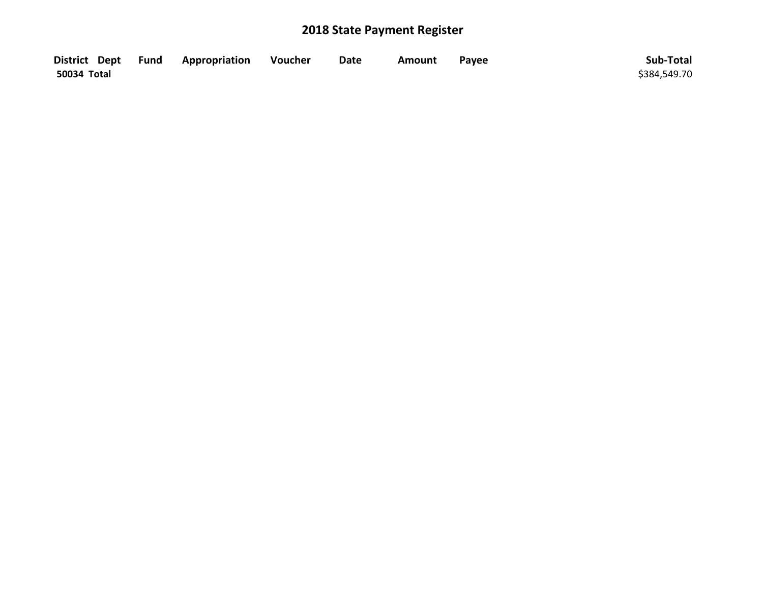|             | District Dept Fund Appropriation | Voucher | <b>Date</b> | Amount | Payee | Sub-Total    |
|-------------|----------------------------------|---------|-------------|--------|-------|--------------|
| 50034 Total |                                  |         |             |        |       | \$384,549.70 |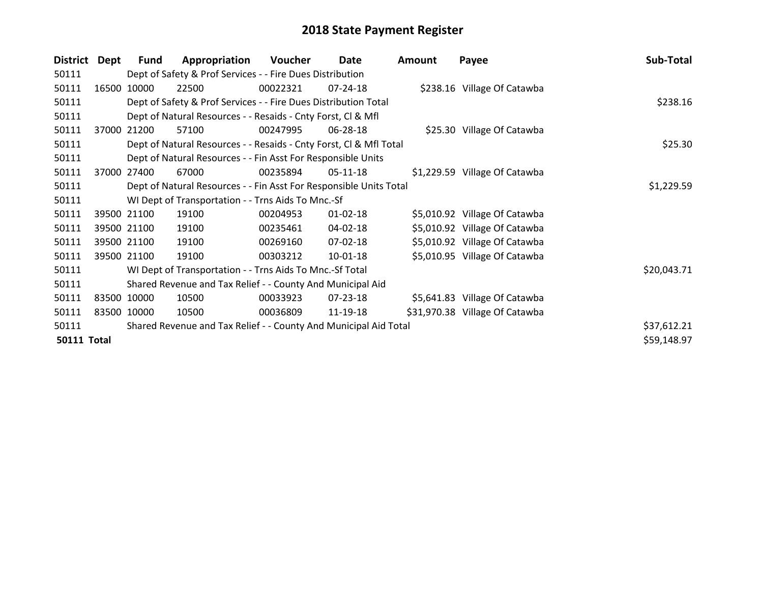| District           | Dept  | Fund        | Appropriation                                                      | Voucher  | Date           | <b>Amount</b> | Payee                          | Sub-Total   |
|--------------------|-------|-------------|--------------------------------------------------------------------|----------|----------------|---------------|--------------------------------|-------------|
| 50111              |       |             | Dept of Safety & Prof Services - - Fire Dues Distribution          |          |                |               |                                |             |
| 50111              | 16500 | 10000       | 22500                                                              | 00022321 | 07-24-18       |               | \$238.16 Village Of Catawba    |             |
| 50111              |       |             | Dept of Safety & Prof Services - - Fire Dues Distribution Total    |          |                |               |                                | \$238.16    |
| 50111              |       |             | Dept of Natural Resources - - Resaids - Cnty Forst, CI & Mfl       |          |                |               |                                |             |
| 50111              | 37000 | 21200       | 57100                                                              | 00247995 | 06-28-18       |               | \$25.30 Village Of Catawba     |             |
| 50111              |       |             | Dept of Natural Resources - - Resaids - Cnty Forst, Cl & Mfl Total |          |                |               |                                | \$25.30     |
| 50111              |       |             | Dept of Natural Resources - - Fin Asst For Responsible Units       |          |                |               |                                |             |
| 50111              | 37000 | 27400       | 67000                                                              | 00235894 | 05-11-18       |               | \$1,229.59 Village Of Catawba  |             |
| 50111              |       |             | Dept of Natural Resources - - Fin Asst For Responsible Units Total |          |                |               |                                | \$1,229.59  |
| 50111              |       |             | WI Dept of Transportation - - Trns Aids To Mnc.-Sf                 |          |                |               |                                |             |
| 50111              |       | 39500 21100 | 19100                                                              | 00204953 | $01 - 02 - 18$ |               | \$5,010.92 Village Of Catawba  |             |
| 50111              |       | 39500 21100 | 19100                                                              | 00235461 | 04-02-18       |               | \$5,010.92 Village Of Catawba  |             |
| 50111              |       | 39500 21100 | 19100                                                              | 00269160 | 07-02-18       |               | \$5,010.92 Village Of Catawba  |             |
| 50111              |       | 39500 21100 | 19100                                                              | 00303212 | 10-01-18       |               | \$5,010.95 Village Of Catawba  |             |
| 50111              |       |             | WI Dept of Transportation - - Trns Aids To Mnc.-Sf Total           |          |                |               |                                | \$20,043.71 |
| 50111              |       |             | Shared Revenue and Tax Relief - - County And Municipal Aid         |          |                |               |                                |             |
| 50111              |       | 83500 10000 | 10500                                                              | 00033923 | 07-23-18       |               | \$5,641.83 Village Of Catawba  |             |
| 50111              |       | 83500 10000 | 10500                                                              | 00036809 | 11-19-18       |               | \$31,970.38 Village Of Catawba |             |
| 50111              |       |             | Shared Revenue and Tax Relief - - County And Municipal Aid Total   |          |                |               |                                | \$37,612.21 |
| <b>50111 Total</b> |       |             |                                                                    |          |                |               |                                | \$59,148.97 |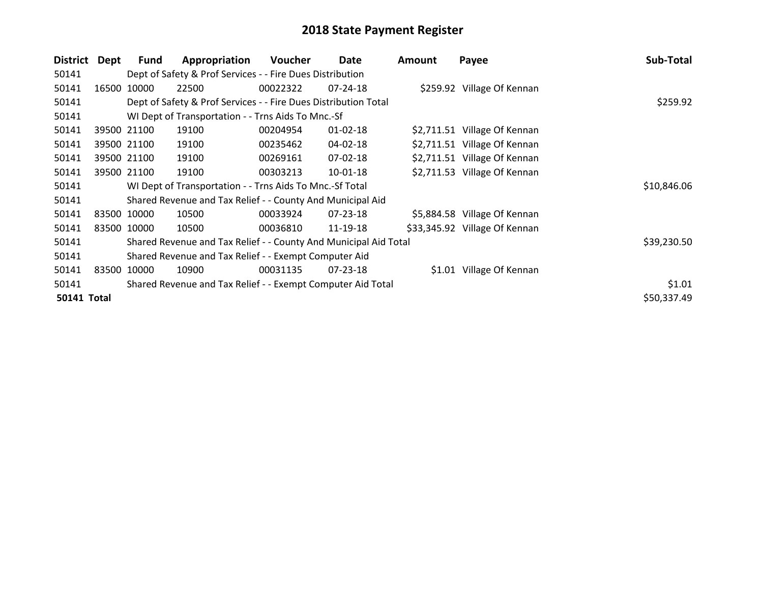| <b>District</b>    | Dept  | <b>Fund</b> | Appropriation                                                    | Voucher  | Date           | <b>Amount</b> | Payee                         | Sub-Total   |
|--------------------|-------|-------------|------------------------------------------------------------------|----------|----------------|---------------|-------------------------------|-------------|
| 50141              |       |             | Dept of Safety & Prof Services - - Fire Dues Distribution        |          |                |               |                               |             |
| 50141              | 16500 | 10000       | 22500                                                            | 00022322 | $07 - 24 - 18$ |               | \$259.92 Village Of Kennan    |             |
| 50141              |       |             | Dept of Safety & Prof Services - - Fire Dues Distribution Total  |          |                |               |                               | \$259.92    |
| 50141              |       |             | WI Dept of Transportation - - Trns Aids To Mnc.-Sf               |          |                |               |                               |             |
| 50141              |       | 39500 21100 | 19100                                                            | 00204954 | $01 - 02 - 18$ |               | \$2,711.51 Village Of Kennan  |             |
| 50141              |       | 39500 21100 | 19100                                                            | 00235462 | 04-02-18       |               | \$2,711.51 Village Of Kennan  |             |
| 50141              |       | 39500 21100 | 19100                                                            | 00269161 | 07-02-18       |               | \$2,711.51 Village Of Kennan  |             |
| 50141              |       | 39500 21100 | 19100                                                            | 00303213 | 10-01-18       |               | \$2,711.53 Village Of Kennan  |             |
| 50141              |       |             | WI Dept of Transportation - - Trns Aids To Mnc.-Sf Total         |          |                |               |                               | \$10,846.06 |
| 50141              |       |             | Shared Revenue and Tax Relief - - County And Municipal Aid       |          |                |               |                               |             |
| 50141              |       | 83500 10000 | 10500                                                            | 00033924 | $07 - 23 - 18$ |               | \$5,884.58 Village Of Kennan  |             |
| 50141              |       | 83500 10000 | 10500                                                            | 00036810 | 11-19-18       |               | \$33,345.92 Village Of Kennan |             |
| 50141              |       |             | Shared Revenue and Tax Relief - - County And Municipal Aid Total |          |                |               |                               | \$39,230.50 |
| 50141              |       |             | Shared Revenue and Tax Relief - - Exempt Computer Aid            |          |                |               |                               |             |
| 50141              | 83500 | 10000       | 10900                                                            | 00031135 | 07-23-18       |               | \$1.01 Village Of Kennan      |             |
| 50141              |       |             | Shared Revenue and Tax Relief - - Exempt Computer Aid Total      |          |                |               |                               | \$1.01      |
| <b>50141 Total</b> |       |             |                                                                  |          |                |               |                               | \$50,337.49 |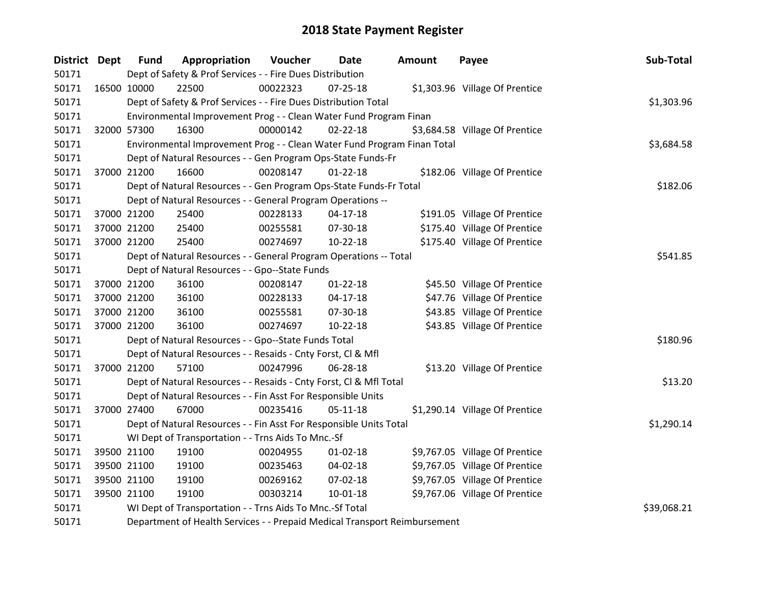| District Dept |             | <b>Fund</b> | Appropriation                                                             | Voucher  | Date           | Amount | Payee                          | Sub-Total   |
|---------------|-------------|-------------|---------------------------------------------------------------------------|----------|----------------|--------|--------------------------------|-------------|
| 50171         |             |             | Dept of Safety & Prof Services - - Fire Dues Distribution                 |          |                |        |                                |             |
| 50171         | 16500 10000 |             | 22500                                                                     | 00022323 | 07-25-18       |        | \$1,303.96 Village Of Prentice |             |
| 50171         |             |             | Dept of Safety & Prof Services - - Fire Dues Distribution Total           |          |                |        |                                | \$1,303.96  |
| 50171         |             |             | Environmental Improvement Prog - - Clean Water Fund Program Finan         |          |                |        |                                |             |
| 50171         |             | 32000 57300 | 16300                                                                     | 00000142 | $02 - 22 - 18$ |        | \$3,684.58 Village Of Prentice |             |
| 50171         |             |             | Environmental Improvement Prog - - Clean Water Fund Program Finan Total   |          |                |        |                                | \$3,684.58  |
| 50171         |             |             | Dept of Natural Resources - - Gen Program Ops-State Funds-Fr              |          |                |        |                                |             |
| 50171         | 37000 21200 |             | 16600                                                                     | 00208147 | $01 - 22 - 18$ |        | \$182.06 Village Of Prentice   |             |
| 50171         |             |             | Dept of Natural Resources - - Gen Program Ops-State Funds-Fr Total        |          |                |        |                                | \$182.06    |
| 50171         |             |             | Dept of Natural Resources - - General Program Operations --               |          |                |        |                                |             |
| 50171         | 37000 21200 |             | 25400                                                                     | 00228133 | $04 - 17 - 18$ |        | \$191.05 Village Of Prentice   |             |
| 50171         | 37000 21200 |             | 25400                                                                     | 00255581 | 07-30-18       |        | \$175.40 Village Of Prentice   |             |
| 50171         | 37000 21200 |             | 25400                                                                     | 00274697 | 10-22-18       |        | \$175.40 Village Of Prentice   |             |
| 50171         |             |             | Dept of Natural Resources - - General Program Operations -- Total         |          | \$541.85       |        |                                |             |
| 50171         |             |             | Dept of Natural Resources - - Gpo--State Funds                            |          |                |        |                                |             |
| 50171         |             | 37000 21200 | 36100                                                                     | 00208147 | $01 - 22 - 18$ |        | \$45.50 Village Of Prentice    |             |
| 50171         |             | 37000 21200 | 36100                                                                     | 00228133 | $04 - 17 - 18$ |        | \$47.76 Village Of Prentice    |             |
| 50171         |             | 37000 21200 | 36100                                                                     | 00255581 | 07-30-18       |        | \$43.85 Village Of Prentice    |             |
| 50171         | 37000 21200 |             | 36100                                                                     | 00274697 | $10-22-18$     |        | \$43.85 Village Of Prentice    |             |
| 50171         |             |             | Dept of Natural Resources - - Gpo--State Funds Total                      |          |                |        |                                | \$180.96    |
| 50171         |             |             | Dept of Natural Resources - - Resaids - Cnty Forst, Cl & Mfl              |          |                |        |                                |             |
| 50171         | 37000 21200 |             | 57100                                                                     | 00247996 | 06-28-18       |        | \$13.20 Village Of Prentice    |             |
| 50171         |             |             | Dept of Natural Resources - - Resaids - Cnty Forst, CI & Mfl Total        |          |                |        |                                | \$13.20     |
| 50171         |             |             | Dept of Natural Resources - - Fin Asst For Responsible Units              |          |                |        |                                |             |
| 50171         | 37000 27400 |             | 67000                                                                     | 00235416 | $05 - 11 - 18$ |        | \$1,290.14 Village Of Prentice |             |
| 50171         |             |             | Dept of Natural Resources - - Fin Asst For Responsible Units Total        |          |                |        |                                | \$1,290.14  |
| 50171         |             |             | WI Dept of Transportation - - Trns Aids To Mnc.-Sf                        |          |                |        |                                |             |
| 50171         | 39500 21100 |             | 19100                                                                     | 00204955 | $01 - 02 - 18$ |        | \$9,767.05 Village Of Prentice |             |
| 50171         |             | 39500 21100 | 19100                                                                     | 00235463 | 04-02-18       |        | \$9,767.05 Village Of Prentice |             |
| 50171         | 39500 21100 |             | 19100                                                                     | 00269162 | 07-02-18       |        | \$9,767.05 Village Of Prentice |             |
| 50171         | 39500 21100 |             | 19100                                                                     | 00303214 | 10-01-18       |        | \$9,767.06 Village Of Prentice |             |
| 50171         |             |             | WI Dept of Transportation - - Trns Aids To Mnc.-Sf Total                  |          |                |        |                                | \$39,068.21 |
| 50171         |             |             | Department of Health Services - - Prepaid Medical Transport Reimbursement |          |                |        |                                |             |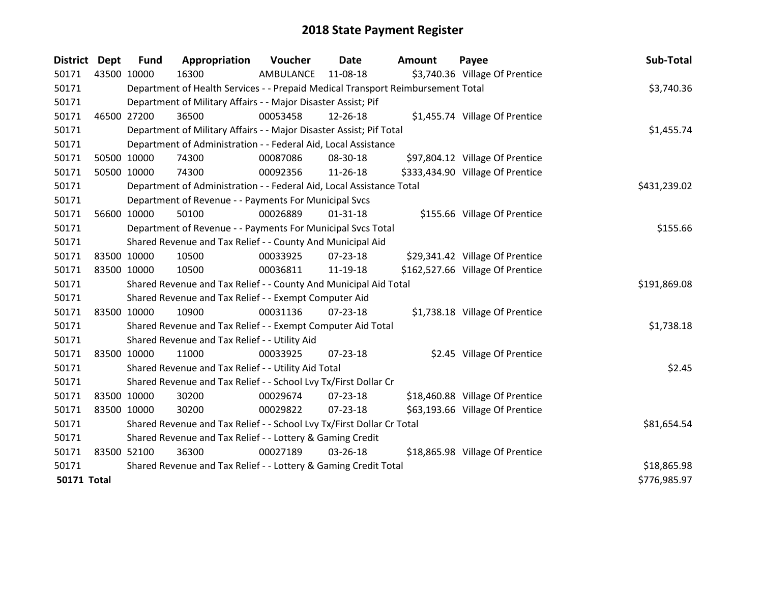| District Dept      |             | <b>Fund</b>                                                           | Appropriation                                                                   | Voucher   | <b>Date</b>    | <b>Amount</b> | Payee                            | Sub-Total    |
|--------------------|-------------|-----------------------------------------------------------------------|---------------------------------------------------------------------------------|-----------|----------------|---------------|----------------------------------|--------------|
| 50171              | 43500 10000 |                                                                       | 16300                                                                           | AMBULANCE | 11-08-18       |               | \$3,740.36 Village Of Prentice   |              |
| 50171              |             |                                                                       | Department of Health Services - - Prepaid Medical Transport Reimbursement Total |           |                |               |                                  | \$3,740.36   |
| 50171              |             |                                                                       | Department of Military Affairs - - Major Disaster Assist; Pif                   |           |                |               |                                  |              |
| 50171              | 46500 27200 |                                                                       | 36500                                                                           | 00053458  | 12-26-18       |               | \$1,455.74 Village Of Prentice   |              |
| 50171              |             |                                                                       | Department of Military Affairs - - Major Disaster Assist; Pif Total             |           |                |               |                                  | \$1,455.74   |
| 50171              |             |                                                                       | Department of Administration - - Federal Aid, Local Assistance                  |           |                |               |                                  |              |
| 50171              | 50500 10000 |                                                                       | 74300                                                                           | 00087086  | 08-30-18       |               | \$97,804.12 Village Of Prentice  |              |
| 50171              | 50500 10000 |                                                                       | 74300                                                                           | 00092356  | 11-26-18       |               | \$333,434.90 Village Of Prentice |              |
| 50171              |             |                                                                       | Department of Administration - - Federal Aid, Local Assistance Total            |           |                |               |                                  | \$431,239.02 |
| 50171              |             |                                                                       | Department of Revenue - - Payments For Municipal Svcs                           |           |                |               |                                  |              |
| 50171              | 56600 10000 |                                                                       | 50100                                                                           | 00026889  | $01 - 31 - 18$ |               | \$155.66 Village Of Prentice     |              |
| 50171              |             |                                                                       | Department of Revenue - - Payments For Municipal Svcs Total                     |           |                |               |                                  | \$155.66     |
| 50171              |             |                                                                       | Shared Revenue and Tax Relief - - County And Municipal Aid                      |           |                |               |                                  |              |
| 50171              | 83500 10000 |                                                                       | 10500                                                                           | 00033925  | $07 - 23 - 18$ |               | \$29,341.42 Village Of Prentice  |              |
| 50171              |             | 83500 10000                                                           | 10500                                                                           | 00036811  | 11-19-18       |               | \$162,527.66 Village Of Prentice |              |
| 50171              |             |                                                                       | Shared Revenue and Tax Relief - - County And Municipal Aid Total                |           |                |               |                                  | \$191,869.08 |
| 50171              |             |                                                                       | Shared Revenue and Tax Relief - - Exempt Computer Aid                           |           |                |               |                                  |              |
| 50171              | 83500 10000 |                                                                       | 10900                                                                           | 00031136  | $07 - 23 - 18$ |               | \$1,738.18 Village Of Prentice   |              |
| 50171              |             |                                                                       | Shared Revenue and Tax Relief - - Exempt Computer Aid Total                     |           |                |               |                                  | \$1,738.18   |
| 50171              |             |                                                                       | Shared Revenue and Tax Relief - - Utility Aid                                   |           |                |               |                                  |              |
| 50171              | 83500 10000 |                                                                       | 11000                                                                           | 00033925  | 07-23-18       |               | \$2.45 Village Of Prentice       |              |
| 50171              |             |                                                                       | Shared Revenue and Tax Relief - - Utility Aid Total                             |           |                |               |                                  | \$2.45       |
| 50171              |             |                                                                       | Shared Revenue and Tax Relief - - School Lvy Tx/First Dollar Cr                 |           |                |               |                                  |              |
| 50171              | 83500 10000 |                                                                       | 30200                                                                           | 00029674  | $07 - 23 - 18$ |               | \$18,460.88 Village Of Prentice  |              |
| 50171              |             | 83500 10000                                                           | 30200                                                                           | 00029822  | $07 - 23 - 18$ |               | \$63,193.66 Village Of Prentice  |              |
| 50171              |             | Shared Revenue and Tax Relief - - School Lvy Tx/First Dollar Cr Total | \$81,654.54                                                                     |           |                |               |                                  |              |
| 50171              |             |                                                                       | Shared Revenue and Tax Relief - - Lottery & Gaming Credit                       |           |                |               |                                  |              |
| 50171              | 83500 52100 |                                                                       | 36300                                                                           | 00027189  | 03-26-18       |               | \$18,865.98 Village Of Prentice  |              |
| 50171              |             |                                                                       | Shared Revenue and Tax Relief - - Lottery & Gaming Credit Total                 |           |                |               |                                  | \$18,865.98  |
| <b>50171 Total</b> |             |                                                                       |                                                                                 |           |                |               |                                  | \$776,985.97 |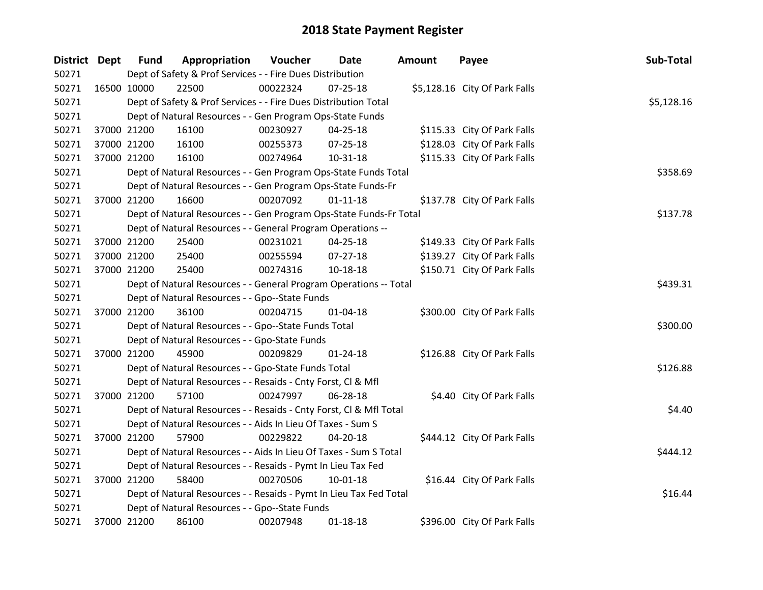| <b>District Dept</b> |             | <b>Fund</b>                                                       | Appropriation                                                      | Voucher  | Date           | Amount | Payee                         | Sub-Total  |
|----------------------|-------------|-------------------------------------------------------------------|--------------------------------------------------------------------|----------|----------------|--------|-------------------------------|------------|
| 50271                |             |                                                                   | Dept of Safety & Prof Services - - Fire Dues Distribution          |          |                |        |                               |            |
| 50271                | 16500 10000 |                                                                   | 22500                                                              | 00022324 | 07-25-18       |        | \$5,128.16 City Of Park Falls |            |
| 50271                |             |                                                                   | Dept of Safety & Prof Services - - Fire Dues Distribution Total    |          |                |        |                               | \$5,128.16 |
| 50271                |             |                                                                   | Dept of Natural Resources - - Gen Program Ops-State Funds          |          |                |        |                               |            |
| 50271                |             | 37000 21200                                                       | 16100                                                              | 00230927 | 04-25-18       |        | \$115.33 City Of Park Falls   |            |
| 50271                |             | 37000 21200                                                       | 16100                                                              | 00255373 | 07-25-18       |        | \$128.03 City Of Park Falls   |            |
| 50271                |             | 37000 21200                                                       | 16100                                                              | 00274964 | $10 - 31 - 18$ |        | \$115.33 City Of Park Falls   |            |
| 50271                |             |                                                                   | Dept of Natural Resources - - Gen Program Ops-State Funds Total    |          |                |        |                               | \$358.69   |
| 50271                |             |                                                                   | Dept of Natural Resources - - Gen Program Ops-State Funds-Fr       |          |                |        |                               |            |
| 50271                |             | 37000 21200                                                       | 16600                                                              | 00207092 | $01 - 11 - 18$ |        | \$137.78 City Of Park Falls   |            |
| 50271                |             |                                                                   | Dept of Natural Resources - - Gen Program Ops-State Funds-Fr Total | \$137.78 |                |        |                               |            |
| 50271                |             |                                                                   | Dept of Natural Resources - - General Program Operations --        |          |                |        |                               |            |
| 50271                |             | 37000 21200                                                       | 25400                                                              | 00231021 | 04-25-18       |        | \$149.33 City Of Park Falls   |            |
| 50271                |             | 37000 21200                                                       | 25400                                                              | 00255594 | $07-27-18$     |        | \$139.27 City Of Park Falls   |            |
| 50271                |             | 37000 21200                                                       | 25400                                                              | 00274316 | 10-18-18       |        | \$150.71 City Of Park Falls   |            |
| 50271                |             | Dept of Natural Resources - - General Program Operations -- Total | \$439.31                                                           |          |                |        |                               |            |
| 50271                |             |                                                                   | Dept of Natural Resources - - Gpo--State Funds                     |          |                |        |                               |            |
| 50271                |             | 37000 21200                                                       | 36100                                                              | 00204715 | $01 - 04 - 18$ |        | \$300.00 City Of Park Falls   |            |
| 50271                |             |                                                                   | Dept of Natural Resources - - Gpo--State Funds Total               |          |                |        |                               | \$300.00   |
| 50271                |             |                                                                   | Dept of Natural Resources - - Gpo-State Funds                      |          |                |        |                               |            |
| 50271                |             | 37000 21200                                                       | 45900                                                              | 00209829 | $01 - 24 - 18$ |        | \$126.88 City Of Park Falls   |            |
| 50271                |             |                                                                   | Dept of Natural Resources - - Gpo-State Funds Total                |          |                |        |                               | \$126.88   |
| 50271                |             |                                                                   | Dept of Natural Resources - - Resaids - Cnty Forst, CI & Mfl       |          |                |        |                               |            |
| 50271                |             | 37000 21200                                                       | 57100                                                              | 00247997 | 06-28-18       |        | \$4.40 City Of Park Falls     |            |
| 50271                |             |                                                                   | Dept of Natural Resources - - Resaids - Cnty Forst, Cl & Mfl Total |          |                |        |                               | \$4.40     |
| 50271                |             |                                                                   | Dept of Natural Resources - - Aids In Lieu Of Taxes - Sum S        |          |                |        |                               |            |
| 50271                |             | 37000 21200                                                       | 57900                                                              | 00229822 | 04-20-18       |        | \$444.12 City Of Park Falls   |            |
| 50271                |             |                                                                   | Dept of Natural Resources - - Aids In Lieu Of Taxes - Sum S Total  |          |                |        |                               | \$444.12   |
| 50271                |             |                                                                   | Dept of Natural Resources - - Resaids - Pymt In Lieu Tax Fed       |          |                |        |                               |            |
| 50271                | 37000 21200 |                                                                   | 58400                                                              | 00270506 | $10 - 01 - 18$ |        | \$16.44 City Of Park Falls    |            |
| 50271                |             |                                                                   | Dept of Natural Resources - - Resaids - Pymt In Lieu Tax Fed Total |          |                |        |                               | \$16.44    |
| 50271                |             |                                                                   | Dept of Natural Resources - - Gpo--State Funds                     |          |                |        |                               |            |
| 50271                |             | 37000 21200                                                       | 86100                                                              | 00207948 | $01 - 18 - 18$ |        | \$396.00 City Of Park Falls   |            |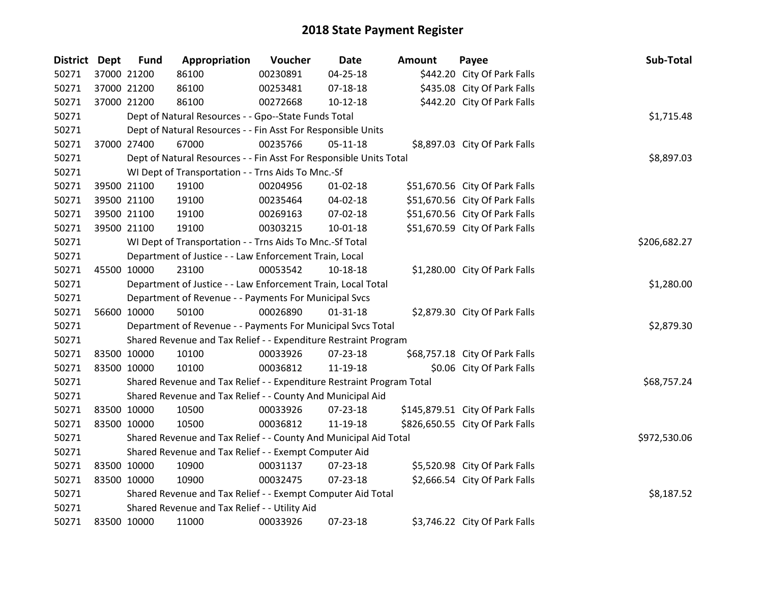| <b>District Dept</b> |             | <b>Fund</b> | Appropriation                                                         | Voucher    | <b>Date</b>    | <b>Amount</b> | Payee                           | Sub-Total    |
|----------------------|-------------|-------------|-----------------------------------------------------------------------|------------|----------------|---------------|---------------------------------|--------------|
| 50271                |             | 37000 21200 | 86100                                                                 | 00230891   | 04-25-18       |               | \$442.20 City Of Park Falls     |              |
| 50271                |             | 37000 21200 | 86100                                                                 | 00253481   | $07 - 18 - 18$ |               | \$435.08 City Of Park Falls     |              |
| 50271                |             | 37000 21200 | 86100                                                                 | 00272668   | $10 - 12 - 18$ |               | \$442.20 City Of Park Falls     |              |
| 50271                |             |             | Dept of Natural Resources - - Gpo--State Funds Total                  |            |                |               |                                 | \$1,715.48   |
| 50271                |             |             | Dept of Natural Resources - - Fin Asst For Responsible Units          |            |                |               |                                 |              |
| 50271                |             | 37000 27400 | 67000                                                                 | 00235766   | $05 - 11 - 18$ |               | \$8,897.03 City Of Park Falls   |              |
| 50271                |             |             | Dept of Natural Resources - - Fin Asst For Responsible Units Total    |            |                |               |                                 | \$8,897.03   |
| 50271                |             |             | WI Dept of Transportation - - Trns Aids To Mnc.-Sf                    |            |                |               |                                 |              |
| 50271                |             | 39500 21100 | 19100                                                                 | 00204956   | $01 - 02 - 18$ |               | \$51,670.56 City Of Park Falls  |              |
| 50271                |             | 39500 21100 | 19100                                                                 | 00235464   | 04-02-18       |               | \$51,670.56 City Of Park Falls  |              |
| 50271                |             | 39500 21100 | 19100                                                                 | 00269163   | 07-02-18       |               | \$51,670.56 City Of Park Falls  |              |
| 50271                |             | 39500 21100 | 19100                                                                 | 00303215   | $10 - 01 - 18$ |               | \$51,670.59 City Of Park Falls  |              |
| 50271                |             |             | WI Dept of Transportation - - Trns Aids To Mnc.-Sf Total              |            | \$206,682.27   |               |                                 |              |
| 50271                |             |             | Department of Justice - - Law Enforcement Train, Local                |            |                |               |                                 |              |
| 50271                |             | 45500 10000 | 23100                                                                 | 00053542   | 10-18-18       |               | \$1,280.00 City Of Park Falls   |              |
| 50271                |             |             | Department of Justice - - Law Enforcement Train, Local Total          | \$1,280.00 |                |               |                                 |              |
| 50271                |             |             | Department of Revenue - - Payments For Municipal Svcs                 |            |                |               |                                 |              |
| 50271                |             | 56600 10000 | 50100                                                                 | 00026890   | $01 - 31 - 18$ |               | \$2,879.30 City Of Park Falls   |              |
| 50271                |             |             | Department of Revenue - - Payments For Municipal Svcs Total           |            |                |               |                                 | \$2,879.30   |
| 50271                |             |             | Shared Revenue and Tax Relief - - Expenditure Restraint Program       |            |                |               |                                 |              |
| 50271                | 83500 10000 |             | 10100                                                                 | 00033926   | 07-23-18       |               | \$68,757.18 City Of Park Falls  |              |
| 50271                |             | 83500 10000 | 10100                                                                 | 00036812   | 11-19-18       |               | \$0.06 City Of Park Falls       |              |
| 50271                |             |             | Shared Revenue and Tax Relief - - Expenditure Restraint Program Total |            |                |               |                                 | \$68,757.24  |
| 50271                |             |             | Shared Revenue and Tax Relief - - County And Municipal Aid            |            |                |               |                                 |              |
| 50271                |             | 83500 10000 | 10500                                                                 | 00033926   | 07-23-18       |               | \$145,879.51 City Of Park Falls |              |
| 50271                |             | 83500 10000 | 10500                                                                 | 00036812   | 11-19-18       |               | \$826,650.55 City Of Park Falls |              |
| 50271                |             |             | Shared Revenue and Tax Relief - - County And Municipal Aid Total      |            |                |               |                                 | \$972,530.06 |
| 50271                |             |             | Shared Revenue and Tax Relief - - Exempt Computer Aid                 |            |                |               |                                 |              |
| 50271                |             | 83500 10000 | 10900                                                                 | 00031137   | 07-23-18       |               | \$5,520.98 City Of Park Falls   |              |
| 50271                |             | 83500 10000 | 10900                                                                 | 00032475   | 07-23-18       |               | \$2,666.54 City Of Park Falls   |              |
| 50271                |             |             | Shared Revenue and Tax Relief - - Exempt Computer Aid Total           |            |                |               |                                 | \$8,187.52   |
| 50271                |             |             | Shared Revenue and Tax Relief - - Utility Aid                         |            |                |               |                                 |              |
| 50271                | 83500 10000 |             | 11000                                                                 | 00033926   | 07-23-18       |               | \$3,746.22 City Of Park Falls   |              |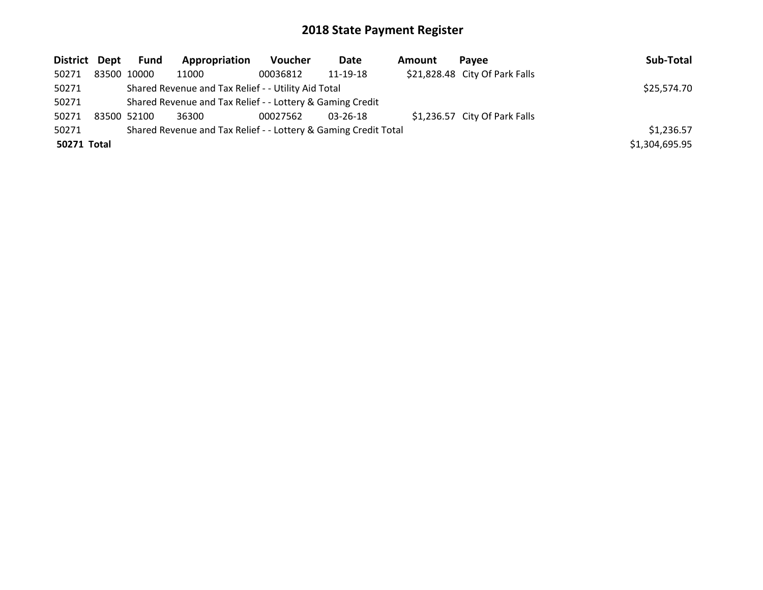| District Dept                                                            |  | Fund        | Appropriation                                             | <b>Voucher</b> | Date           | <b>Amount</b> | Pavee                          | Sub-Total      |
|--------------------------------------------------------------------------|--|-------------|-----------------------------------------------------------|----------------|----------------|---------------|--------------------------------|----------------|
| 50271                                                                    |  | 83500 10000 | 11000                                                     | 00036812       | 11-19-18       |               | \$21,828.48 City Of Park Falls |                |
| 50271                                                                    |  |             | Shared Revenue and Tax Relief - - Utility Aid Total       |                |                |               |                                | \$25,574.70    |
| 50271                                                                    |  |             | Shared Revenue and Tax Relief - - Lottery & Gaming Credit |                |                |               |                                |                |
| 50271                                                                    |  | 83500 52100 | 36300                                                     | 00027562       | $03 - 26 - 18$ |               | \$1,236.57 City Of Park Falls  |                |
| Shared Revenue and Tax Relief - - Lottery & Gaming Credit Total<br>50271 |  |             |                                                           |                |                |               |                                | \$1,236.57     |
| 50271 Total                                                              |  |             |                                                           |                |                |               |                                | \$1,304,695.95 |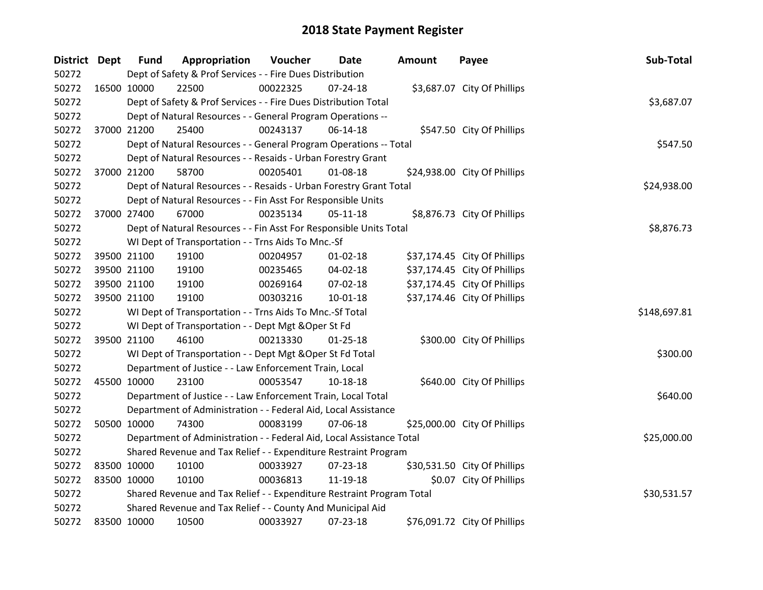| <b>District Dept</b> |             | <b>Fund</b> | Appropriation                                                         | Voucher  | Date           | <b>Amount</b> | Payee                        | Sub-Total    |
|----------------------|-------------|-------------|-----------------------------------------------------------------------|----------|----------------|---------------|------------------------------|--------------|
| 50272                |             |             | Dept of Safety & Prof Services - - Fire Dues Distribution             |          |                |               |                              |              |
| 50272                |             | 16500 10000 | 22500                                                                 | 00022325 | $07 - 24 - 18$ |               | \$3,687.07 City Of Phillips  |              |
| 50272                |             |             | Dept of Safety & Prof Services - - Fire Dues Distribution Total       |          |                |               |                              | \$3,687.07   |
| 50272                |             |             | Dept of Natural Resources - - General Program Operations --           |          |                |               |                              |              |
| 50272                |             | 37000 21200 | 25400                                                                 | 00243137 | 06-14-18       |               | \$547.50 City Of Phillips    |              |
| 50272                |             |             | Dept of Natural Resources - - General Program Operations -- Total     |          |                |               |                              | \$547.50     |
| 50272                |             |             | Dept of Natural Resources - - Resaids - Urban Forestry Grant          |          |                |               |                              |              |
| 50272                |             | 37000 21200 | 58700                                                                 | 00205401 | 01-08-18       |               | \$24,938.00 City Of Phillips |              |
| 50272                |             |             | Dept of Natural Resources - - Resaids - Urban Forestry Grant Total    |          |                |               |                              | \$24,938.00  |
| 50272                |             |             | Dept of Natural Resources - - Fin Asst For Responsible Units          |          |                |               |                              |              |
| 50272                |             | 37000 27400 | 67000                                                                 | 00235134 | $05-11-18$     |               | \$8,876.73 City Of Phillips  |              |
| 50272                |             |             | Dept of Natural Resources - - Fin Asst For Responsible Units Total    |          |                |               |                              | \$8,876.73   |
| 50272                |             |             | WI Dept of Transportation - - Trns Aids To Mnc.-Sf                    |          |                |               |                              |              |
| 50272                |             | 39500 21100 | 19100                                                                 | 00204957 | $01 - 02 - 18$ |               | \$37,174.45 City Of Phillips |              |
| 50272                |             | 39500 21100 | 19100                                                                 | 00235465 | 04-02-18       |               | \$37,174.45 City Of Phillips |              |
| 50272                |             | 39500 21100 | 19100                                                                 | 00269164 | 07-02-18       |               | \$37,174.45 City Of Phillips |              |
| 50272                |             | 39500 21100 | 19100                                                                 | 00303216 | $10 - 01 - 18$ |               | \$37,174.46 City Of Phillips |              |
| 50272                |             |             | WI Dept of Transportation - - Trns Aids To Mnc.-Sf Total              |          |                |               |                              | \$148,697.81 |
| 50272                |             |             | WI Dept of Transportation - - Dept Mgt & Oper St Fd                   |          |                |               |                              |              |
| 50272                |             | 39500 21100 | 46100                                                                 | 00213330 | $01 - 25 - 18$ |               | \$300.00 City Of Phillips    |              |
| 50272                |             |             | WI Dept of Transportation - - Dept Mgt & Oper St Fd Total             |          |                |               |                              | \$300.00     |
| 50272                |             |             | Department of Justice - - Law Enforcement Train, Local                |          |                |               |                              |              |
| 50272                |             | 45500 10000 | 23100                                                                 | 00053547 | 10-18-18       |               | \$640.00 City Of Phillips    |              |
| 50272                |             |             | Department of Justice - - Law Enforcement Train, Local Total          |          |                |               |                              | \$640.00     |
| 50272                |             |             | Department of Administration - - Federal Aid, Local Assistance        |          |                |               |                              |              |
| 50272                |             | 50500 10000 | 74300                                                                 | 00083199 | 07-06-18       |               | \$25,000.00 City Of Phillips |              |
| 50272                |             |             | Department of Administration - - Federal Aid, Local Assistance Total  |          |                |               |                              | \$25,000.00  |
| 50272                |             |             | Shared Revenue and Tax Relief - - Expenditure Restraint Program       |          |                |               |                              |              |
| 50272                |             | 83500 10000 | 10100                                                                 | 00033927 | 07-23-18       |               | \$30,531.50 City Of Phillips |              |
| 50272                |             | 83500 10000 | 10100                                                                 | 00036813 | 11-19-18       |               | \$0.07 City Of Phillips      |              |
| 50272                |             |             | Shared Revenue and Tax Relief - - Expenditure Restraint Program Total |          |                |               |                              | \$30,531.57  |
| 50272                |             |             | Shared Revenue and Tax Relief - - County And Municipal Aid            |          |                |               |                              |              |
| 50272                | 83500 10000 |             | 10500                                                                 | 00033927 | 07-23-18       |               | \$76,091.72 City Of Phillips |              |